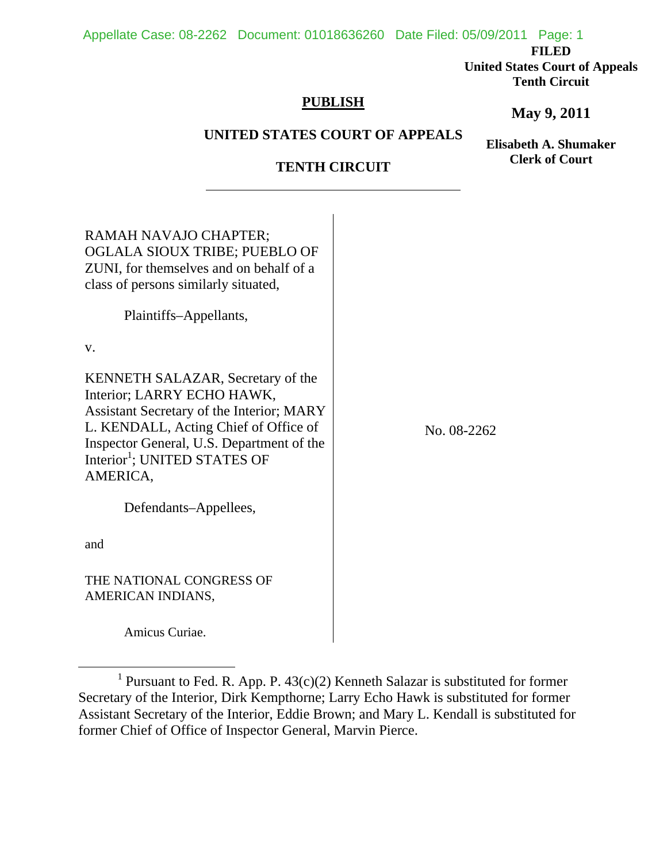## Appellate Case: 08-2262 Document: 01018636260 Date Filed: 05/09/2011 Page: 1

**FILED** 

**United States Court of Appeals Tenth Circuit** 

# **PUBLISH**

# **May 9, 2011**

## **UNITED STATES COURT OF APPEALS**

**Elisabeth A. Shumaker Clerk of Court**

# **TENTH CIRCUIT**

| RAMAH NAVAJO CHAPTER;<br>OGLALA SIOUX TRIBE; PUEBLO OF<br>ZUNI, for themselves and on behalf of a                                                                                                                                                                        |             |
|--------------------------------------------------------------------------------------------------------------------------------------------------------------------------------------------------------------------------------------------------------------------------|-------------|
| class of persons similarly situated,                                                                                                                                                                                                                                     |             |
| Plaintiffs-Appellants,                                                                                                                                                                                                                                                   |             |
| V.                                                                                                                                                                                                                                                                       |             |
| <b>KENNETH SALAZAR, Secretary of the</b><br>Interior; LARRY ECHO HAWK,<br><b>Assistant Secretary of the Interior; MARY</b><br>L. KENDALL, Acting Chief of Office of<br>Inspector General, U.S. Department of the<br>Interior <sup>1</sup> ; UNITED STATES OF<br>AMERICA, | No. 08-2262 |
| Defendants-Appellees,                                                                                                                                                                                                                                                    |             |
| and                                                                                                                                                                                                                                                                      |             |
| THE NATIONAL CONGRESS OF<br>AMERICAN INDIANS,                                                                                                                                                                                                                            |             |

Amicus Curiae.

<sup>&</sup>lt;u>1</u> <sup>1</sup> Pursuant to Fed. R. App. P.  $43(c)(2)$  Kenneth Salazar is substituted for former Secretary of the Interior, Dirk Kempthorne; Larry Echo Hawk is substituted for former Assistant Secretary of the Interior, Eddie Brown; and Mary L. Kendall is substituted for former Chief of Office of Inspector General, Marvin Pierce.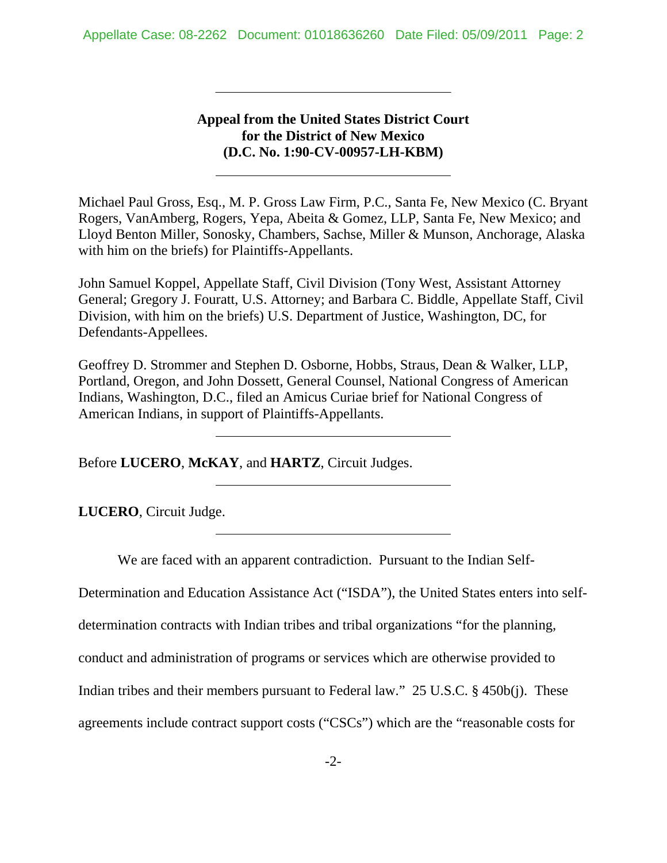# **Appeal from the United States District Court for the District of New Mexico (D.C. No. 1:90-CV-00957-LH-KBM)**

Michael Paul Gross, Esq., M. P. Gross Law Firm, P.C., Santa Fe, New Mexico (C. Bryant Rogers, VanAmberg, Rogers, Yepa, Abeita & Gomez, LLP, Santa Fe, New Mexico; and Lloyd Benton Miller, Sonosky, Chambers, Sachse, Miller & Munson, Anchorage, Alaska with him on the briefs) for Plaintiffs-Appellants.

John Samuel Koppel, Appellate Staff, Civil Division (Tony West, Assistant Attorney General; Gregory J. Fouratt, U.S. Attorney; and Barbara C. Biddle, Appellate Staff, Civil Division, with him on the briefs) U.S. Department of Justice, Washington, DC, for Defendants-Appellees.

Geoffrey D. Strommer and Stephen D. Osborne, Hobbs, Straus, Dean & Walker, LLP, Portland, Oregon, and John Dossett, General Counsel, National Congress of American Indians, Washington, D.C., filed an Amicus Curiae brief for National Congress of American Indians, in support of Plaintiffs-Appellants.

Before **LUCERO**, **McKAY**, and **HARTZ**, Circuit Judges.

l

 $\overline{a}$ 

l,

 $\overline{a}$ 

**LUCERO**, Circuit Judge.

We are faced with an apparent contradiction. Pursuant to the Indian Self-

Determination and Education Assistance Act ("ISDA"), the United States enters into self-

determination contracts with Indian tribes and tribal organizations "for the planning,

conduct and administration of programs or services which are otherwise provided to

Indian tribes and their members pursuant to Federal law." 25 U.S.C. § 450b(j). These

agreements include contract support costs ("CSCs") which are the "reasonable costs for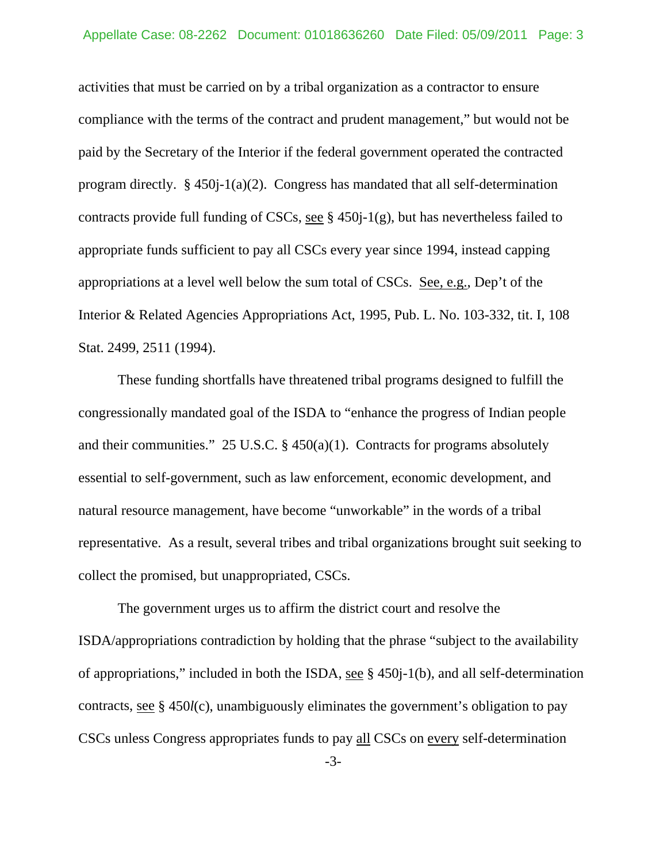activities that must be carried on by a tribal organization as a contractor to ensure compliance with the terms of the contract and prudent management," but would not be paid by the Secretary of the Interior if the federal government operated the contracted program directly.  $\S$  450j-1(a)(2). Congress has mandated that all self-determination contracts provide full funding of CSCs, see  $\S$  450 $j-1(g)$ , but has nevertheless failed to appropriate funds sufficient to pay all CSCs every year since 1994, instead capping appropriations at a level well below the sum total of CSCs. See, e.g., Dep't of the Interior & Related Agencies Appropriations Act, 1995, Pub. L. No. 103-332, tit. I, 108 Stat. 2499, 2511 (1994).

These funding shortfalls have threatened tribal programs designed to fulfill the congressionally mandated goal of the ISDA to "enhance the progress of Indian people and their communities." 25 U.S.C.  $\S$  450(a)(1). Contracts for programs absolutely essential to self-government, such as law enforcement, economic development, and natural resource management, have become "unworkable" in the words of a tribal representative. As a result, several tribes and tribal organizations brought suit seeking to collect the promised, but unappropriated, CSCs.

The government urges us to affirm the district court and resolve the ISDA/appropriations contradiction by holding that the phrase "subject to the availability of appropriations," included in both the ISDA, see § 450j-1(b), and all self-determination contracts, see § 450*l*(c), unambiguously eliminates the government's obligation to pay CSCs unless Congress appropriates funds to pay all CSCs on every self-determination

-3-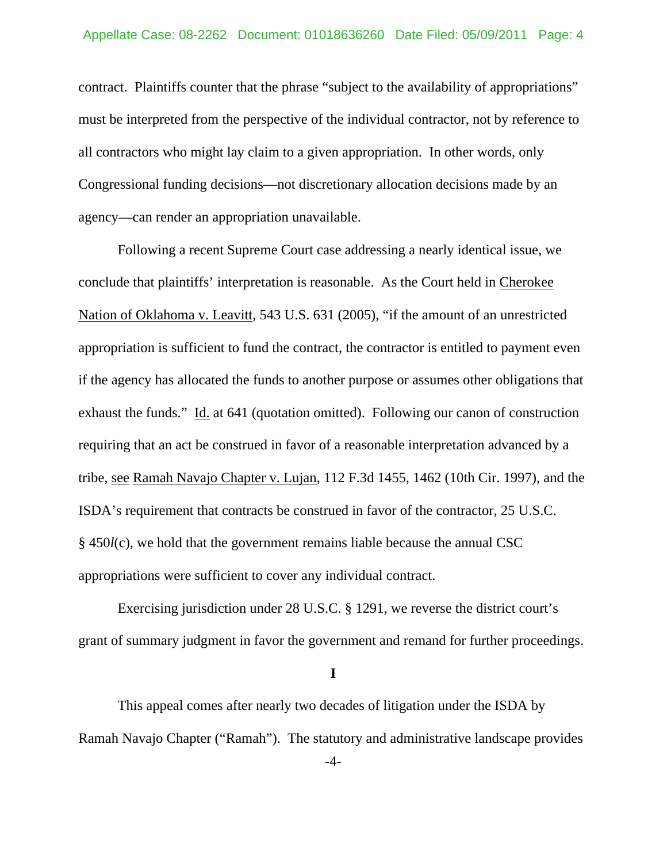contract. Plaintiffs counter that the phrase "subject to the availability of appropriations" must be interpreted from the perspective of the individual contractor, not by reference to all contractors who might lay claim to a given appropriation. In other words, only Congressional funding decisions—not discretionary allocation decisions made by an agency—can render an appropriation unavailable.

Following a recent Supreme Court case addressing a nearly identical issue, we conclude that plaintiffs' interpretation is reasonable. As the Court held in Cherokee Nation of Oklahoma v. Leavitt, 543 U.S. 631 (2005), "if the amount of an unrestricted appropriation is sufficient to fund the contract, the contractor is entitled to payment even if the agency has allocated the funds to another purpose or assumes other obligations that exhaust the funds." Id. at 641 (quotation omitted). Following our canon of construction requiring that an act be construed in favor of a reasonable interpretation advanced by a tribe, see Ramah Navajo Chapter v. Lujan, 112 F.3d 1455, 1462 (10th Cir. 1997), and the ISDA's requirement that contracts be construed in favor of the contractor, 25 U.S.C. § 450*l*(c), we hold that the government remains liable because the annual CSC appropriations were sufficient to cover any individual contract.

Exercising jurisdiction under 28 U.S.C. § 1291, we reverse the district court's grant of summary judgment in favor the government and remand for further proceedings.

**I** 

 This appeal comes after nearly two decades of litigation under the ISDA by Ramah Navajo Chapter ("Ramah"). The statutory and administrative landscape provides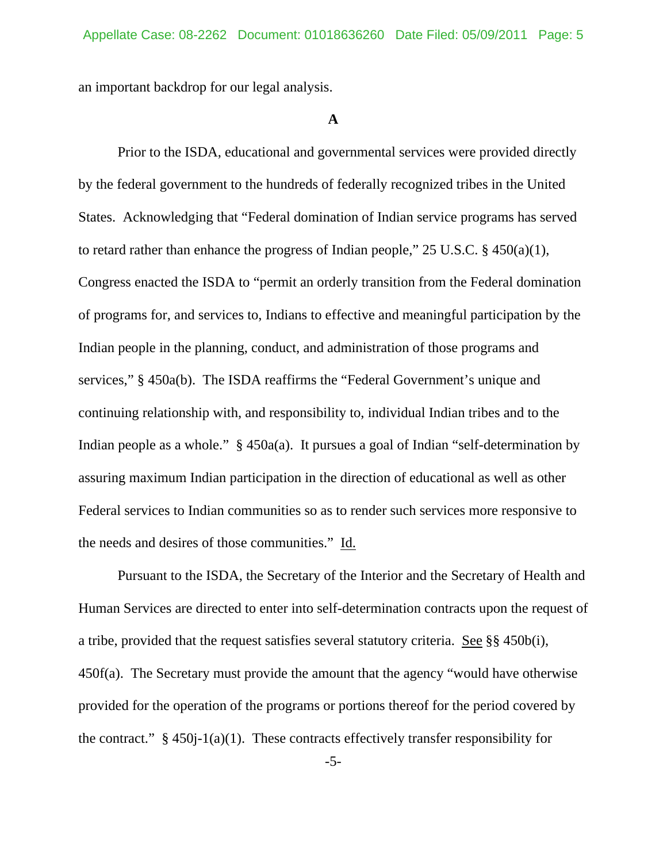an important backdrop for our legal analysis.

#### **A**

 Prior to the ISDA, educational and governmental services were provided directly by the federal government to the hundreds of federally recognized tribes in the United States. Acknowledging that "Federal domination of Indian service programs has served to retard rather than enhance the progress of Indian people," 25 U.S.C. § 450(a)(1), Congress enacted the ISDA to "permit an orderly transition from the Federal domination of programs for, and services to, Indians to effective and meaningful participation by the Indian people in the planning, conduct, and administration of those programs and services," § 450a(b). The ISDA reaffirms the "Federal Government's unique and continuing relationship with, and responsibility to, individual Indian tribes and to the Indian people as a whole." § 450a(a). It pursues a goal of Indian "self-determination by assuring maximum Indian participation in the direction of educational as well as other Federal services to Indian communities so as to render such services more responsive to the needs and desires of those communities." Id.

 Pursuant to the ISDA, the Secretary of the Interior and the Secretary of Health and Human Services are directed to enter into self-determination contracts upon the request of a tribe, provided that the request satisfies several statutory criteria. See §§ 450b(i), 450f(a). The Secretary must provide the amount that the agency "would have otherwise provided for the operation of the programs or portions thereof for the period covered by the contract."  $\S$  450j-1(a)(1). These contracts effectively transfer responsibility for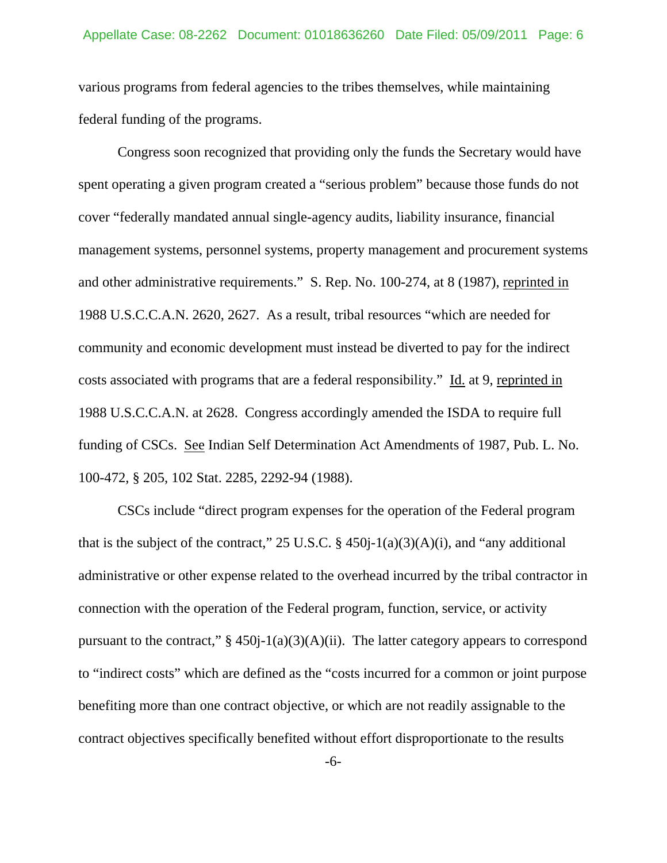various programs from federal agencies to the tribes themselves, while maintaining federal funding of the programs.

 Congress soon recognized that providing only the funds the Secretary would have spent operating a given program created a "serious problem" because those funds do not cover "federally mandated annual single-agency audits, liability insurance, financial management systems, personnel systems, property management and procurement systems and other administrative requirements." S. Rep. No. 100-274, at 8 (1987), reprinted in 1988 U.S.C.C.A.N. 2620, 2627. As a result, tribal resources "which are needed for community and economic development must instead be diverted to pay for the indirect costs associated with programs that are a federal responsibility." Id. at 9, reprinted in 1988 U.S.C.C.A.N. at 2628. Congress accordingly amended the ISDA to require full funding of CSCs. See Indian Self Determination Act Amendments of 1987, Pub. L. No. 100-472, § 205, 102 Stat. 2285, 2292-94 (1988).

 CSCs include "direct program expenses for the operation of the Federal program that is the subject of the contract," 25 U.S.C.  $\S$  450j-1(a)(3)(A)(i), and "any additional administrative or other expense related to the overhead incurred by the tribal contractor in connection with the operation of the Federal program, function, service, or activity pursuant to the contract,"  $\S$  450j-1(a)(3)(A)(ii). The latter category appears to correspond to "indirect costs" which are defined as the "costs incurred for a common or joint purpose benefiting more than one contract objective, or which are not readily assignable to the contract objectives specifically benefited without effort disproportionate to the results

-6-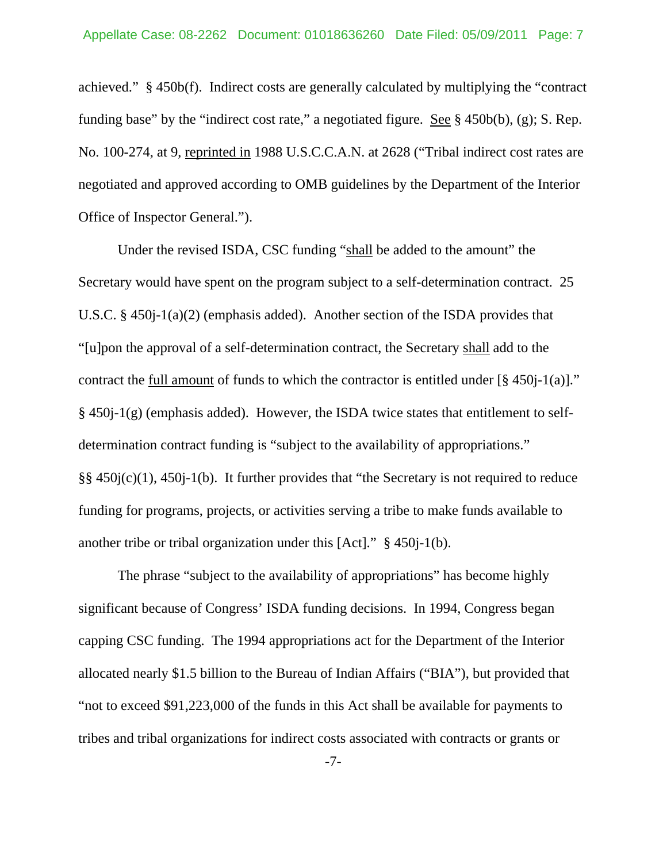achieved." § 450b(f). Indirect costs are generally calculated by multiplying the "contract funding base" by the "indirect cost rate," a negotiated figure. <u>See</u>  $\S$  450b(b), (g); S. Rep. No. 100-274, at 9, reprinted in 1988 U.S.C.C.A.N. at 2628 ("Tribal indirect cost rates are negotiated and approved according to OMB guidelines by the Department of the Interior Office of Inspector General.").

 Under the revised ISDA, CSC funding "shall be added to the amount" the Secretary would have spent on the program subject to a self-determination contract. 25 U.S.C. § 450j-1(a)(2) (emphasis added). Another section of the ISDA provides that "[u]pon the approval of a self-determination contract, the Secretary shall add to the contract the full amount of funds to which the contractor is entitled under [§ 450j-1(a)]." § 450j-1(g) (emphasis added). However, the ISDA twice states that entitlement to selfdetermination contract funding is "subject to the availability of appropriations." §§ 450j(c)(1), 450j-1(b). It further provides that "the Secretary is not required to reduce funding for programs, projects, or activities serving a tribe to make funds available to another tribe or tribal organization under this [Act]." § 450j-1(b).

 The phrase "subject to the availability of appropriations" has become highly significant because of Congress' ISDA funding decisions. In 1994, Congress began capping CSC funding. The 1994 appropriations act for the Department of the Interior allocated nearly \$1.5 billion to the Bureau of Indian Affairs ("BIA"), but provided that "not to exceed \$91,223,000 of the funds in this Act shall be available for payments to tribes and tribal organizations for indirect costs associated with contracts or grants or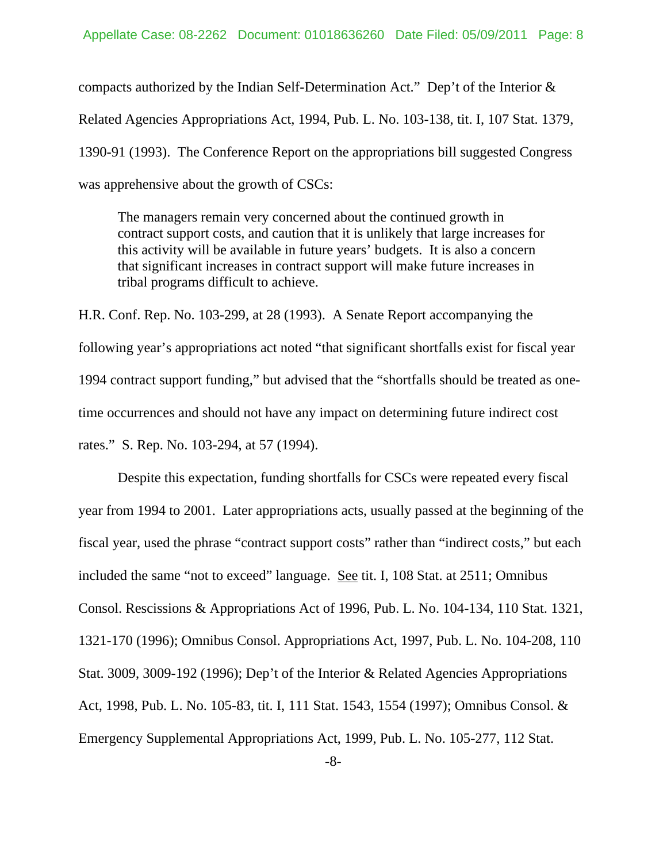compacts authorized by the Indian Self-Determination Act." Dep't of the Interior & Related Agencies Appropriations Act, 1994, Pub. L. No. 103-138, tit. I, 107 Stat. 1379, 1390-91 (1993). The Conference Report on the appropriations bill suggested Congress was apprehensive about the growth of CSCs:

The managers remain very concerned about the continued growth in contract support costs, and caution that it is unlikely that large increases for this activity will be available in future years' budgets. It is also a concern that significant increases in contract support will make future increases in tribal programs difficult to achieve.

H.R. Conf. Rep. No. 103-299, at 28 (1993). A Senate Report accompanying the following year's appropriations act noted "that significant shortfalls exist for fiscal year 1994 contract support funding," but advised that the "shortfalls should be treated as onetime occurrences and should not have any impact on determining future indirect cost rates." S. Rep. No. 103-294, at 57 (1994).

 Despite this expectation, funding shortfalls for CSCs were repeated every fiscal year from 1994 to 2001. Later appropriations acts, usually passed at the beginning of the fiscal year, used the phrase "contract support costs" rather than "indirect costs," but each included the same "not to exceed" language. See tit. I, 108 Stat. at 2511; Omnibus Consol. Rescissions & Appropriations Act of 1996, Pub. L. No. 104-134, 110 Stat. 1321, 1321-170 (1996); Omnibus Consol. Appropriations Act, 1997, Pub. L. No. 104-208, 110 Stat. 3009, 3009-192 (1996); Dep't of the Interior & Related Agencies Appropriations Act, 1998, Pub. L. No. 105-83, tit. I, 111 Stat. 1543, 1554 (1997); Omnibus Consol. & Emergency Supplemental Appropriations Act, 1999, Pub. L. No. 105-277, 112 Stat.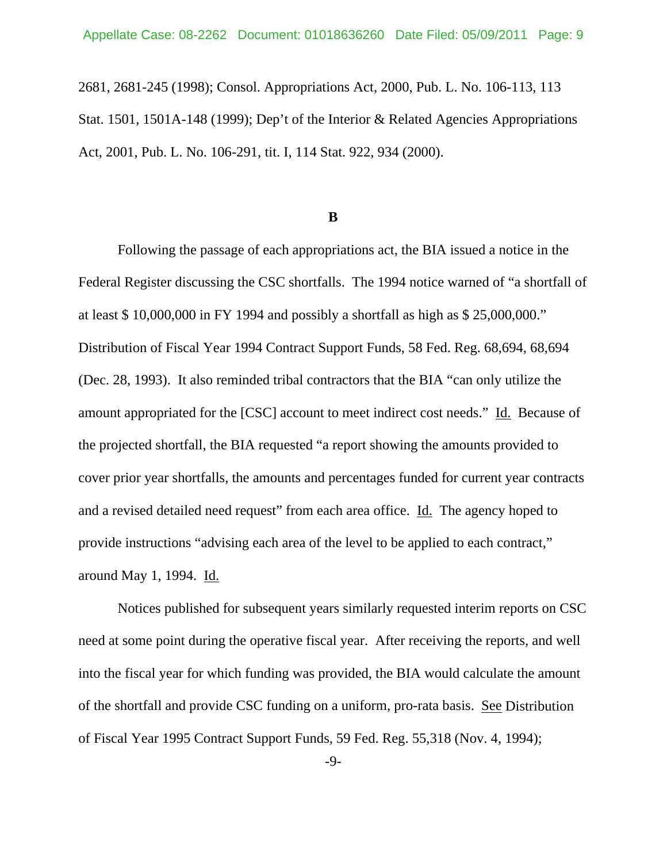2681, 2681-245 (1998); Consol. Appropriations Act, 2000, Pub. L. No. 106-113, 113 Stat. 1501, 1501A-148 (1999); Dep't of the Interior & Related Agencies Appropriations Act, 2001, Pub. L. No. 106-291, tit. I, 114 Stat. 922, 934 (2000).

#### **B**

Following the passage of each appropriations act, the BIA issued a notice in the Federal Register discussing the CSC shortfalls. The 1994 notice warned of "a shortfall of at least \$ 10,000,000 in FY 1994 and possibly a shortfall as high as \$ 25,000,000." Distribution of Fiscal Year 1994 Contract Support Funds, 58 Fed. Reg. 68,694, 68,694 (Dec. 28, 1993). It also reminded tribal contractors that the BIA "can only utilize the amount appropriated for the [CSC] account to meet indirect cost needs." Id. Because of the projected shortfall, the BIA requested "a report showing the amounts provided to cover prior year shortfalls, the amounts and percentages funded for current year contracts and a revised detailed need request" from each area office. Id. The agency hoped to provide instructions "advising each area of the level to be applied to each contract," around May 1, 1994. Id.

Notices published for subsequent years similarly requested interim reports on CSC need at some point during the operative fiscal year. After receiving the reports, and well into the fiscal year for which funding was provided, the BIA would calculate the amount of the shortfall and provide CSC funding on a uniform, pro-rata basis. See Distribution of Fiscal Year 1995 Contract Support Funds, 59 Fed. Reg. 55,318 (Nov. 4, 1994);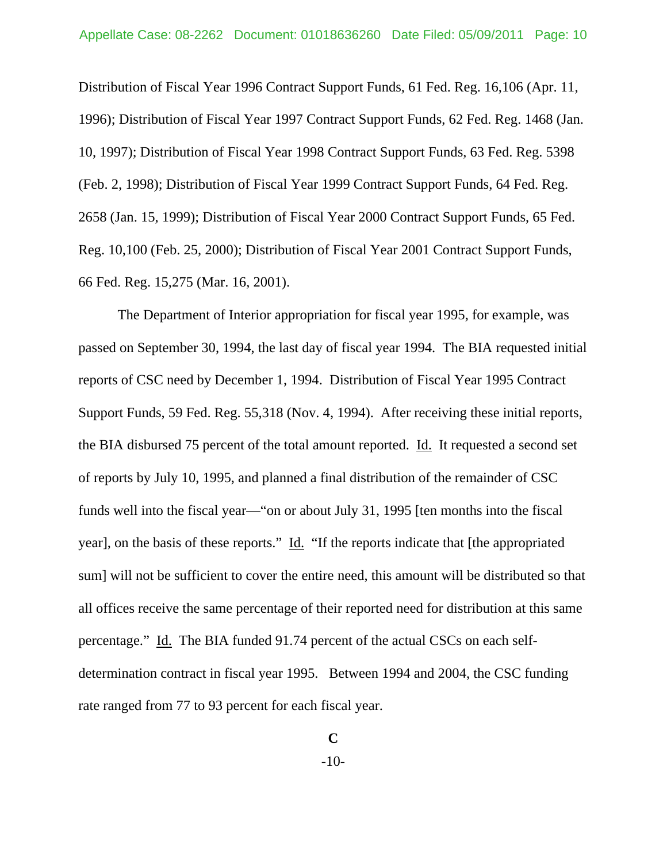Distribution of Fiscal Year 1996 Contract Support Funds, 61 Fed. Reg. 16,106 (Apr. 11, 1996); Distribution of Fiscal Year 1997 Contract Support Funds, 62 Fed. Reg. 1468 (Jan. 10, 1997); Distribution of Fiscal Year 1998 Contract Support Funds, 63 Fed. Reg. 5398 (Feb. 2, 1998); Distribution of Fiscal Year 1999 Contract Support Funds, 64 Fed. Reg. 2658 (Jan. 15, 1999); Distribution of Fiscal Year 2000 Contract Support Funds, 65 Fed. Reg. 10,100 (Feb. 25, 2000); Distribution of Fiscal Year 2001 Contract Support Funds, 66 Fed. Reg. 15,275 (Mar. 16, 2001).

The Department of Interior appropriation for fiscal year 1995, for example, was passed on September 30, 1994, the last day of fiscal year 1994. The BIA requested initial reports of CSC need by December 1, 1994. Distribution of Fiscal Year 1995 Contract Support Funds, 59 Fed. Reg. 55,318 (Nov. 4, 1994). After receiving these initial reports, the BIA disbursed 75 percent of the total amount reported. Id. It requested a second set of reports by July 10, 1995, and planned a final distribution of the remainder of CSC funds well into the fiscal year—"on or about July 31, 1995 [ten months into the fiscal year], on the basis of these reports." Id. "If the reports indicate that [the appropriated sum] will not be sufficient to cover the entire need, this amount will be distributed so that all offices receive the same percentage of their reported need for distribution at this same percentage." Id. The BIA funded 91.74 percent of the actual CSCs on each selfdetermination contract in fiscal year 1995. Between 1994 and 2004, the CSC funding rate ranged from 77 to 93 percent for each fiscal year.

<sup>-10-</sup>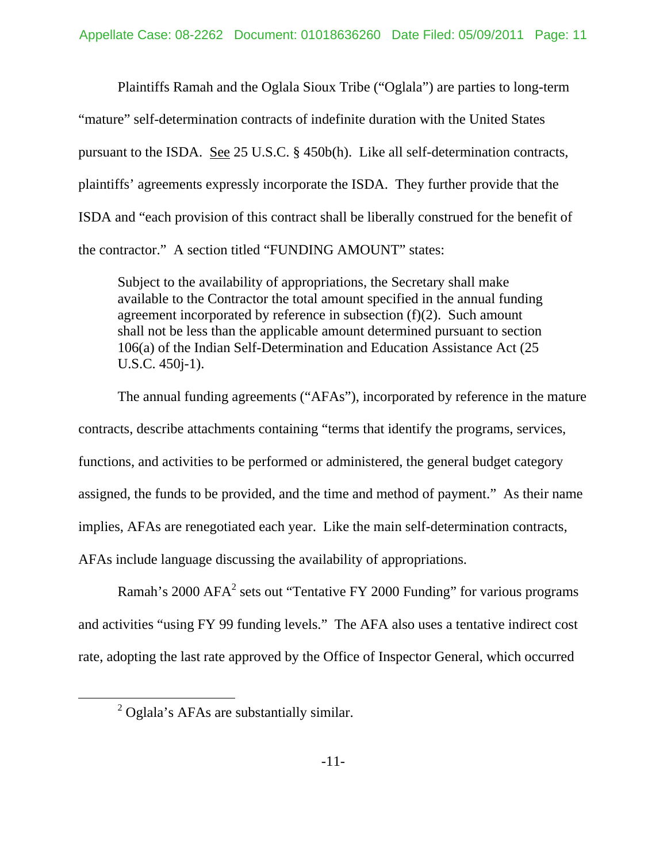Plaintiffs Ramah and the Oglala Sioux Tribe ("Oglala") are parties to long-term "mature" self-determination contracts of indefinite duration with the United States pursuant to the ISDA. See 25 U.S.C. § 450b(h). Like all self-determination contracts, plaintiffs' agreements expressly incorporate the ISDA. They further provide that the ISDA and "each provision of this contract shall be liberally construed for the benefit of the contractor." A section titled "FUNDING AMOUNT" states:

Subject to the availability of appropriations, the Secretary shall make available to the Contractor the total amount specified in the annual funding agreement incorporated by reference in subsection  $(f)(2)$ . Such amount shall not be less than the applicable amount determined pursuant to section 106(a) of the Indian Self-Determination and Education Assistance Act (25 U.S.C. 450j-1).

The annual funding agreements ("AFAs"), incorporated by reference in the mature contracts, describe attachments containing "terms that identify the programs, services, functions, and activities to be performed or administered, the general budget category assigned, the funds to be provided, and the time and method of payment." As their name implies, AFAs are renegotiated each year. Like the main self-determination contracts, AFAs include language discussing the availability of appropriations.

Ramah's 2000 AFA<sup>2</sup> sets out "Tentative FY 2000 Funding" for various programs and activities "using FY 99 funding levels." The AFA also uses a tentative indirect cost rate, adopting the last rate approved by the Office of Inspector General, which occurred

 $\overline{\ }$  2 <sup>2</sup> Oglala's AFAs are substantially similar.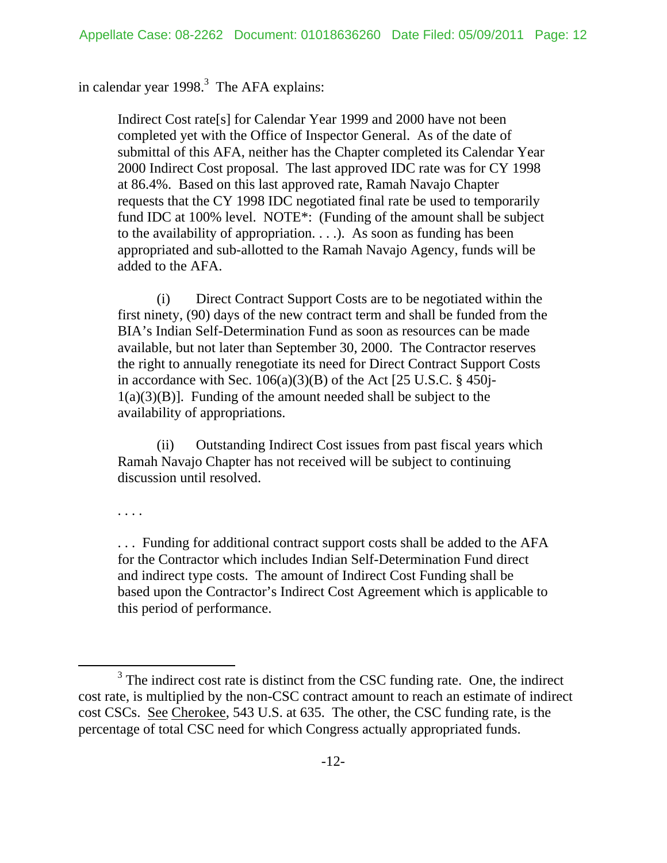# in calendar year 1998. $3$  The AFA explains:

Indirect Cost rate[s] for Calendar Year 1999 and 2000 have not been completed yet with the Office of Inspector General. As of the date of submittal of this AFA, neither has the Chapter completed its Calendar Year 2000 Indirect Cost proposal. The last approved IDC rate was for CY 1998 at 86.4%. Based on this last approved rate, Ramah Navajo Chapter requests that the CY 1998 IDC negotiated final rate be used to temporarily fund IDC at 100% level. NOTE\*: (Funding of the amount shall be subject to the availability of appropriation. . . .). As soon as funding has been appropriated and sub-allotted to the Ramah Navajo Agency, funds will be added to the AFA.

 (i) Direct Contract Support Costs are to be negotiated within the first ninety, (90) days of the new contract term and shall be funded from the BIA's Indian Self-Determination Fund as soon as resources can be made available, but not later than September 30, 2000. The Contractor reserves the right to annually renegotiate its need for Direct Contract Support Costs in accordance with Sec.  $106(a)(3)(B)$  of the Act [25 U.S.C. § 450]  $1(a)(3)(B)$ . Funding of the amount needed shall be subject to the availability of appropriations.

 (ii) Outstanding Indirect Cost issues from past fiscal years which Ramah Navajo Chapter has not received will be subject to continuing discussion until resolved.

. . . .

. . . Funding for additional contract support costs shall be added to the AFA for the Contractor which includes Indian Self-Determination Fund direct and indirect type costs. The amount of Indirect Cost Funding shall be based upon the Contractor's Indirect Cost Agreement which is applicable to this period of performance.

 $\frac{1}{3}$  $3$  The indirect cost rate is distinct from the CSC funding rate. One, the indirect cost rate, is multiplied by the non-CSC contract amount to reach an estimate of indirect cost CSCs. See Cherokee, 543 U.S. at 635. The other, the CSC funding rate, is the percentage of total CSC need for which Congress actually appropriated funds.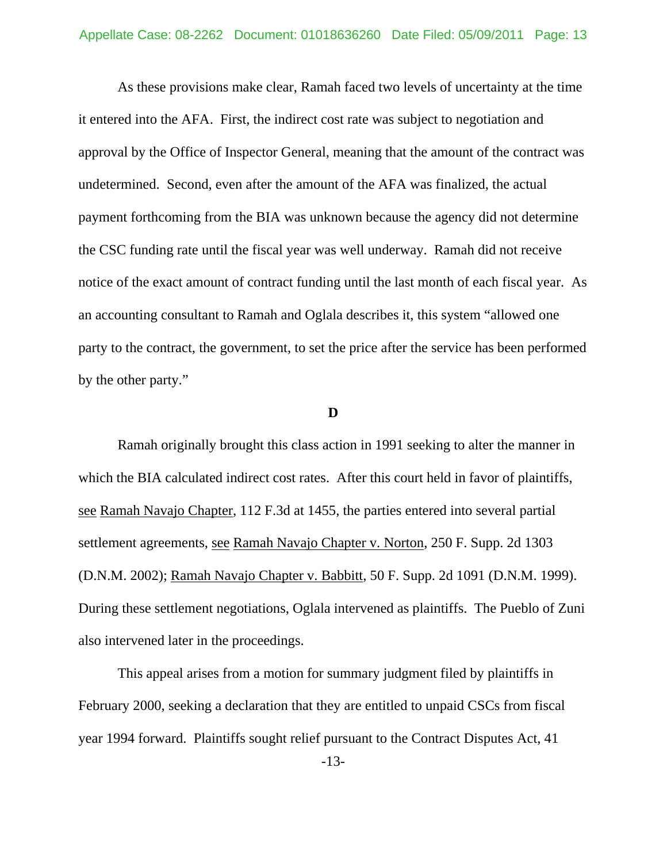As these provisions make clear, Ramah faced two levels of uncertainty at the time it entered into the AFA. First, the indirect cost rate was subject to negotiation and approval by the Office of Inspector General, meaning that the amount of the contract was undetermined. Second, even after the amount of the AFA was finalized, the actual payment forthcoming from the BIA was unknown because the agency did not determine the CSC funding rate until the fiscal year was well underway. Ramah did not receive notice of the exact amount of contract funding until the last month of each fiscal year. As an accounting consultant to Ramah and Oglala describes it, this system "allowed one party to the contract, the government, to set the price after the service has been performed by the other party."

#### **D**

 Ramah originally brought this class action in 1991 seeking to alter the manner in which the BIA calculated indirect cost rates. After this court held in favor of plaintiffs, see Ramah Navajo Chapter, 112 F.3d at 1455, the parties entered into several partial settlement agreements, see Ramah Navajo Chapter v. Norton, 250 F. Supp. 2d 1303 (D.N.M. 2002); Ramah Navajo Chapter v. Babbitt, 50 F. Supp. 2d 1091 (D.N.M. 1999). During these settlement negotiations, Oglala intervened as plaintiffs. The Pueblo of Zuni also intervened later in the proceedings.

This appeal arises from a motion for summary judgment filed by plaintiffs in February 2000, seeking a declaration that they are entitled to unpaid CSCs from fiscal year 1994 forward. Plaintiffs sought relief pursuant to the Contract Disputes Act, 41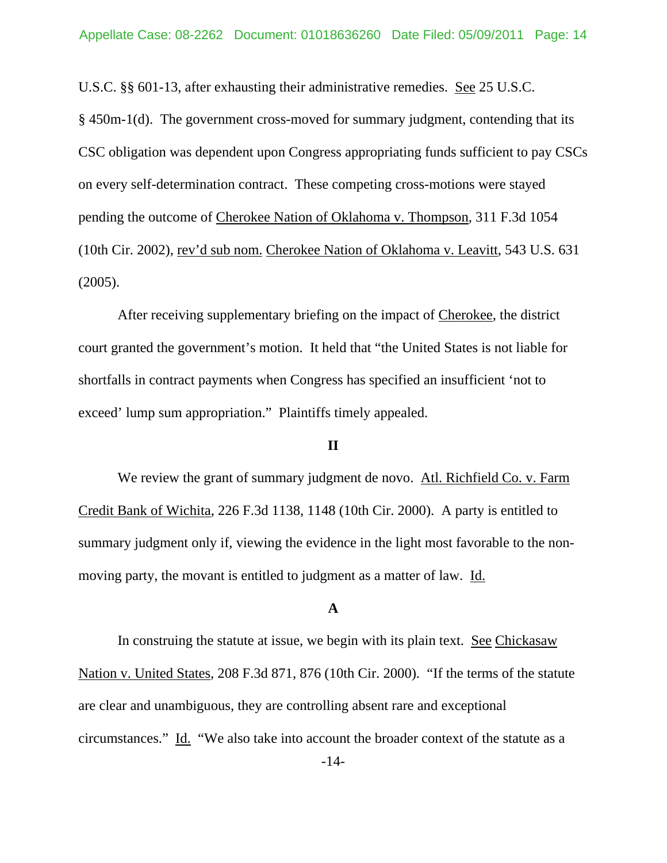U.S.C. §§ 601-13, after exhausting their administrative remedies. See 25 U.S.C.

§ 450m-1(d). The government cross-moved for summary judgment, contending that its CSC obligation was dependent upon Congress appropriating funds sufficient to pay CSCs on every self-determination contract. These competing cross-motions were stayed pending the outcome of Cherokee Nation of Oklahoma v. Thompson, 311 F.3d 1054 (10th Cir. 2002), rev'd sub nom. Cherokee Nation of Oklahoma v. Leavitt, 543 U.S. 631 (2005).

 After receiving supplementary briefing on the impact of Cherokee, the district court granted the government's motion. It held that "the United States is not liable for shortfalls in contract payments when Congress has specified an insufficient 'not to exceed' lump sum appropriation." Plaintiffs timely appealed.

## **II**

We review the grant of summary judgment de novo. Atl. Richfield Co. v. Farm Credit Bank of Wichita, 226 F.3d 1138, 1148 (10th Cir. 2000). A party is entitled to summary judgment only if, viewing the evidence in the light most favorable to the nonmoving party, the movant is entitled to judgment as a matter of law. Id.

#### **A**

In construing the statute at issue, we begin with its plain text. See Chickasaw Nation v. United States, 208 F.3d 871, 876 (10th Cir. 2000). "If the terms of the statute are clear and unambiguous, they are controlling absent rare and exceptional circumstances." Id. "We also take into account the broader context of the statute as a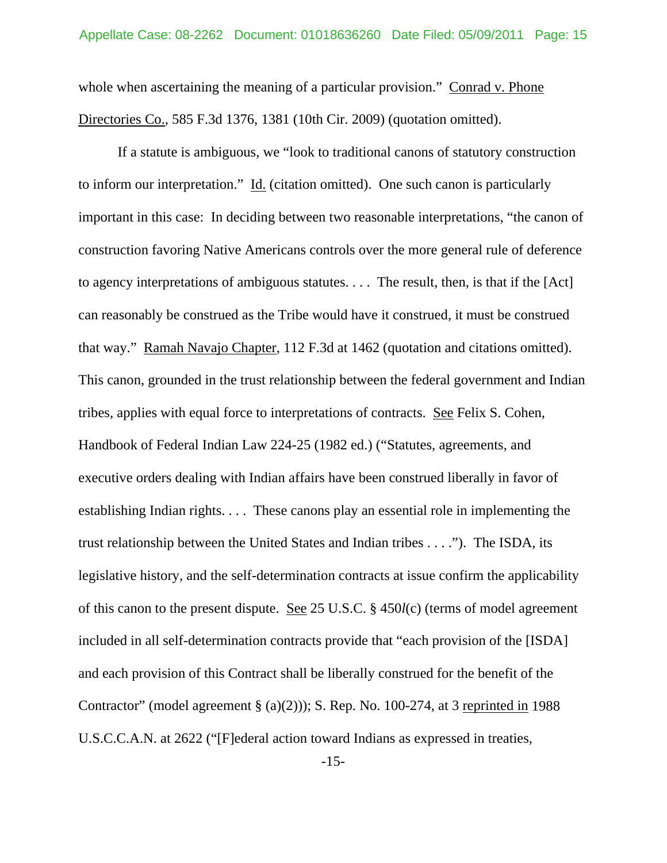whole when ascertaining the meaning of a particular provision." Conrad v. Phone Directories Co., 585 F.3d 1376, 1381 (10th Cir. 2009) (quotation omitted).

If a statute is ambiguous, we "look to traditional canons of statutory construction to inform our interpretation." Id. (citation omitted). One such canon is particularly important in this case: In deciding between two reasonable interpretations, "the canon of construction favoring Native Americans controls over the more general rule of deference to agency interpretations of ambiguous statutes. . . . The result, then, is that if the [Act] can reasonably be construed as the Tribe would have it construed, it must be construed that way." Ramah Navajo Chapter, 112 F.3d at 1462 (quotation and citations omitted). This canon, grounded in the trust relationship between the federal government and Indian tribes, applies with equal force to interpretations of contracts. See Felix S. Cohen, Handbook of Federal Indian Law 224-25 (1982 ed.) ("Statutes, agreements, and executive orders dealing with Indian affairs have been construed liberally in favor of establishing Indian rights. . . . These canons play an essential role in implementing the trust relationship between the United States and Indian tribes . . . ."). The ISDA, its legislative history, and the self-determination contracts at issue confirm the applicability of this canon to the present dispute. See 25 U.S.C. § 450*l*(c) (terms of model agreement included in all self-determination contracts provide that "each provision of the [ISDA] and each provision of this Contract shall be liberally construed for the benefit of the Contractor" (model agreement  $\S$  (a)(2))); S. Rep. No. 100-274, at 3 reprinted in 1988 U.S.C.C.A.N. at 2622 ("[F]ederal action toward Indians as expressed in treaties,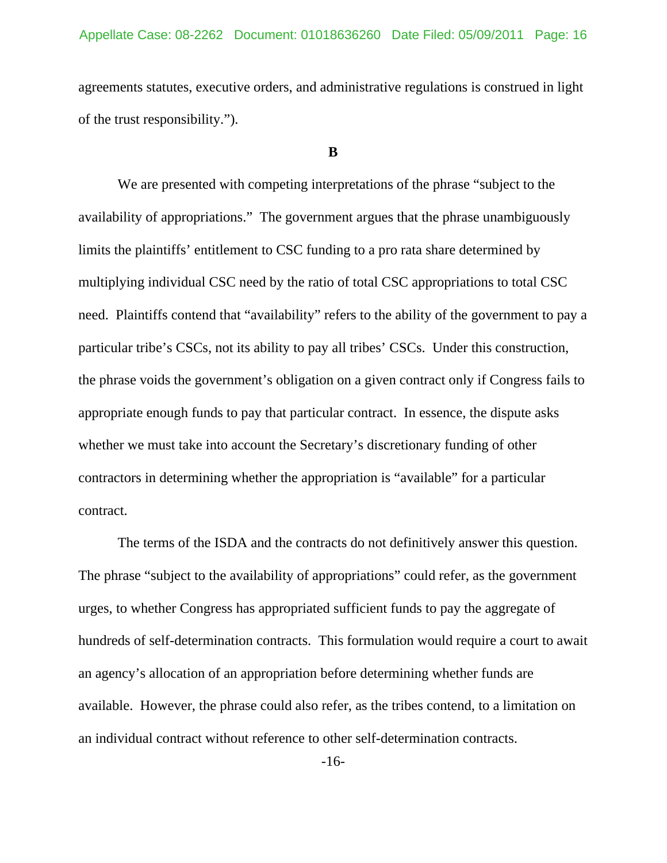agreements statutes, executive orders, and administrative regulations is construed in light of the trust responsibility.").

#### **B**

 We are presented with competing interpretations of the phrase "subject to the availability of appropriations." The government argues that the phrase unambiguously limits the plaintiffs' entitlement to CSC funding to a pro rata share determined by multiplying individual CSC need by the ratio of total CSC appropriations to total CSC need. Plaintiffs contend that "availability" refers to the ability of the government to pay a particular tribe's CSCs, not its ability to pay all tribes' CSCs. Under this construction, the phrase voids the government's obligation on a given contract only if Congress fails to appropriate enough funds to pay that particular contract. In essence, the dispute asks whether we must take into account the Secretary's discretionary funding of other contractors in determining whether the appropriation is "available" for a particular contract.

The terms of the ISDA and the contracts do not definitively answer this question. The phrase "subject to the availability of appropriations" could refer, as the government urges, to whether Congress has appropriated sufficient funds to pay the aggregate of hundreds of self-determination contracts. This formulation would require a court to await an agency's allocation of an appropriation before determining whether funds are available. However, the phrase could also refer, as the tribes contend, to a limitation on an individual contract without reference to other self-determination contracts.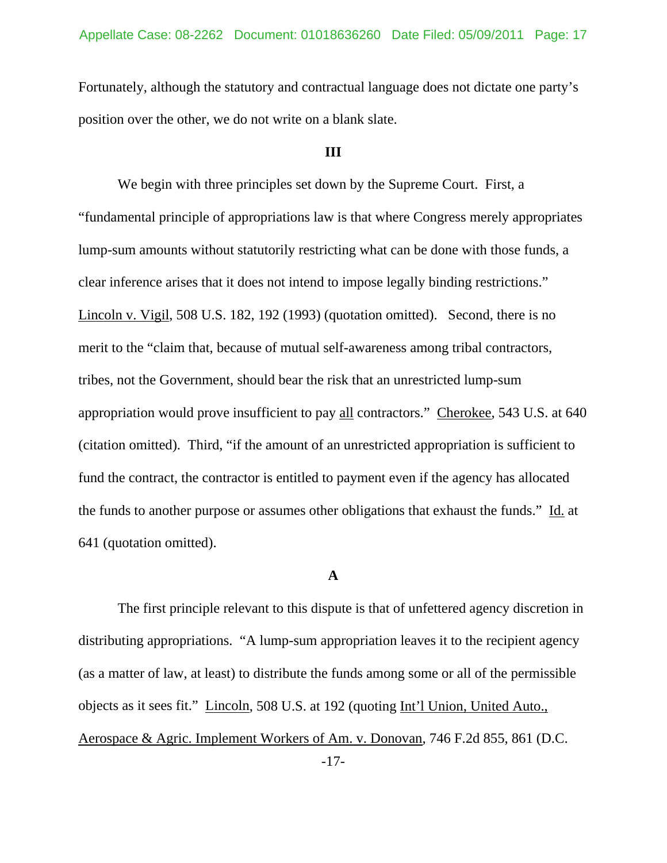Fortunately, although the statutory and contractual language does not dictate one party's position over the other, we do not write on a blank slate.

## **III**

We begin with three principles set down by the Supreme Court. First, a "fundamental principle of appropriations law is that where Congress merely appropriates lump-sum amounts without statutorily restricting what can be done with those funds, a clear inference arises that it does not intend to impose legally binding restrictions." Lincoln v. Vigil, 508 U.S. 182, 192 (1993) (quotation omitted). Second, there is no merit to the "claim that, because of mutual self-awareness among tribal contractors, tribes, not the Government, should bear the risk that an unrestricted lump-sum appropriation would prove insufficient to pay all contractors." Cherokee, 543 U.S. at 640 (citation omitted). Third, "if the amount of an unrestricted appropriation is sufficient to fund the contract, the contractor is entitled to payment even if the agency has allocated the funds to another purpose or assumes other obligations that exhaust the funds." Id. at 641 (quotation omitted).

### **A**

 The first principle relevant to this dispute is that of unfettered agency discretion in distributing appropriations. "A lump-sum appropriation leaves it to the recipient agency (as a matter of law, at least) to distribute the funds among some or all of the permissible objects as it sees fit." Lincoln, 508 U.S. at 192 (quoting Int'l Union, United Auto., Aerospace & Agric. Implement Workers of Am. v. Donovan, 746 F.2d 855, 861 (D.C.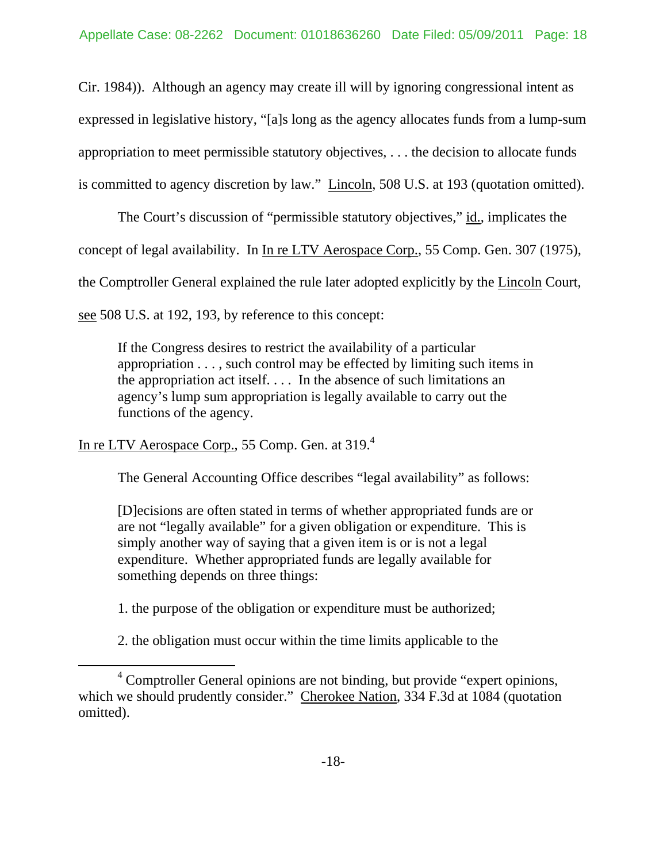Cir. 1984)). Although an agency may create ill will by ignoring congressional intent as expressed in legislative history, "[a]s long as the agency allocates funds from a lump-sum appropriation to meet permissible statutory objectives, . . . the decision to allocate funds is committed to agency discretion by law." Lincoln, 508 U.S. at 193 (quotation omitted).

The Court's discussion of "permissible statutory objectives," id., implicates the concept of legal availability. In In re LTV Aerospace Corp., 55 Comp. Gen. 307 (1975), the Comptroller General explained the rule later adopted explicitly by the Lincoln Court, see 508 U.S. at 192, 193, by reference to this concept:

If the Congress desires to restrict the availability of a particular appropriation . . . , such control may be effected by limiting such items in the appropriation act itself. . . . In the absence of such limitations an agency's lump sum appropriation is legally available to carry out the functions of the agency.

In re LTV Aerospace Corp., 55 Comp. Gen. at 319.<sup>4</sup>

The General Accounting Office describes "legal availability" as follows:

[D]ecisions are often stated in terms of whether appropriated funds are or are not "legally available" for a given obligation or expenditure. This is simply another way of saying that a given item is or is not a legal expenditure. Whether appropriated funds are legally available for something depends on three things:

1. the purpose of the obligation or expenditure must be authorized;

2. the obligation must occur within the time limits applicable to the

 $\overline{4}$  $\beta$ <sup>4</sup> Comptroller General opinions are not binding, but provide "expert opinions, which we should prudently consider." Cherokee Nation, 334 F.3d at 1084 (quotation omitted).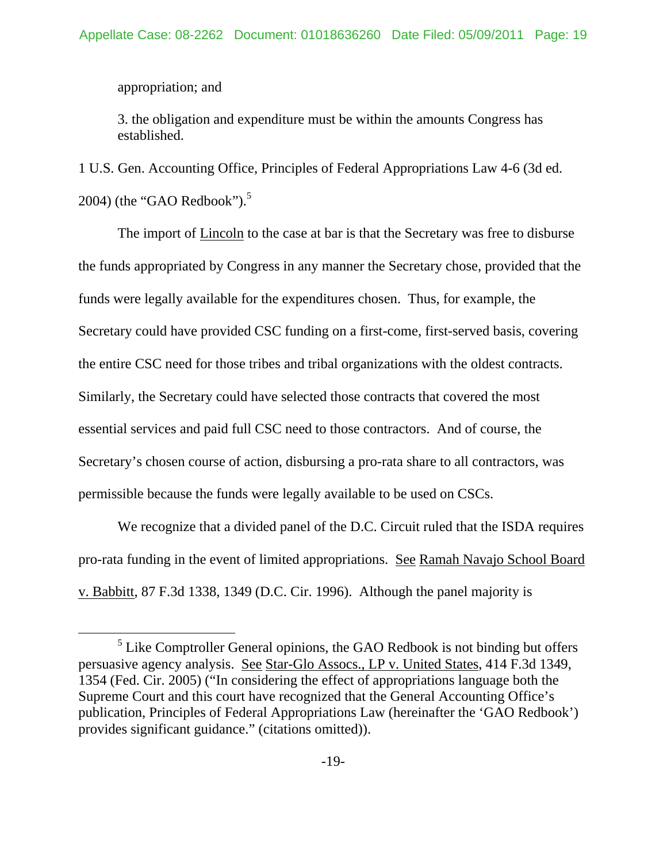appropriation; and

3. the obligation and expenditure must be within the amounts Congress has established.

1 U.S. Gen. Accounting Office, Principles of Federal Appropriations Law 4-6 (3d ed. 2004) (the "GAO Redbook"). $5$ 

 The import of Lincoln to the case at bar is that the Secretary was free to disburse the funds appropriated by Congress in any manner the Secretary chose, provided that the funds were legally available for the expenditures chosen. Thus, for example, the Secretary could have provided CSC funding on a first-come, first-served basis, covering the entire CSC need for those tribes and tribal organizations with the oldest contracts. Similarly, the Secretary could have selected those contracts that covered the most essential services and paid full CSC need to those contractors. And of course, the Secretary's chosen course of action, disbursing a pro-rata share to all contractors, was permissible because the funds were legally available to be used on CSCs.

 We recognize that a divided panel of the D.C. Circuit ruled that the ISDA requires pro-rata funding in the event of limited appropriations. See Ramah Navajo School Board v. Babbitt, 87 F.3d 1338, 1349 (D.C. Cir. 1996). Although the panel majority is

 $rac{1}{5}$  $<sup>5</sup>$  Like Comptroller General opinions, the GAO Redbook is not binding but offers</sup> persuasive agency analysis. See Star-Glo Assocs., LP v. United States, 414 F.3d 1349, 1354 (Fed. Cir. 2005) ("In considering the effect of appropriations language both the Supreme Court and this court have recognized that the General Accounting Office's publication, Principles of Federal Appropriations Law (hereinafter the 'GAO Redbook') provides significant guidance." (citations omitted)).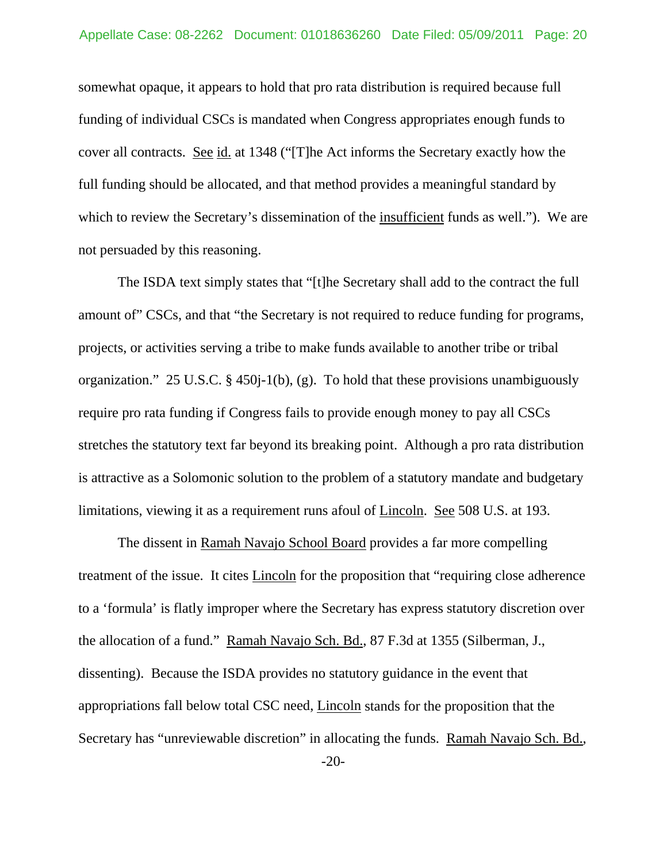somewhat opaque, it appears to hold that pro rata distribution is required because full funding of individual CSCs is mandated when Congress appropriates enough funds to cover all contracts. See id. at 1348 ("[T]he Act informs the Secretary exactly how the full funding should be allocated, and that method provides a meaningful standard by which to review the Secretary's dissemination of the insufficient funds as well."). We are not persuaded by this reasoning.

The ISDA text simply states that "[t]he Secretary shall add to the contract the full amount of" CSCs, and that "the Secretary is not required to reduce funding for programs, projects, or activities serving a tribe to make funds available to another tribe or tribal organization." 25 U.S.C. § 450j-1(b), (g). To hold that these provisions unambiguously require pro rata funding if Congress fails to provide enough money to pay all CSCs stretches the statutory text far beyond its breaking point. Although a pro rata distribution is attractive as a Solomonic solution to the problem of a statutory mandate and budgetary limitations, viewing it as a requirement runs afoul of Lincoln. See 508 U.S. at 193.

The dissent in Ramah Navajo School Board provides a far more compelling treatment of the issue. It cites Lincoln for the proposition that "requiring close adherence to a 'formula' is flatly improper where the Secretary has express statutory discretion over the allocation of a fund." Ramah Navajo Sch. Bd., 87 F.3d at 1355 (Silberman, J., dissenting). Because the ISDA provides no statutory guidance in the event that appropriations fall below total CSC need, Lincoln stands for the proposition that the Secretary has "unreviewable discretion" in allocating the funds. Ramah Navajo Sch. Bd.,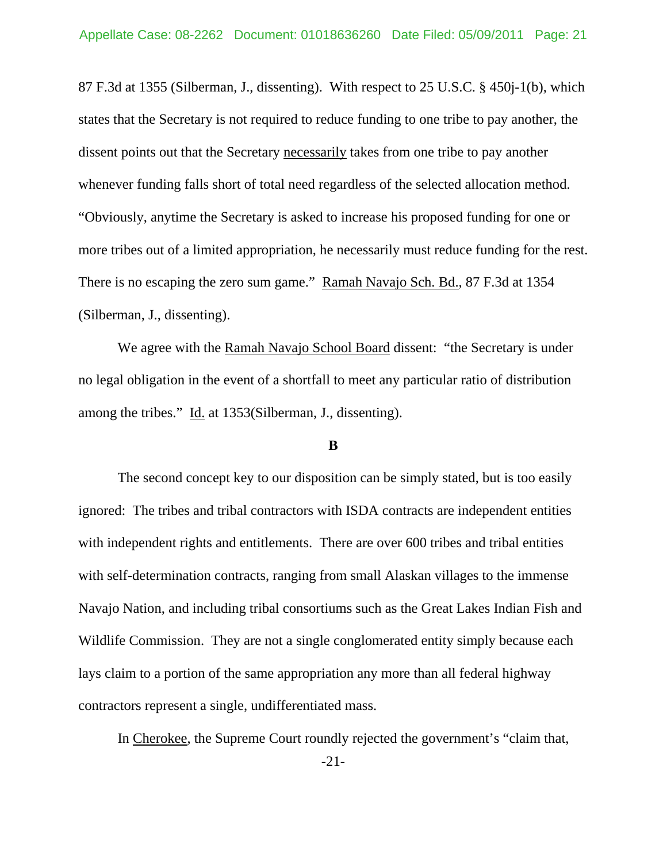87 F.3d at 1355 (Silberman, J., dissenting). With respect to 25 U.S.C. § 450j-1(b), which states that the Secretary is not required to reduce funding to one tribe to pay another, the dissent points out that the Secretary necessarily takes from one tribe to pay another whenever funding falls short of total need regardless of the selected allocation method. "Obviously, anytime the Secretary is asked to increase his proposed funding for one or more tribes out of a limited appropriation, he necessarily must reduce funding for the rest. There is no escaping the zero sum game." Ramah Navajo Sch. Bd., 87 F.3d at 1354 (Silberman, J., dissenting).

We agree with the Ramah Navajo School Board dissent: "the Secretary is under no legal obligation in the event of a shortfall to meet any particular ratio of distribution among the tribes." Id. at 1353(Silberman, J., dissenting).

### **B**

The second concept key to our disposition can be simply stated, but is too easily ignored: The tribes and tribal contractors with ISDA contracts are independent entities with independent rights and entitlements. There are over 600 tribes and tribal entities with self-determination contracts, ranging from small Alaskan villages to the immense Navajo Nation, and including tribal consortiums such as the Great Lakes Indian Fish and Wildlife Commission. They are not a single conglomerated entity simply because each lays claim to a portion of the same appropriation any more than all federal highway contractors represent a single, undifferentiated mass.

In Cherokee, the Supreme Court roundly rejected the government's "claim that,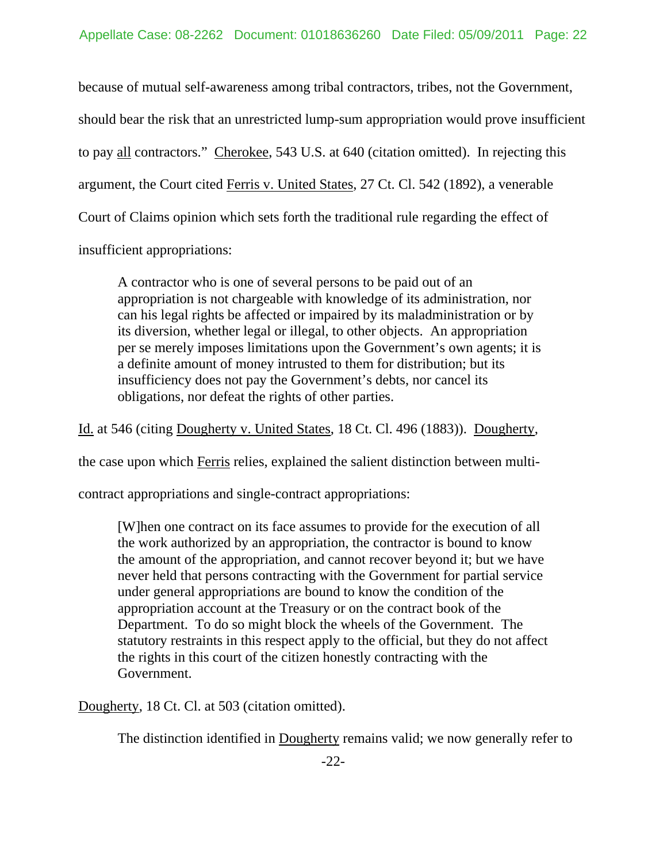because of mutual self-awareness among tribal contractors, tribes, not the Government, should bear the risk that an unrestricted lump-sum appropriation would prove insufficient to pay all contractors." Cherokee, 543 U.S. at 640 (citation omitted). In rejecting this argument, the Court cited Ferris v. United States, 27 Ct. Cl. 542 (1892), a venerable Court of Claims opinion which sets forth the traditional rule regarding the effect of insufficient appropriations:

A contractor who is one of several persons to be paid out of an appropriation is not chargeable with knowledge of its administration, nor can his legal rights be affected or impaired by its maladministration or by its diversion, whether legal or illegal, to other objects. An appropriation per se merely imposes limitations upon the Government's own agents; it is a definite amount of money intrusted to them for distribution; but its insufficiency does not pay the Government's debts, nor cancel its obligations, nor defeat the rights of other parties.

Id. at 546 (citing Dougherty v. United States, 18 Ct. Cl. 496 (1883)). Dougherty,

the case upon which Ferris relies, explained the salient distinction between multi-

contract appropriations and single-contract appropriations:

[W]hen one contract on its face assumes to provide for the execution of all the work authorized by an appropriation, the contractor is bound to know the amount of the appropriation, and cannot recover beyond it; but we have never held that persons contracting with the Government for partial service under general appropriations are bound to know the condition of the appropriation account at the Treasury or on the contract book of the Department. To do so might block the wheels of the Government. The statutory restraints in this respect apply to the official, but they do not affect the rights in this court of the citizen honestly contracting with the Government.

Dougherty, 18 Ct. Cl. at 503 (citation omitted).

The distinction identified in Dougherty remains valid; we now generally refer to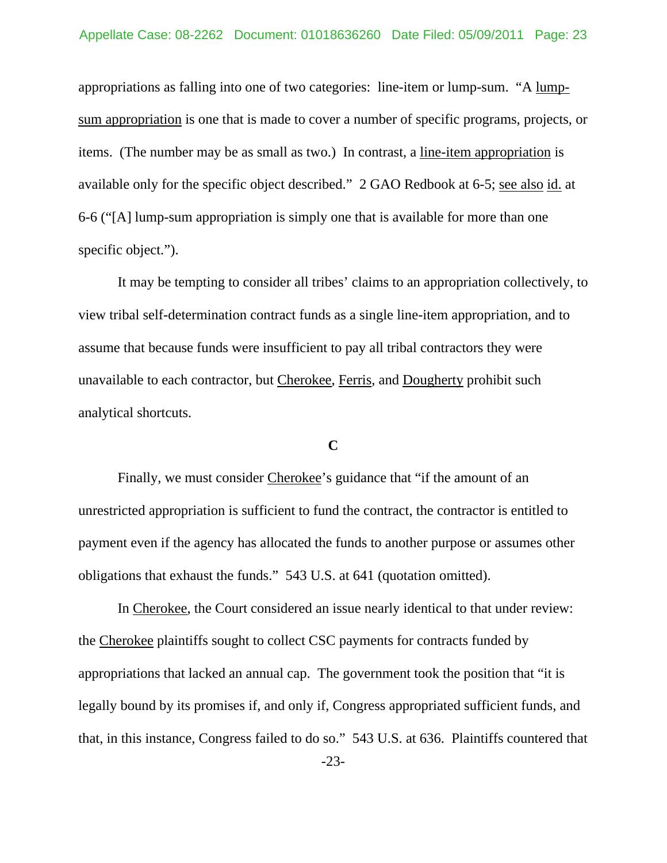appropriations as falling into one of two categories: line-item or lump-sum. "A lumpsum appropriation is one that is made to cover a number of specific programs, projects, or items. (The number may be as small as two.) In contrast, a line-item appropriation is available only for the specific object described." 2 GAO Redbook at 6-5; see also id. at 6-6 ("[A] lump-sum appropriation is simply one that is available for more than one specific object.").

It may be tempting to consider all tribes' claims to an appropriation collectively, to view tribal self-determination contract funds as a single line-item appropriation, and to assume that because funds were insufficient to pay all tribal contractors they were unavailable to each contractor, but Cherokee, Ferris, and Dougherty prohibit such analytical shortcuts.

### **C**

 Finally, we must consider Cherokee's guidance that "if the amount of an unrestricted appropriation is sufficient to fund the contract, the contractor is entitled to payment even if the agency has allocated the funds to another purpose or assumes other obligations that exhaust the funds." 543 U.S. at 641 (quotation omitted).

In Cherokee, the Court considered an issue nearly identical to that under review: the Cherokee plaintiffs sought to collect CSC payments for contracts funded by appropriations that lacked an annual cap. The government took the position that "it is legally bound by its promises if, and only if, Congress appropriated sufficient funds, and that, in this instance, Congress failed to do so." 543 U.S. at 636. Plaintiffs countered that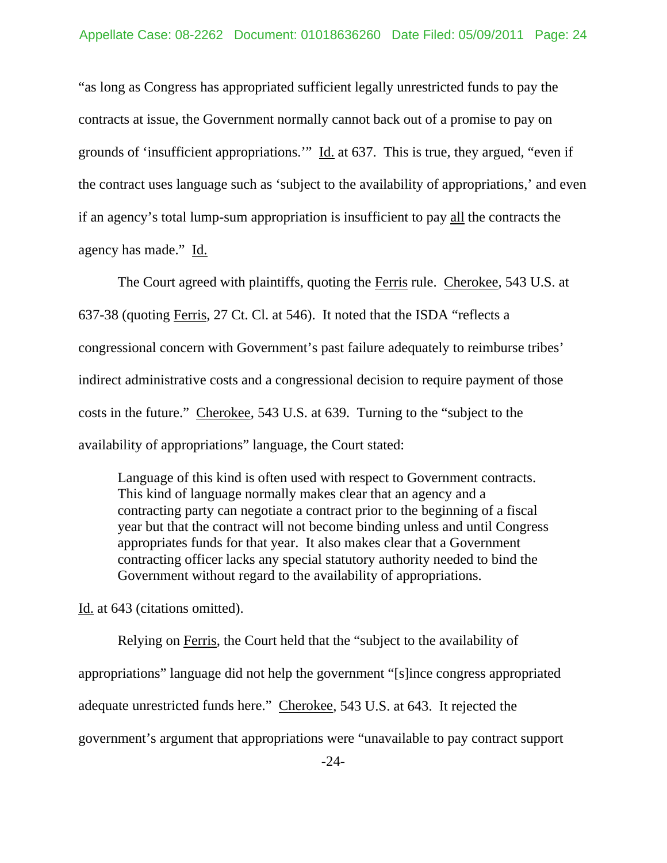"as long as Congress has appropriated sufficient legally unrestricted funds to pay the contracts at issue, the Government normally cannot back out of a promise to pay on grounds of 'insufficient appropriations.'" Id. at 637. This is true, they argued, "even if the contract uses language such as 'subject to the availability of appropriations,' and even if an agency's total lump-sum appropriation is insufficient to pay all the contracts the agency has made." Id.

The Court agreed with plaintiffs, quoting the Ferris rule. Cherokee, 543 U.S. at 637-38 (quoting Ferris, 27 Ct. Cl. at 546). It noted that the ISDA "reflects a congressional concern with Government's past failure adequately to reimburse tribes' indirect administrative costs and a congressional decision to require payment of those costs in the future." Cherokee, 543 U.S. at 639. Turning to the "subject to the availability of appropriations" language, the Court stated:

Language of this kind is often used with respect to Government contracts. This kind of language normally makes clear that an agency and a contracting party can negotiate a contract prior to the beginning of a fiscal year but that the contract will not become binding unless and until Congress appropriates funds for that year. It also makes clear that a Government contracting officer lacks any special statutory authority needed to bind the Government without regard to the availability of appropriations.

Id. at 643 (citations omitted).

Relying on Ferris, the Court held that the "subject to the availability of appropriations" language did not help the government "[s]ince congress appropriated adequate unrestricted funds here." Cherokee, 543 U.S. at 643. It rejected the government's argument that appropriations were "unavailable to pay contract support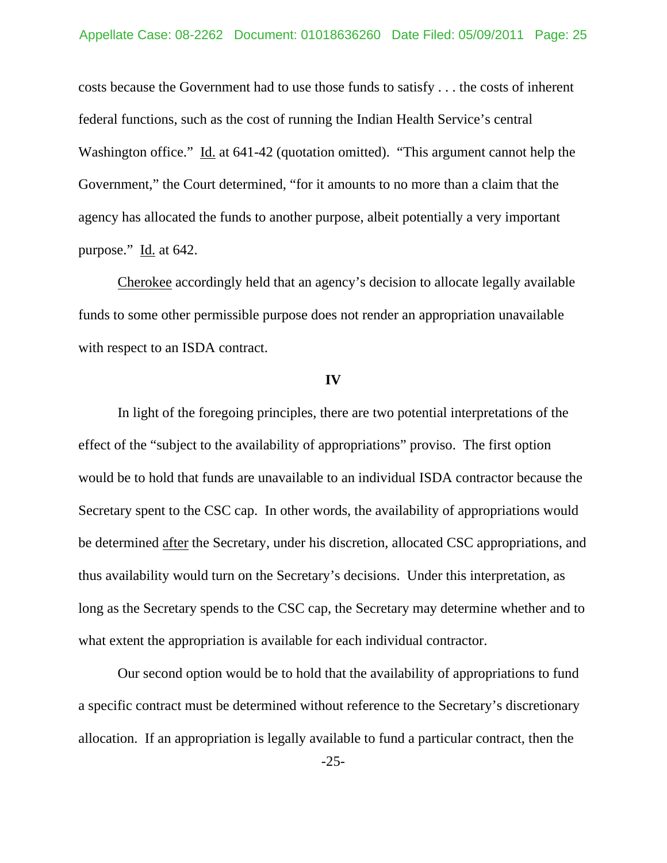costs because the Government had to use those funds to satisfy . . . the costs of inherent federal functions, such as the cost of running the Indian Health Service's central Washington office." Id. at 641-42 (quotation omitted). "This argument cannot help the Government," the Court determined, "for it amounts to no more than a claim that the agency has allocated the funds to another purpose, albeit potentially a very important purpose." Id. at 642.

Cherokee accordingly held that an agency's decision to allocate legally available funds to some other permissible purpose does not render an appropriation unavailable with respect to an ISDA contract.

#### **IV**

In light of the foregoing principles, there are two potential interpretations of the effect of the "subject to the availability of appropriations" proviso. The first option would be to hold that funds are unavailable to an individual ISDA contractor because the Secretary spent to the CSC cap. In other words, the availability of appropriations would be determined after the Secretary, under his discretion, allocated CSC appropriations, and thus availability would turn on the Secretary's decisions. Under this interpretation, as long as the Secretary spends to the CSC cap, the Secretary may determine whether and to what extent the appropriation is available for each individual contractor.

Our second option would be to hold that the availability of appropriations to fund a specific contract must be determined without reference to the Secretary's discretionary allocation. If an appropriation is legally available to fund a particular contract, then the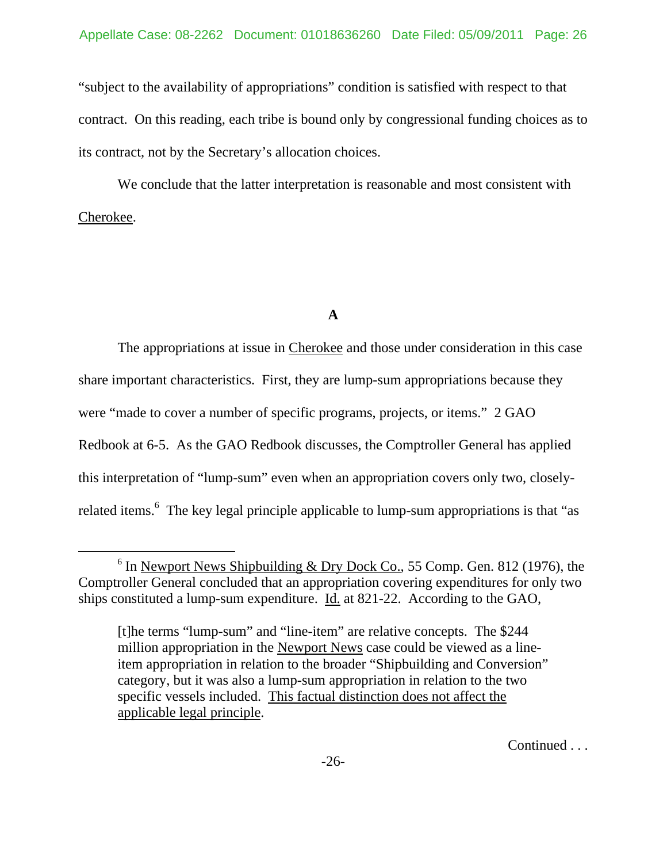"subject to the availability of appropriations" condition is satisfied with respect to that contract. On this reading, each tribe is bound only by congressional funding choices as to its contract, not by the Secretary's allocation choices.

We conclude that the latter interpretation is reasonable and most consistent with Cherokee.

## **A**

 The appropriations at issue in Cherokee and those under consideration in this case share important characteristics. First, they are lump-sum appropriations because they were "made to cover a number of specific programs, projects, or items." 2 GAO Redbook at 6-5. As the GAO Redbook discusses, the Comptroller General has applied this interpretation of "lump-sum" even when an appropriation covers only two, closelyrelated items.<sup>6</sup> The key legal principle applicable to lump-sum appropriations is that "as

Continued . . .

 $6$  In Newport News Shipbuilding & Dry Dock Co., 55 Comp. Gen. 812 (1976), the Comptroller General concluded that an appropriation covering expenditures for only two ships constituted a lump-sum expenditure. Id. at 821-22. According to the GAO,

<sup>[</sup>t]he terms "lump-sum" and "line-item" are relative concepts. The \$244 million appropriation in the Newport News case could be viewed as a lineitem appropriation in relation to the broader "Shipbuilding and Conversion" category, but it was also a lump-sum appropriation in relation to the two specific vessels included. This factual distinction does not affect the applicable legal principle.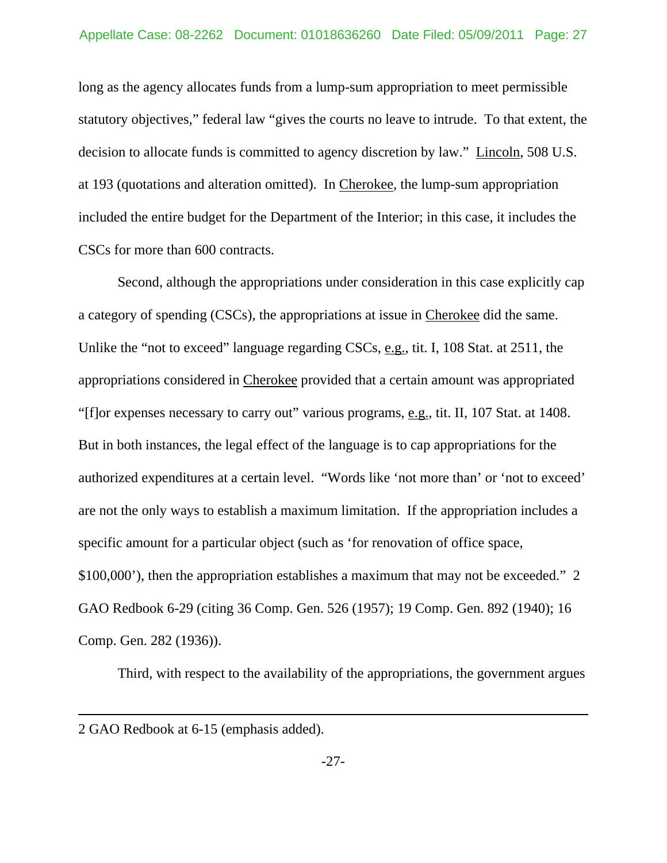long as the agency allocates funds from a lump-sum appropriation to meet permissible statutory objectives," federal law "gives the courts no leave to intrude. To that extent, the decision to allocate funds is committed to agency discretion by law." Lincoln, 508 U.S. at 193 (quotations and alteration omitted). In Cherokee, the lump-sum appropriation included the entire budget for the Department of the Interior; in this case, it includes the CSCs for more than 600 contracts.

Second, although the appropriations under consideration in this case explicitly cap a category of spending (CSCs), the appropriations at issue in Cherokee did the same. Unlike the "not to exceed" language regarding CSCs, e.g., tit. I, 108 Stat. at 2511, the appropriations considered in Cherokee provided that a certain amount was appropriated "[f]or expenses necessary to carry out" various programs, e.g., tit. II, 107 Stat. at 1408. But in both instances, the legal effect of the language is to cap appropriations for the authorized expenditures at a certain level. "Words like 'not more than' or 'not to exceed' are not the only ways to establish a maximum limitation. If the appropriation includes a specific amount for a particular object (such as 'for renovation of office space, \$100,000'), then the appropriation establishes a maximum that may not be exceeded." 2 GAO Redbook 6-29 (citing 36 Comp. Gen. 526 (1957); 19 Comp. Gen. 892 (1940); 16 Comp. Gen. 282 (1936)).

Third, with respect to the availability of the appropriations, the government argues

 $\overline{a}$ 

<sup>2</sup> GAO Redbook at 6-15 (emphasis added).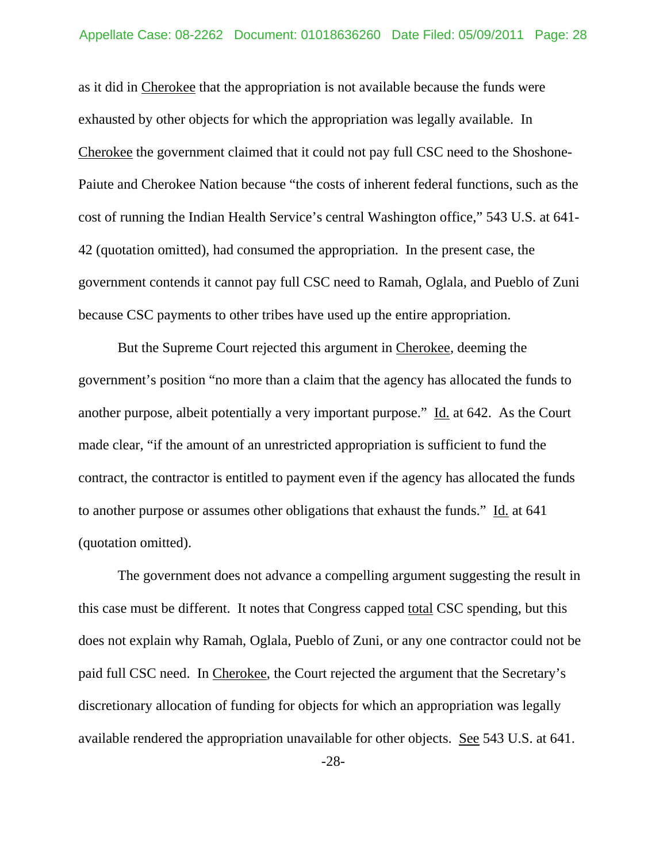as it did in Cherokee that the appropriation is not available because the funds were exhausted by other objects for which the appropriation was legally available. In Cherokee the government claimed that it could not pay full CSC need to the Shoshone-Paiute and Cherokee Nation because "the costs of inherent federal functions, such as the cost of running the Indian Health Service's central Washington office," 543 U.S. at 641- 42 (quotation omitted), had consumed the appropriation. In the present case, the government contends it cannot pay full CSC need to Ramah, Oglala, and Pueblo of Zuni because CSC payments to other tribes have used up the entire appropriation.

But the Supreme Court rejected this argument in Cherokee, deeming the government's position "no more than a claim that the agency has allocated the funds to another purpose, albeit potentially a very important purpose." Id. at 642. As the Court made clear, "if the amount of an unrestricted appropriation is sufficient to fund the contract, the contractor is entitled to payment even if the agency has allocated the funds to another purpose or assumes other obligations that exhaust the funds." Id. at 641 (quotation omitted).

The government does not advance a compelling argument suggesting the result in this case must be different. It notes that Congress capped total CSC spending, but this does not explain why Ramah, Oglala, Pueblo of Zuni, or any one contractor could not be paid full CSC need. In Cherokee, the Court rejected the argument that the Secretary's discretionary allocation of funding for objects for which an appropriation was legally available rendered the appropriation unavailable for other objects. See 543 U.S. at 641.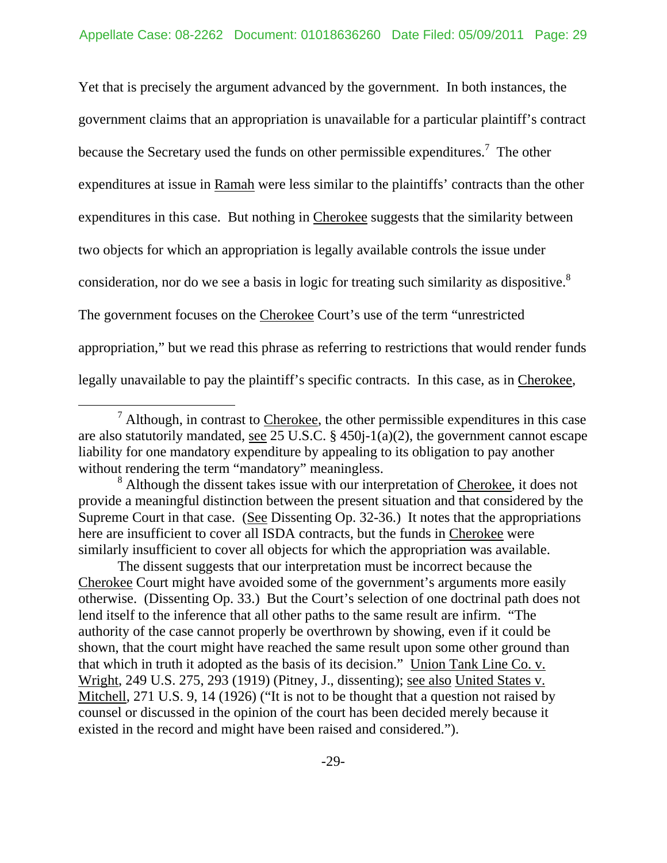Yet that is precisely the argument advanced by the government. In both instances, the government claims that an appropriation is unavailable for a particular plaintiff's contract because the Secretary used the funds on other permissible expenditures.<sup>7</sup> The other expenditures at issue in Ramah were less similar to the plaintiffs' contracts than the other expenditures in this case. But nothing in Cherokee suggests that the similarity between two objects for which an appropriation is legally available controls the issue under consideration, nor do we see a basis in logic for treating such similarity as dispositive.<sup>8</sup> The government focuses on the Cherokee Court's use of the term "unrestricted appropriation," but we read this phrase as referring to restrictions that would render funds legally unavailable to pay the plaintiff's specific contracts. In this case, as in Cherokee,

 $\frac{1}{7}$  $\alpha$ <sup>7</sup> Although, in contrast to Cherokee, the other permissible expenditures in this case are also statutorily mandated, see 25 U.S.C. § 450j-1(a)(2), the government cannot escape liability for one mandatory expenditure by appealing to its obligation to pay another without rendering the term "mandatory" meaningless.

<sup>&</sup>lt;sup>8</sup> Although the dissent takes issue with our interpretation of Cherokee, it does not provide a meaningful distinction between the present situation and that considered by the Supreme Court in that case. (See Dissenting Op. 32-36.) It notes that the appropriations here are insufficient to cover all ISDA contracts, but the funds in Cherokee were similarly insufficient to cover all objects for which the appropriation was available.

The dissent suggests that our interpretation must be incorrect because the Cherokee Court might have avoided some of the government's arguments more easily otherwise. (Dissenting Op. 33.) But the Court's selection of one doctrinal path does not lend itself to the inference that all other paths to the same result are infirm. "The authority of the case cannot properly be overthrown by showing, even if it could be shown, that the court might have reached the same result upon some other ground than that which in truth it adopted as the basis of its decision." Union Tank Line Co. v. Wright, 249 U.S. 275, 293 (1919) (Pitney, J., dissenting); see also United States v. Mitchell, 271 U.S. 9, 14 (1926) ("It is not to be thought that a question not raised by counsel or discussed in the opinion of the court has been decided merely because it existed in the record and might have been raised and considered.").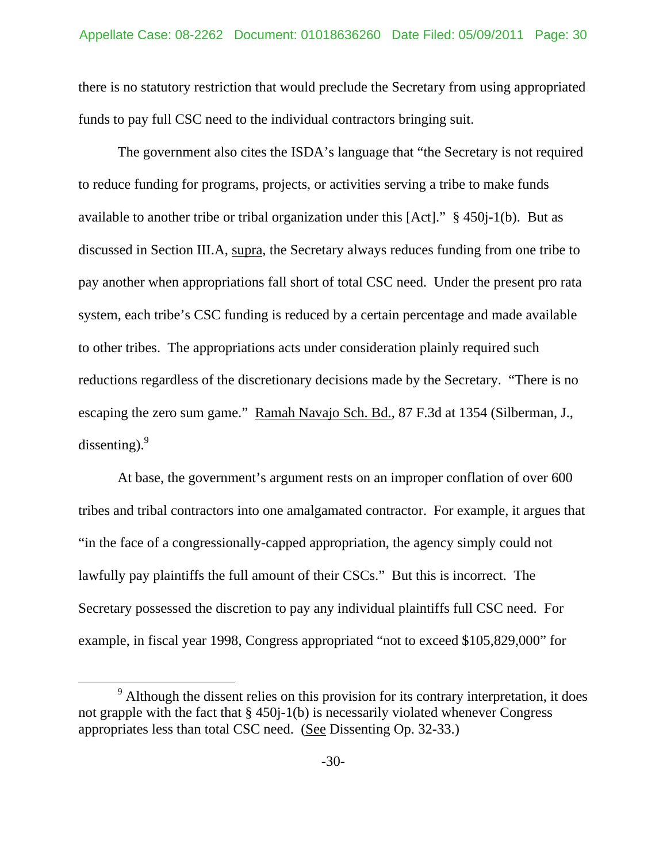there is no statutory restriction that would preclude the Secretary from using appropriated funds to pay full CSC need to the individual contractors bringing suit.

The government also cites the ISDA's language that "the Secretary is not required to reduce funding for programs, projects, or activities serving a tribe to make funds available to another tribe or tribal organization under this [Act]." § 450j-1(b). But as discussed in Section III.A, supra, the Secretary always reduces funding from one tribe to pay another when appropriations fall short of total CSC need. Under the present pro rata system, each tribe's CSC funding is reduced by a certain percentage and made available to other tribes. The appropriations acts under consideration plainly required such reductions regardless of the discretionary decisions made by the Secretary. "There is no escaping the zero sum game." Ramah Navajo Sch. Bd., 87 F.3d at 1354 (Silberman, J., dissenting). $9^{9}$ 

At base, the government's argument rests on an improper conflation of over 600 tribes and tribal contractors into one amalgamated contractor. For example, it argues that "in the face of a congressionally-capped appropriation, the agency simply could not lawfully pay plaintiffs the full amount of their CSCs." But this is incorrect. The Secretary possessed the discretion to pay any individual plaintiffs full CSC need. For example, in fiscal year 1998, Congress appropriated "not to exceed \$105,829,000" for

 $\frac{1}{9}$ <sup>9</sup> Although the dissent relies on this provision for its contrary interpretation, it does not grapple with the fact that  $\S$  450 $j$ -1(b) is necessarily violated whenever Congress appropriates less than total CSC need. (See Dissenting Op. 32-33.)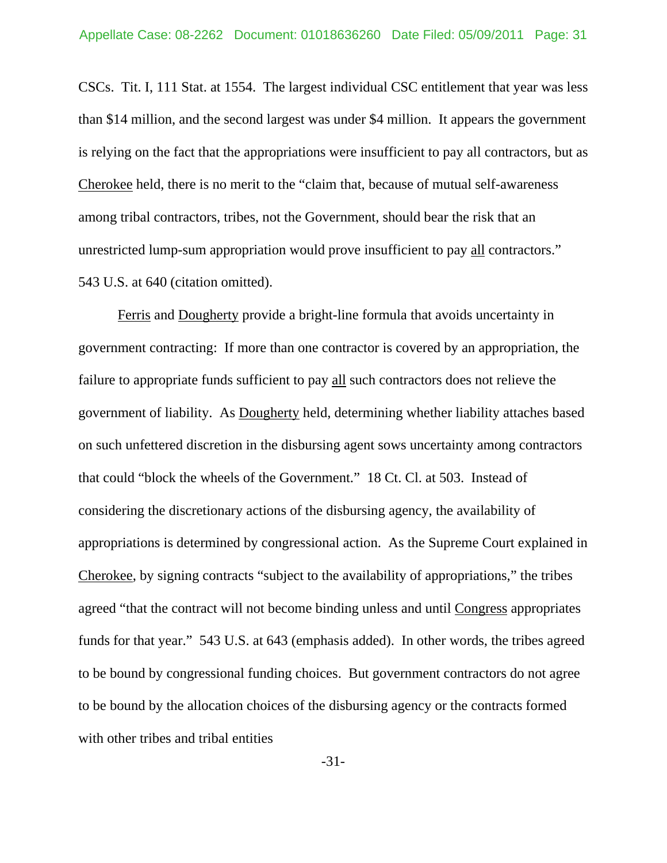CSCs. Tit. I, 111 Stat. at 1554. The largest individual CSC entitlement that year was less than \$14 million, and the second largest was under \$4 million. It appears the government is relying on the fact that the appropriations were insufficient to pay all contractors, but as Cherokee held, there is no merit to the "claim that, because of mutual self-awareness among tribal contractors, tribes, not the Government, should bear the risk that an unrestricted lump-sum appropriation would prove insufficient to pay all contractors." 543 U.S. at 640 (citation omitted).

Ferris and Dougherty provide a bright-line formula that avoids uncertainty in government contracting: If more than one contractor is covered by an appropriation, the failure to appropriate funds sufficient to pay all such contractors does not relieve the government of liability. As Dougherty held, determining whether liability attaches based on such unfettered discretion in the disbursing agent sows uncertainty among contractors that could "block the wheels of the Government." 18 Ct. Cl. at 503. Instead of considering the discretionary actions of the disbursing agency, the availability of appropriations is determined by congressional action. As the Supreme Court explained in Cherokee, by signing contracts "subject to the availability of appropriations," the tribes agreed "that the contract will not become binding unless and until Congress appropriates funds for that year." 543 U.S. at 643 (emphasis added). In other words, the tribes agreed to be bound by congressional funding choices. But government contractors do not agree to be bound by the allocation choices of the disbursing agency or the contracts formed with other tribes and tribal entities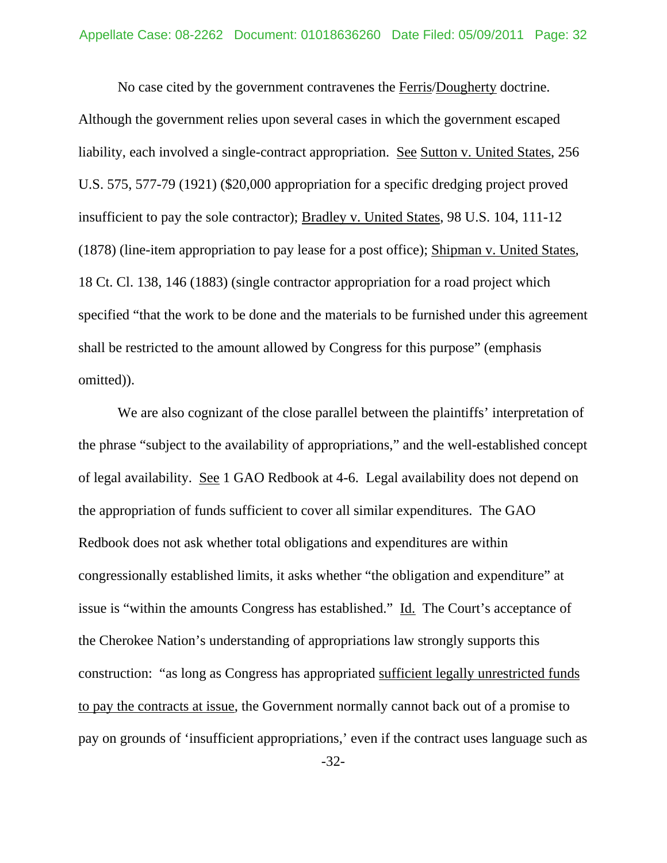No case cited by the government contravenes the Ferris/Dougherty doctrine. Although the government relies upon several cases in which the government escaped liability, each involved a single-contract appropriation. See Sutton v. United States, 256 U.S. 575, 577-79 (1921) (\$20,000 appropriation for a specific dredging project proved insufficient to pay the sole contractor); Bradley v. United States, 98 U.S. 104, 111-12 (1878) (line-item appropriation to pay lease for a post office); Shipman v. United States, 18 Ct. Cl. 138, 146 (1883) (single contractor appropriation for a road project which specified "that the work to be done and the materials to be furnished under this agreement shall be restricted to the amount allowed by Congress for this purpose" (emphasis omitted)).

We are also cognizant of the close parallel between the plaintiffs' interpretation of the phrase "subject to the availability of appropriations," and the well-established concept of legal availability. See 1 GAO Redbook at 4-6. Legal availability does not depend on the appropriation of funds sufficient to cover all similar expenditures. The GAO Redbook does not ask whether total obligations and expenditures are within congressionally established limits, it asks whether "the obligation and expenditure" at issue is "within the amounts Congress has established." Id. The Court's acceptance of the Cherokee Nation's understanding of appropriations law strongly supports this construction: "as long as Congress has appropriated sufficient legally unrestricted funds to pay the contracts at issue, the Government normally cannot back out of a promise to pay on grounds of 'insufficient appropriations,' even if the contract uses language such as

-32-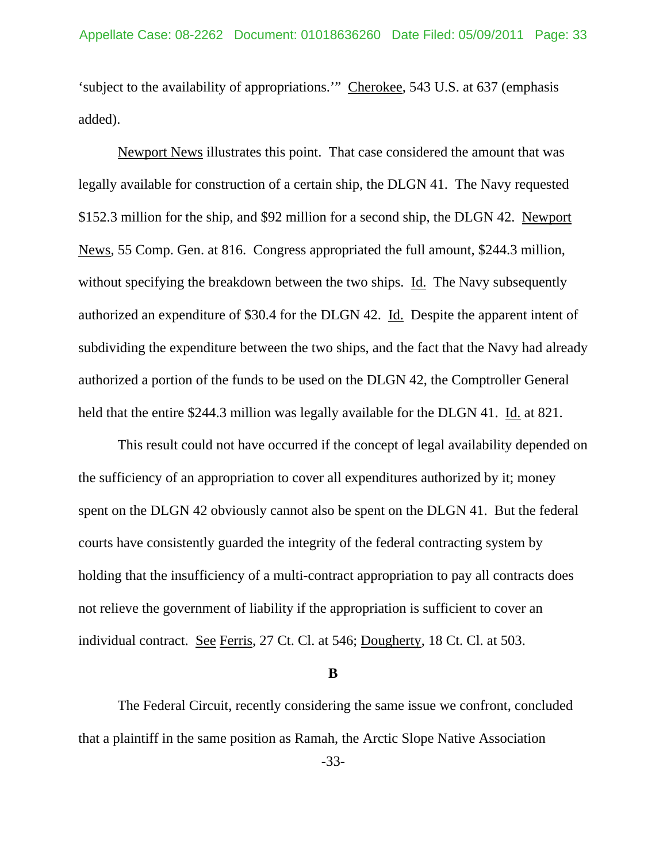'subject to the availability of appropriations.'" Cherokee, 543 U.S. at 637 (emphasis added).

Newport News illustrates this point. That case considered the amount that was legally available for construction of a certain ship, the DLGN 41. The Navy requested \$152.3 million for the ship, and \$92 million for a second ship, the DLGN 42. Newport News, 55 Comp. Gen. at 816. Congress appropriated the full amount, \$244.3 million, without specifying the breakdown between the two ships. Id. The Navy subsequently authorized an expenditure of \$30.4 for the DLGN 42. Id. Despite the apparent intent of subdividing the expenditure between the two ships, and the fact that the Navy had already authorized a portion of the funds to be used on the DLGN 42, the Comptroller General held that the entire \$244.3 million was legally available for the DLGN 41. Id. at 821.

 This result could not have occurred if the concept of legal availability depended on the sufficiency of an appropriation to cover all expenditures authorized by it; money spent on the DLGN 42 obviously cannot also be spent on the DLGN 41. But the federal courts have consistently guarded the integrity of the federal contracting system by holding that the insufficiency of a multi-contract appropriation to pay all contracts does not relieve the government of liability if the appropriation is sufficient to cover an individual contract. See Ferris, 27 Ct. Cl. at 546; Dougherty, 18 Ct. Cl. at 503.

**B** 

The Federal Circuit, recently considering the same issue we confront, concluded that a plaintiff in the same position as Ramah, the Arctic Slope Native Association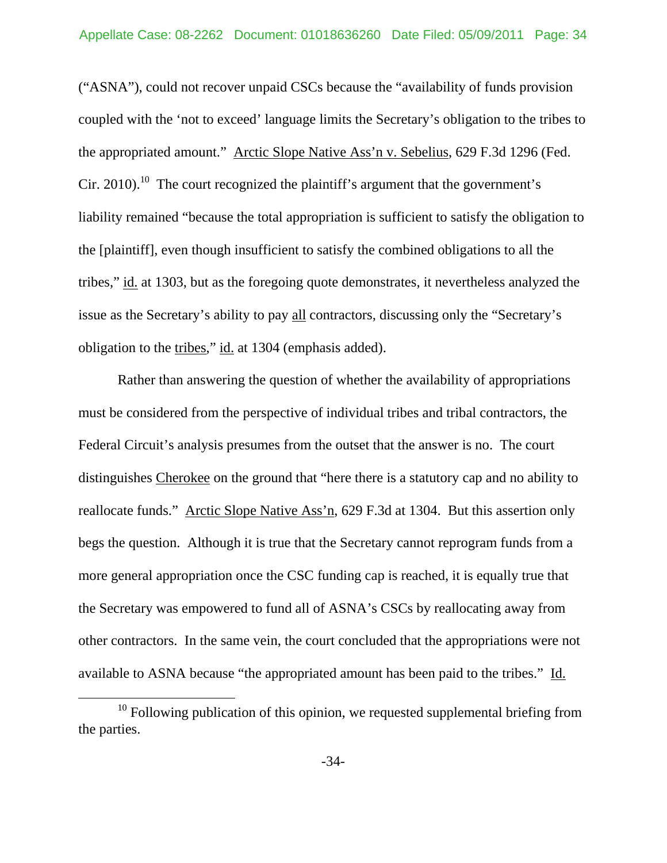("ASNA"), could not recover unpaid CSCs because the "availability of funds provision coupled with the 'not to exceed' language limits the Secretary's obligation to the tribes to the appropriated amount." Arctic Slope Native Ass'n v. Sebelius, 629 F.3d 1296 (Fed. Cir. 2010).<sup>10</sup> The court recognized the plaintiff's argument that the government's liability remained "because the total appropriation is sufficient to satisfy the obligation to the [plaintiff], even though insufficient to satisfy the combined obligations to all the tribes," id. at 1303, but as the foregoing quote demonstrates, it nevertheless analyzed the issue as the Secretary's ability to pay all contractors, discussing only the "Secretary's obligation to the tribes," id. at 1304 (emphasis added).

Rather than answering the question of whether the availability of appropriations must be considered from the perspective of individual tribes and tribal contractors, the Federal Circuit's analysis presumes from the outset that the answer is no. The court distinguishes Cherokee on the ground that "here there is a statutory cap and no ability to reallocate funds." Arctic Slope Native Ass'n, 629 F.3d at 1304. But this assertion only begs the question. Although it is true that the Secretary cannot reprogram funds from a more general appropriation once the CSC funding cap is reached, it is equally true that the Secretary was empowered to fund all of ASNA's CSCs by reallocating away from other contractors. In the same vein, the court concluded that the appropriations were not available to ASNA because "the appropriated amount has been paid to the tribes." Id.

 $10$  Following publication of this opinion, we requested supplemental briefing from the parties.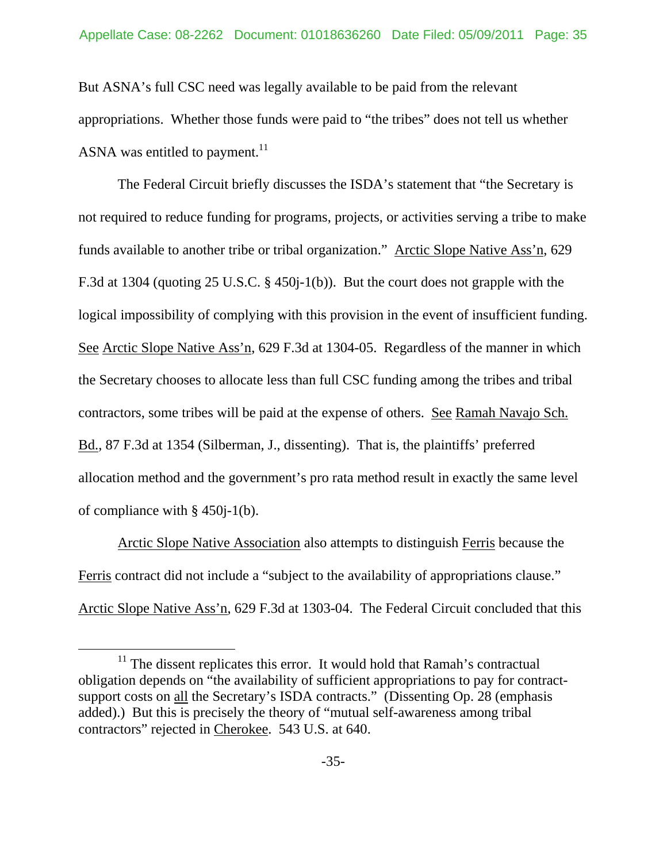But ASNA's full CSC need was legally available to be paid from the relevant appropriations. Whether those funds were paid to "the tribes" does not tell us whether ASNA was entitled to payment.<sup>11</sup>

The Federal Circuit briefly discusses the ISDA's statement that "the Secretary is not required to reduce funding for programs, projects, or activities serving a tribe to make funds available to another tribe or tribal organization." Arctic Slope Native Ass'n, 629 F.3d at 1304 (quoting 25 U.S.C. § 450j-1(b)). But the court does not grapple with the logical impossibility of complying with this provision in the event of insufficient funding. See Arctic Slope Native Ass'n, 629 F.3d at 1304-05. Regardless of the manner in which the Secretary chooses to allocate less than full CSC funding among the tribes and tribal contractors, some tribes will be paid at the expense of others. See Ramah Navajo Sch. Bd., 87 F.3d at 1354 (Silberman, J., dissenting). That is, the plaintiffs' preferred allocation method and the government's pro rata method result in exactly the same level of compliance with § 450j-1(b).

Arctic Slope Native Association also attempts to distinguish Ferris because the Ferris contract did not include a "subject to the availability of appropriations clause." Arctic Slope Native Ass'n, 629 F.3d at 1303-04. The Federal Circuit concluded that this

 $11$  The dissent replicates this error. It would hold that Ramah's contractual obligation depends on "the availability of sufficient appropriations to pay for contractsupport costs on all the Secretary's ISDA contracts." (Dissenting Op. 28 (emphasis added).) But this is precisely the theory of "mutual self-awareness among tribal contractors" rejected in Cherokee. 543 U.S. at 640.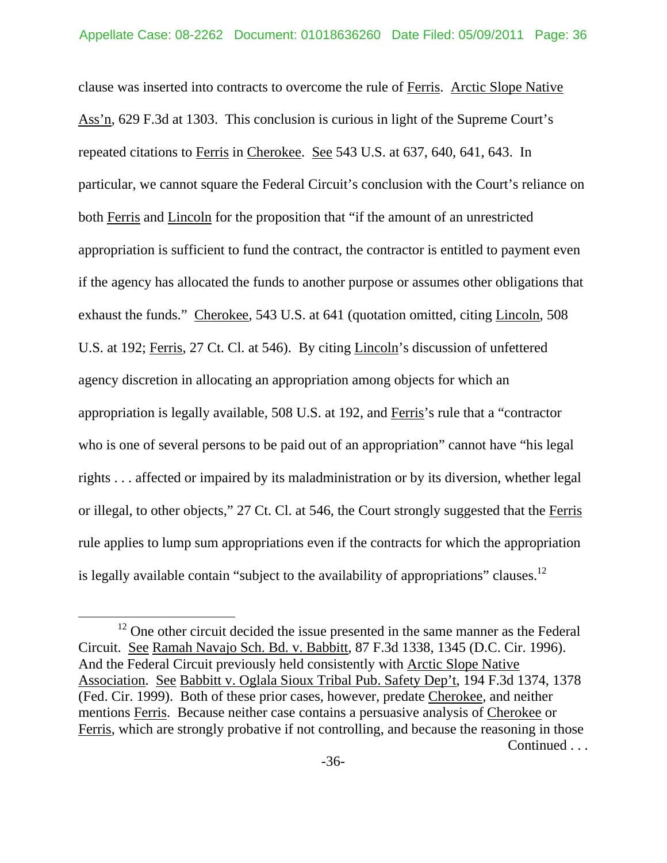clause was inserted into contracts to overcome the rule of Ferris. Arctic Slope Native Ass'n, 629 F.3d at 1303. This conclusion is curious in light of the Supreme Court's repeated citations to Ferris in Cherokee. See 543 U.S. at 637, 640, 641, 643. In particular, we cannot square the Federal Circuit's conclusion with the Court's reliance on both Ferris and Lincoln for the proposition that "if the amount of an unrestricted appropriation is sufficient to fund the contract, the contractor is entitled to payment even if the agency has allocated the funds to another purpose or assumes other obligations that exhaust the funds." Cherokee, 543 U.S. at 641 (quotation omitted, citing Lincoln, 508 U.S. at 192; Ferris, 27 Ct. Cl. at 546). By citing Lincoln's discussion of unfettered agency discretion in allocating an appropriation among objects for which an appropriation is legally available, 508 U.S. at 192, and Ferris's rule that a "contractor who is one of several persons to be paid out of an appropriation" cannot have "his legal rights . . . affected or impaired by its maladministration or by its diversion, whether legal or illegal, to other objects," 27 Ct. Cl. at 546, the Court strongly suggested that the Ferris rule applies to lump sum appropriations even if the contracts for which the appropriation is legally available contain "subject to the availability of appropriations" clauses.<sup>12</sup>

 $12$  One other circuit decided the issue presented in the same manner as the Federal Circuit. See Ramah Navajo Sch. Bd. v. Babbitt, 87 F.3d 1338, 1345 (D.C. Cir. 1996). And the Federal Circuit previously held consistently with Arctic Slope Native Association. See Babbitt v. Oglala Sioux Tribal Pub. Safety Dep't, 194 F.3d 1374, 1378 (Fed. Cir. 1999). Both of these prior cases, however, predate Cherokee, and neither mentions Ferris. Because neither case contains a persuasive analysis of Cherokee or Ferris, which are strongly probative if not controlling, and because the reasoning in those Continued . . .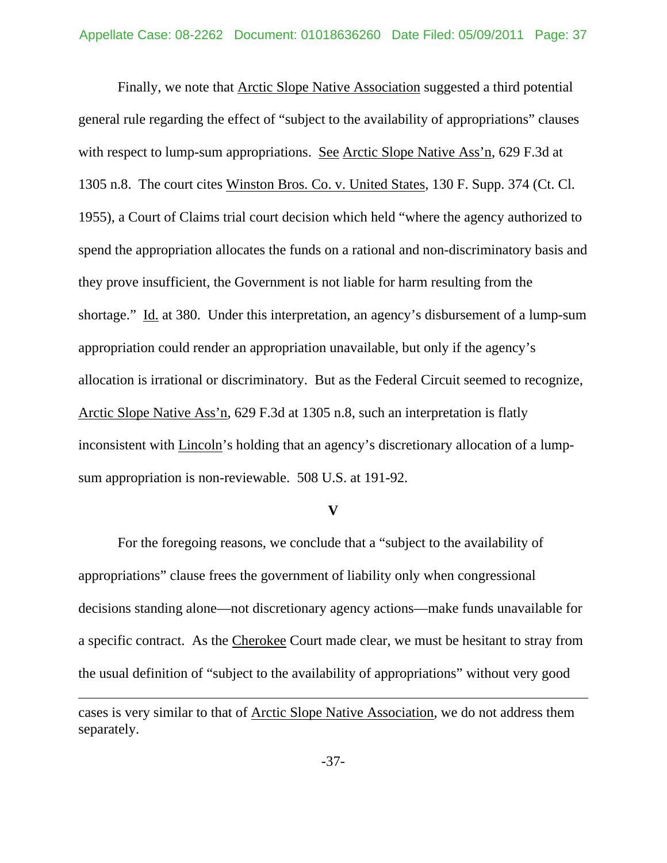Finally, we note that Arctic Slope Native Association suggested a third potential general rule regarding the effect of "subject to the availability of appropriations" clauses with respect to lump-sum appropriations. See Arctic Slope Native Ass'n, 629 F.3d at 1305 n.8. The court cites Winston Bros. Co. v. United States, 130 F. Supp. 374 (Ct. Cl. 1955), a Court of Claims trial court decision which held "where the agency authorized to spend the appropriation allocates the funds on a rational and non-discriminatory basis and they prove insufficient, the Government is not liable for harm resulting from the shortage." Id. at 380. Under this interpretation, an agency's disbursement of a lump-sum appropriation could render an appropriation unavailable, but only if the agency's allocation is irrational or discriminatory. But as the Federal Circuit seemed to recognize, Arctic Slope Native Ass'n, 629 F.3d at 1305 n.8, such an interpretation is flatly inconsistent with Lincoln's holding that an agency's discretionary allocation of a lumpsum appropriation is non-reviewable. 508 U.S. at 191-92.

#### **V**

 For the foregoing reasons, we conclude that a "subject to the availability of appropriations" clause frees the government of liability only when congressional decisions standing alone—not discretionary agency actions—make funds unavailable for a specific contract. As the Cherokee Court made clear, we must be hesitant to stray from the usual definition of "subject to the availability of appropriations" without very good

 $\overline{a}$ 

cases is very similar to that of Arctic Slope Native Association, we do not address them separately.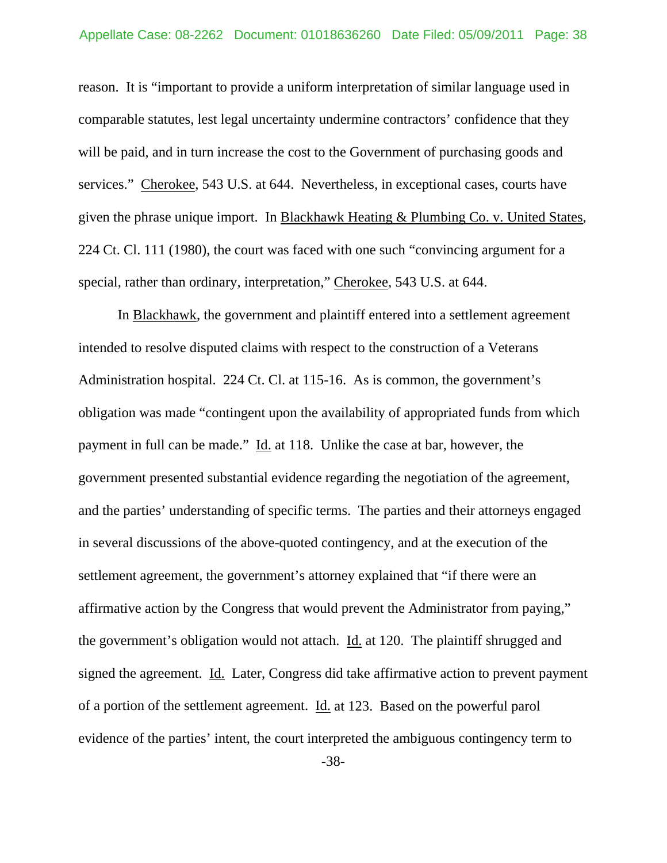reason. It is "important to provide a uniform interpretation of similar language used in comparable statutes, lest legal uncertainty undermine contractors' confidence that they will be paid, and in turn increase the cost to the Government of purchasing goods and services." Cherokee, 543 U.S. at 644. Nevertheless, in exceptional cases, courts have given the phrase unique import. In Blackhawk Heating & Plumbing Co. v. United States, 224 Ct. Cl. 111 (1980), the court was faced with one such "convincing argument for a special, rather than ordinary, interpretation," Cherokee, 543 U.S. at 644.

In Blackhawk, the government and plaintiff entered into a settlement agreement intended to resolve disputed claims with respect to the construction of a Veterans Administration hospital. 224 Ct. Cl. at 115-16. As is common, the government's obligation was made "contingent upon the availability of appropriated funds from which payment in full can be made." Id. at 118. Unlike the case at bar, however, the government presented substantial evidence regarding the negotiation of the agreement, and the parties' understanding of specific terms. The parties and their attorneys engaged in several discussions of the above-quoted contingency, and at the execution of the settlement agreement, the government's attorney explained that "if there were an affirmative action by the Congress that would prevent the Administrator from paying," the government's obligation would not attach. Id. at 120. The plaintiff shrugged and signed the agreement. Id. Later, Congress did take affirmative action to prevent payment of a portion of the settlement agreement. Id. at 123. Based on the powerful parol evidence of the parties' intent, the court interpreted the ambiguous contingency term to

-38-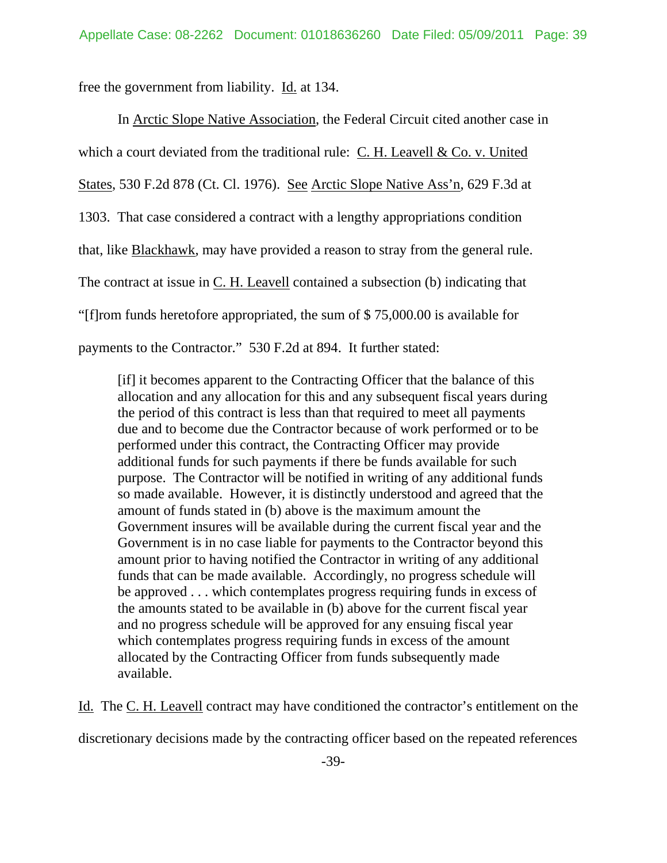free the government from liability. Id. at 134.

In Arctic Slope Native Association, the Federal Circuit cited another case in which a court deviated from the traditional rule: C. H. Leavell & Co. v. United States, 530 F.2d 878 (Ct. Cl. 1976). See Arctic Slope Native Ass'n, 629 F.3d at 1303. That case considered a contract with a lengthy appropriations condition that, like Blackhawk, may have provided a reason to stray from the general rule. The contract at issue in C. H. Leavell contained a subsection (b) indicating that "[f]rom funds heretofore appropriated, the sum of \$ 75,000.00 is available for payments to the Contractor." 530 F.2d at 894. It further stated:

[if] it becomes apparent to the Contracting Officer that the balance of this allocation and any allocation for this and any subsequent fiscal years during the period of this contract is less than that required to meet all payments due and to become due the Contractor because of work performed or to be performed under this contract, the Contracting Officer may provide additional funds for such payments if there be funds available for such purpose. The Contractor will be notified in writing of any additional funds so made available. However, it is distinctly understood and agreed that the amount of funds stated in (b) above is the maximum amount the Government insures will be available during the current fiscal year and the Government is in no case liable for payments to the Contractor beyond this amount prior to having notified the Contractor in writing of any additional funds that can be made available. Accordingly, no progress schedule will be approved . . . which contemplates progress requiring funds in excess of the amounts stated to be available in (b) above for the current fiscal year and no progress schedule will be approved for any ensuing fiscal year which contemplates progress requiring funds in excess of the amount allocated by the Contracting Officer from funds subsequently made available.

Id. The C. H. Leavell contract may have conditioned the contractor's entitlement on the

discretionary decisions made by the contracting officer based on the repeated references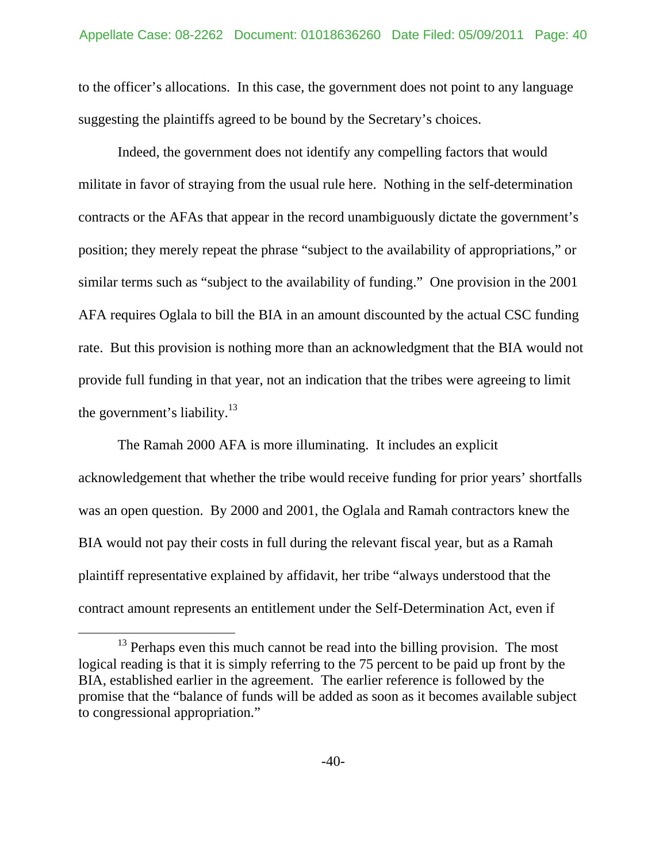to the officer's allocations. In this case, the government does not point to any language suggesting the plaintiffs agreed to be bound by the Secretary's choices.

Indeed, the government does not identify any compelling factors that would militate in favor of straying from the usual rule here. Nothing in the self-determination contracts or the AFAs that appear in the record unambiguously dictate the government's position; they merely repeat the phrase "subject to the availability of appropriations," or similar terms such as "subject to the availability of funding." One provision in the 2001 AFA requires Oglala to bill the BIA in an amount discounted by the actual CSC funding rate. But this provision is nothing more than an acknowledgment that the BIA would not provide full funding in that year, not an indication that the tribes were agreeing to limit the government's liability. $13$ 

The Ramah 2000 AFA is more illuminating. It includes an explicit acknowledgement that whether the tribe would receive funding for prior years' shortfalls was an open question. By 2000 and 2001, the Oglala and Ramah contractors knew the BIA would not pay their costs in full during the relevant fiscal year, but as a Ramah plaintiff representative explained by affidavit, her tribe "always understood that the contract amount represents an entitlement under the Self-Determination Act, even if

 $13$  Perhaps even this much cannot be read into the billing provision. The most logical reading is that it is simply referring to the 75 percent to be paid up front by the BIA, established earlier in the agreement. The earlier reference is followed by the promise that the "balance of funds will be added as soon as it becomes available subject to congressional appropriation."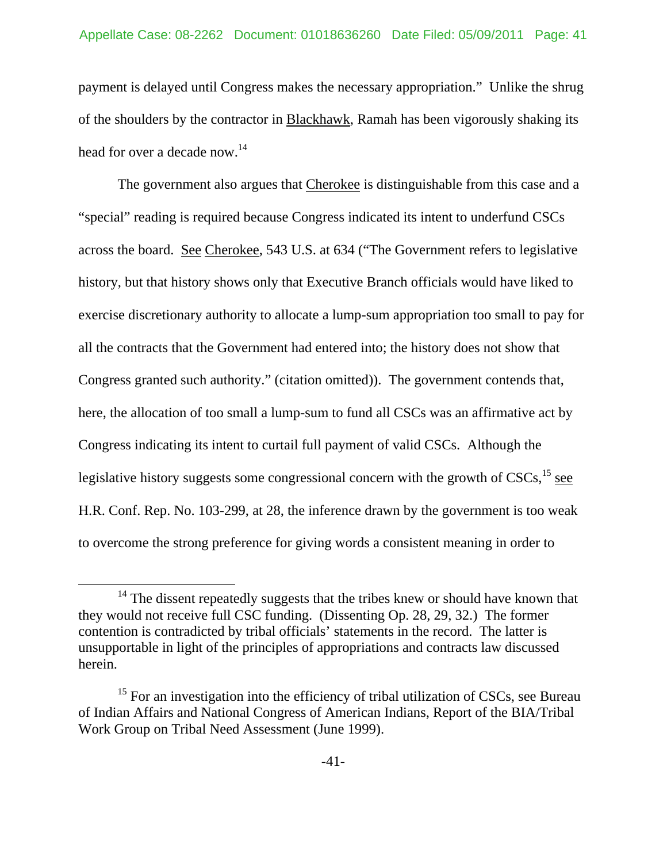payment is delayed until Congress makes the necessary appropriation." Unlike the shrug of the shoulders by the contractor in Blackhawk, Ramah has been vigorously shaking its head for over a decade now.<sup>14</sup>

The government also argues that Cherokee is distinguishable from this case and a "special" reading is required because Congress indicated its intent to underfund CSCs across the board. See Cherokee, 543 U.S. at 634 ("The Government refers to legislative history, but that history shows only that Executive Branch officials would have liked to exercise discretionary authority to allocate a lump-sum appropriation too small to pay for all the contracts that the Government had entered into; the history does not show that Congress granted such authority." (citation omitted)). The government contends that, here, the allocation of too small a lump-sum to fund all CSCs was an affirmative act by Congress indicating its intent to curtail full payment of valid CSCs. Although the legislative history suggests some congressional concern with the growth of  $CSCs$ ,  $^{15}$  see H.R. Conf. Rep. No. 103-299, at 28, the inference drawn by the government is too weak to overcome the strong preference for giving words a consistent meaning in order to

<sup>&</sup>lt;sup>14</sup> The dissent repeatedly suggests that the tribes knew or should have known that they would not receive full CSC funding. (Dissenting Op. 28, 29, 32.) The former contention is contradicted by tribal officials' statements in the record. The latter is unsupportable in light of the principles of appropriations and contracts law discussed herein.

<sup>&</sup>lt;sup>15</sup> For an investigation into the efficiency of tribal utilization of CSCs, see Bureau of Indian Affairs and National Congress of American Indians, Report of the BIA/Tribal Work Group on Tribal Need Assessment (June 1999).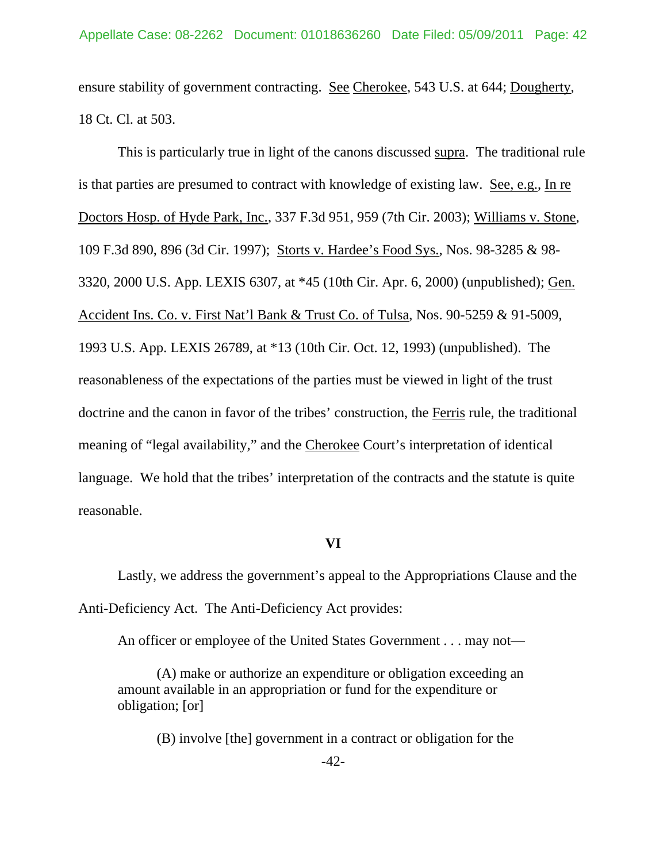ensure stability of government contracting. See Cherokee, 543 U.S. at 644; Dougherty, 18 Ct. Cl. at 503.

 This is particularly true in light of the canons discussed supra. The traditional rule is that parties are presumed to contract with knowledge of existing law. See, e.g., In re Doctors Hosp. of Hyde Park, Inc., 337 F.3d 951, 959 (7th Cir. 2003); Williams v. Stone, 109 F.3d 890, 896 (3d Cir. 1997); Storts v. Hardee's Food Sys., Nos. 98-3285 & 98- 3320, 2000 U.S. App. LEXIS 6307, at \*45 (10th Cir. Apr. 6, 2000) (unpublished); Gen. Accident Ins. Co. v. First Nat'l Bank & Trust Co. of Tulsa, Nos. 90-5259 & 91-5009, 1993 U.S. App. LEXIS 26789, at \*13 (10th Cir. Oct. 12, 1993) (unpublished). The reasonableness of the expectations of the parties must be viewed in light of the trust doctrine and the canon in favor of the tribes' construction, the Ferris rule, the traditional meaning of "legal availability," and the Cherokee Court's interpretation of identical language. We hold that the tribes' interpretation of the contracts and the statute is quite reasonable.

### **VI**

 Lastly, we address the government's appeal to the Appropriations Clause and the Anti-Deficiency Act. The Anti-Deficiency Act provides:

An officer or employee of the United States Government . . . may not—

(A) make or authorize an expenditure or obligation exceeding an amount available in an appropriation or fund for the expenditure or obligation; [or]

(B) involve [the] government in a contract or obligation for the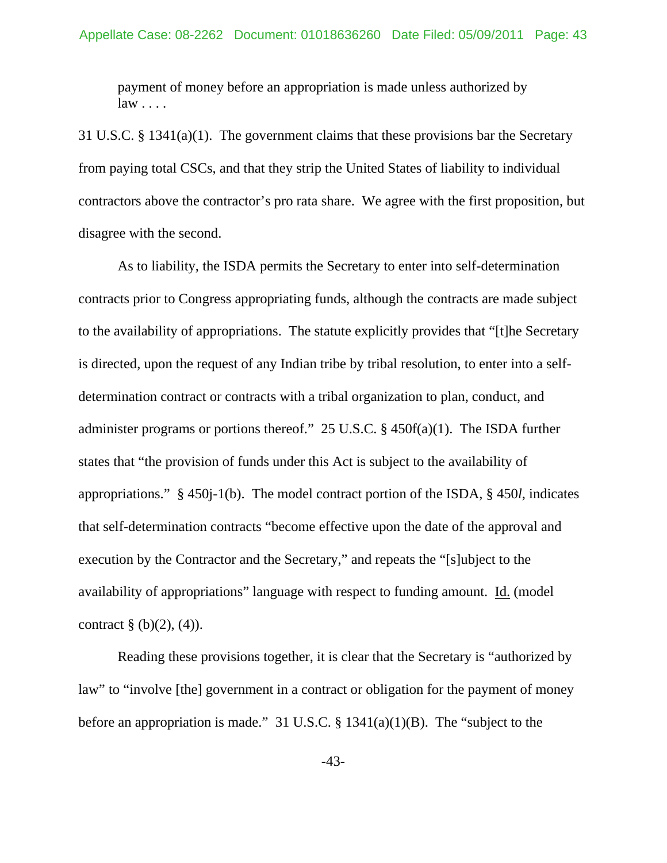payment of money before an appropriation is made unless authorized by  $law \ldots$ .

31 U.S.C. § 1341(a)(1). The government claims that these provisions bar the Secretary from paying total CSCs, and that they strip the United States of liability to individual contractors above the contractor's pro rata share. We agree with the first proposition, but disagree with the second.

 As to liability, the ISDA permits the Secretary to enter into self-determination contracts prior to Congress appropriating funds, although the contracts are made subject to the availability of appropriations. The statute explicitly provides that "[t]he Secretary is directed, upon the request of any Indian tribe by tribal resolution, to enter into a selfdetermination contract or contracts with a tribal organization to plan, conduct, and administer programs or portions thereof." 25 U.S.C. § 450f(a)(1). The ISDA further states that "the provision of funds under this Act is subject to the availability of appropriations." § 450j-1(b). The model contract portion of the ISDA, § 450*l*, indicates that self-determination contracts "become effective upon the date of the approval and execution by the Contractor and the Secretary," and repeats the "[s]ubject to the availability of appropriations" language with respect to funding amount. Id. (model contract  $\S$  (b)(2), (4)).

Reading these provisions together, it is clear that the Secretary is "authorized by law" to "involve [the] government in a contract or obligation for the payment of money before an appropriation is made." 31 U.S.C.  $\S$  1341(a)(1)(B). The "subject to the

-43-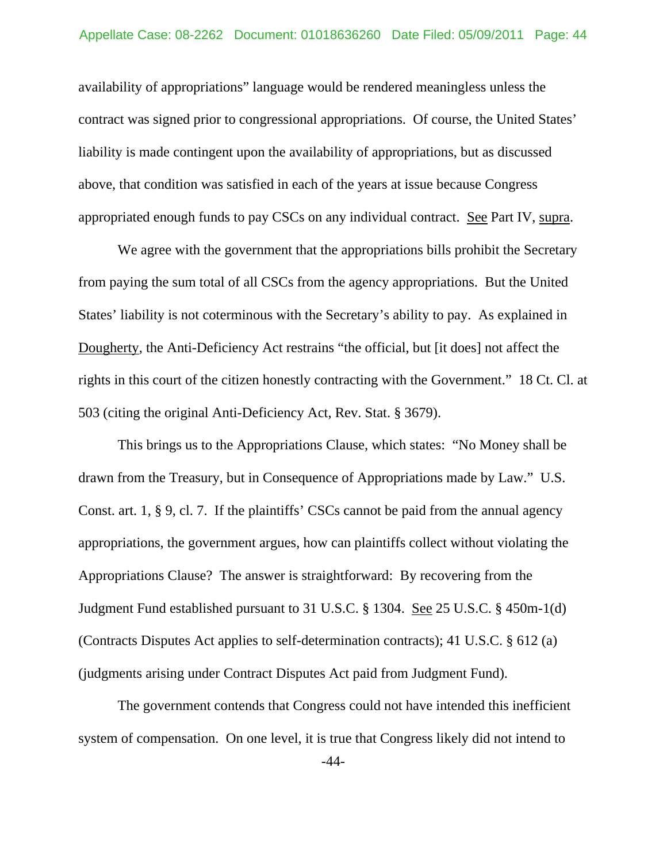availability of appropriations" language would be rendered meaningless unless the contract was signed prior to congressional appropriations. Of course, the United States' liability is made contingent upon the availability of appropriations, but as discussed above, that condition was satisfied in each of the years at issue because Congress appropriated enough funds to pay CSCs on any individual contract. See Part IV, supra.

We agree with the government that the appropriations bills prohibit the Secretary from paying the sum total of all CSCs from the agency appropriations. But the United States' liability is not coterminous with the Secretary's ability to pay. As explained in Dougherty, the Anti-Deficiency Act restrains "the official, but [it does] not affect the rights in this court of the citizen honestly contracting with the Government." 18 Ct. Cl. at 503 (citing the original Anti-Deficiency Act, Rev. Stat. § 3679).

 This brings us to the Appropriations Clause, which states: "No Money shall be drawn from the Treasury, but in Consequence of Appropriations made by Law." U.S. Const. art. 1, § 9, cl. 7. If the plaintiffs' CSCs cannot be paid from the annual agency appropriations, the government argues, how can plaintiffs collect without violating the Appropriations Clause? The answer is straightforward: By recovering from the Judgment Fund established pursuant to 31 U.S.C. § 1304. See 25 U.S.C. § 450m-1(d) (Contracts Disputes Act applies to self-determination contracts); 41 U.S.C. § 612 (a) (judgments arising under Contract Disputes Act paid from Judgment Fund).

The government contends that Congress could not have intended this inefficient system of compensation. On one level, it is true that Congress likely did not intend to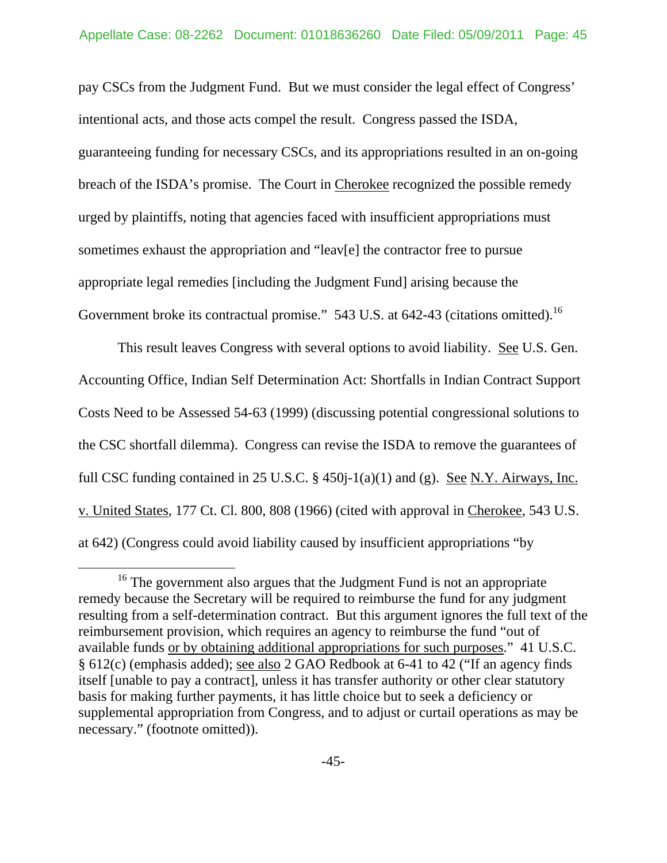pay CSCs from the Judgment Fund. But we must consider the legal effect of Congress' intentional acts, and those acts compel the result. Congress passed the ISDA, guaranteeing funding for necessary CSCs, and its appropriations resulted in an on-going breach of the ISDA's promise. The Court in Cherokee recognized the possible remedy urged by plaintiffs, noting that agencies faced with insufficient appropriations must sometimes exhaust the appropriation and "leav[e] the contractor free to pursue appropriate legal remedies [including the Judgment Fund] arising because the Government broke its contractual promise." 543 U.S. at 642-43 (citations omitted).<sup>16</sup>

 This result leaves Congress with several options to avoid liability. See U.S. Gen. Accounting Office, Indian Self Determination Act: Shortfalls in Indian Contract Support Costs Need to be Assessed 54-63 (1999) (discussing potential congressional solutions to the CSC shortfall dilemma). Congress can revise the ISDA to remove the guarantees of full CSC funding contained in 25 U.S.C.  $\S$  450 $j-1(a)(1)$  and (g). See N.Y. Airways, Inc. v. United States, 177 Ct. Cl. 800, 808 (1966) (cited with approval in Cherokee, 543 U.S. at 642) (Congress could avoid liability caused by insufficient appropriations "by

<sup>&</sup>lt;sup>16</sup> The government also argues that the Judgment Fund is not an appropriate remedy because the Secretary will be required to reimburse the fund for any judgment resulting from a self-determination contract. But this argument ignores the full text of the reimbursement provision, which requires an agency to reimburse the fund "out of available funds or by obtaining additional appropriations for such purposes." 41 U.S.C. § 612(c) (emphasis added); see also 2 GAO Redbook at 6-41 to 42 ("If an agency finds itself [unable to pay a contract], unless it has transfer authority or other clear statutory basis for making further payments, it has little choice but to seek a deficiency or supplemental appropriation from Congress, and to adjust or curtail operations as may be necessary." (footnote omitted)).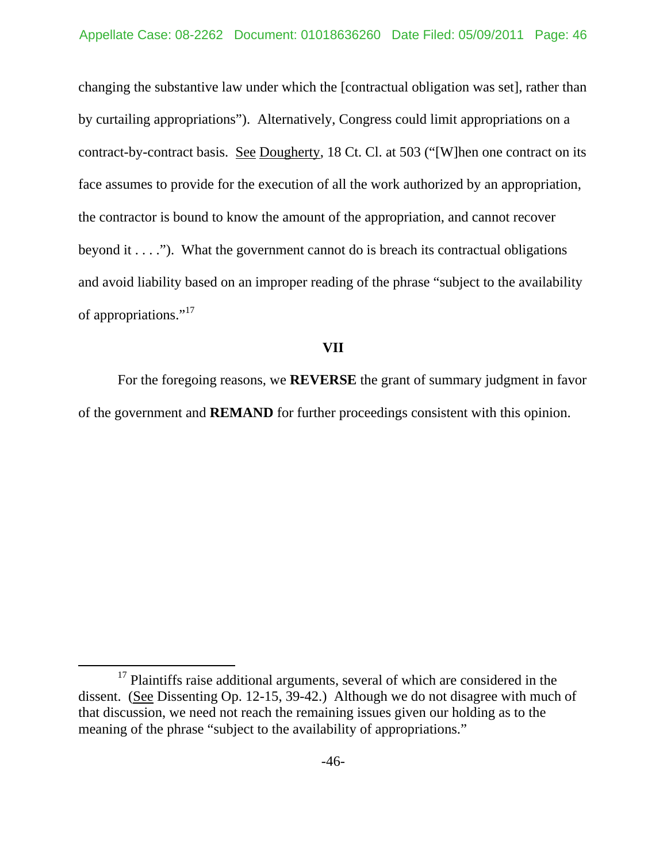changing the substantive law under which the [contractual obligation was set], rather than by curtailing appropriations"). Alternatively, Congress could limit appropriations on a contract-by-contract basis. <u>See Dougherty</u>, 18 Ct. Cl. at 503 ("[W]hen one contract on its face assumes to provide for the execution of all the work authorized by an appropriation, the contractor is bound to know the amount of the appropriation, and cannot recover beyond it  $\dots$  ."). What the government cannot do is breach its contractual obligations and avoid liability based on an improper reading of the phrase "subject to the availability of appropriations."<sup>17</sup>

#### **VII**

 For the foregoing reasons, we **REVERSE** the grant of summary judgment in favor of the government and **REMAND** for further proceedings consistent with this opinion.

<sup>&</sup>lt;sup>17</sup> Plaintiffs raise additional arguments, several of which are considered in the dissent. (See Dissenting Op. 12-15, 39-42.) Although we do not disagree with much of that discussion, we need not reach the remaining issues given our holding as to the meaning of the phrase "subject to the availability of appropriations."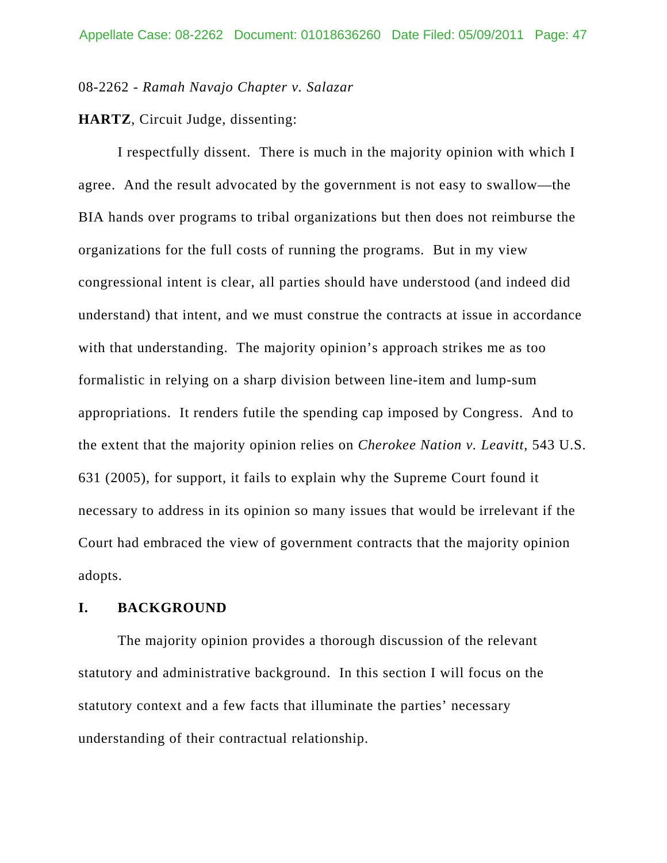08-2262 - *Ramah Navajo Chapter v. Salazar*

**HARTZ**, Circuit Judge, dissenting:

I respectfully dissent. There is much in the majority opinion with which I agree. And the result advocated by the government is not easy to swallow—the BIA hands over programs to tribal organizations but then does not reimburse the organizations for the full costs of running the programs. But in my view congressional intent is clear, all parties should have understood (and indeed did understand) that intent, and we must construe the contracts at issue in accordance with that understanding. The majority opinion's approach strikes me as too formalistic in relying on a sharp division between line-item and lump-sum appropriations. It renders futile the spending cap imposed by Congress. And to the extent that the majority opinion relies on *Cherokee Nation v. Leavitt*, 543 U.S. 631 (2005), for support, it fails to explain why the Supreme Court found it necessary to address in its opinion so many issues that would be irrelevant if the Court had embraced the view of government contracts that the majority opinion adopts.

### **I. BACKGROUND**

The majority opinion provides a thorough discussion of the relevant statutory and administrative background. In this section I will focus on the statutory context and a few facts that illuminate the parties' necessary understanding of their contractual relationship.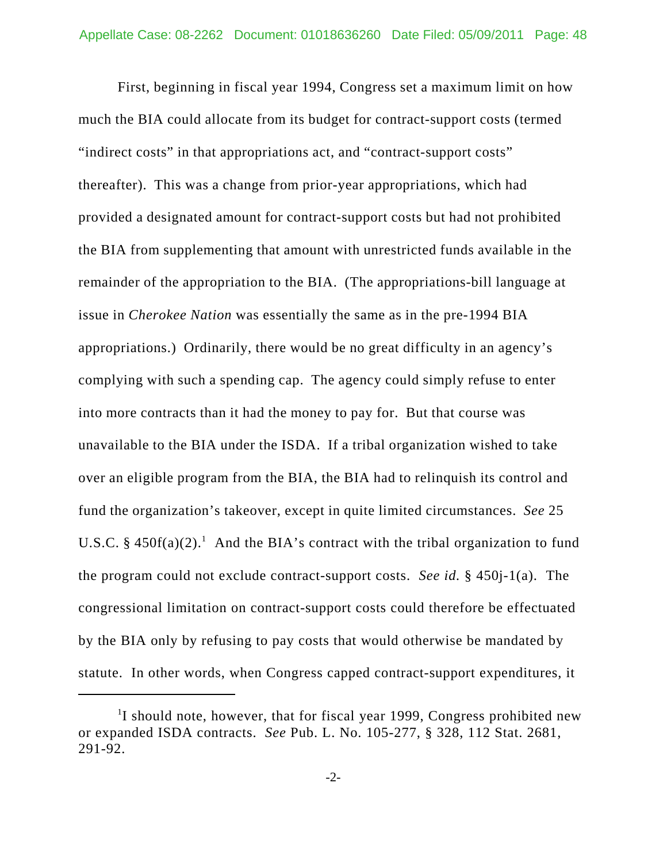First, beginning in fiscal year 1994, Congress set a maximum limit on how much the BIA could allocate from its budget for contract-support costs (termed "indirect costs" in that appropriations act, and "contract-support costs" thereafter). This was a change from prior-year appropriations, which had provided a designated amount for contract-support costs but had not prohibited the BIA from supplementing that amount with unrestricted funds available in the remainder of the appropriation to the BIA. (The appropriations-bill language at issue in *Cherokee Nation* was essentially the same as in the pre-1994 BIA appropriations.) Ordinarily, there would be no great difficulty in an agency's complying with such a spending cap. The agency could simply refuse to enter into more contracts than it had the money to pay for. But that course was unavailable to the BIA under the ISDA. If a tribal organization wished to take over an eligible program from the BIA, the BIA had to relinquish its control and fund the organization's takeover, except in quite limited circumstances. *See* 25 U.S.C. § 450 $f(a)(2)$ .<sup>1</sup> And the BIA's contract with the tribal organization to fund the program could not exclude contract-support costs. *See id.* § 450j-1(a). The congressional limitation on contract-support costs could therefore be effectuated by the BIA only by refusing to pay costs that would otherwise be mandated by statute. In other words, when Congress capped contract-support expenditures, it

<sup>&</sup>lt;sup>1</sup>I should note, however, that for fiscal year 1999, Congress prohibited new or expanded ISDA contracts. *See* Pub. L. No. 105-277, § 328, 112 Stat. 2681, 291-92.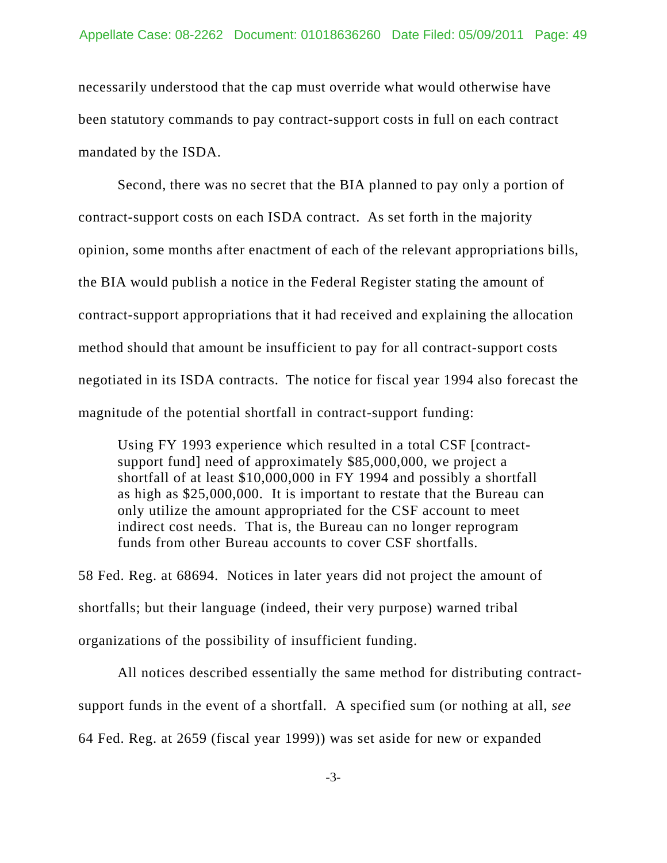necessarily understood that the cap must override what would otherwise have been statutory commands to pay contract-support costs in full on each contract mandated by the ISDA.

Second, there was no secret that the BIA planned to pay only a portion of contract-support costs on each ISDA contract. As set forth in the majority opinion, some months after enactment of each of the relevant appropriations bills, the BIA would publish a notice in the Federal Register stating the amount of contract-support appropriations that it had received and explaining the allocation method should that amount be insufficient to pay for all contract-support costs negotiated in its ISDA contracts. The notice for fiscal year 1994 also forecast the magnitude of the potential shortfall in contract-support funding:

Using FY 1993 experience which resulted in a total CSF [contractsupport fund] need of approximately \$85,000,000, we project a shortfall of at least \$10,000,000 in FY 1994 and possibly a shortfall as high as \$25,000,000. It is important to restate that the Bureau can only utilize the amount appropriated for the CSF account to meet indirect cost needs. That is, the Bureau can no longer reprogram funds from other Bureau accounts to cover CSF shortfalls.

58 Fed. Reg. at 68694. Notices in later years did not project the amount of shortfalls; but their language (indeed, their very purpose) warned tribal organizations of the possibility of insufficient funding.

All notices described essentially the same method for distributing contractsupport funds in the event of a shortfall. A specified sum (or nothing at all, *see* 64 Fed. Reg. at 2659 (fiscal year 1999)) was set aside for new or expanded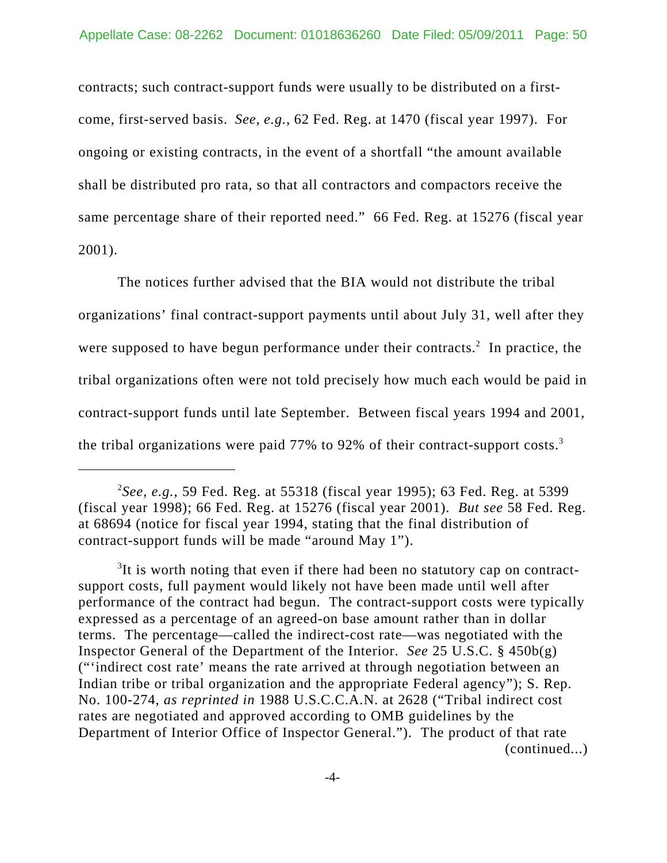contracts; such contract-support funds were usually to be distributed on a firstcome, first-served basis. *See, e.g.*, 62 Fed. Reg. at 1470 (fiscal year 1997). For ongoing or existing contracts, in the event of a shortfall "the amount available shall be distributed pro rata, so that all contractors and compactors receive the same percentage share of their reported need." 66 Fed. Reg. at 15276 (fiscal year 2001).

The notices further advised that the BIA would not distribute the tribal organizations' final contract-support payments until about July 31, well after they were supposed to have begun performance under their contracts.<sup>2</sup> In practice, the tribal organizations often were not told precisely how much each would be paid in contract-support funds until late September. Between fiscal years 1994 and 2001, the tribal organizations were paid 77% to 92% of their contract-support costs.<sup>3</sup>

<sup>2</sup> *See, e.g.*, 59 Fed. Reg. at 55318 (fiscal year 1995); 63 Fed. Reg. at 5399 (fiscal year 1998); 66 Fed. Reg. at 15276 (fiscal year 2001). *But see* 58 Fed. Reg. at 68694 (notice for fiscal year 1994, stating that the final distribution of contract-support funds will be made "around May 1").

<sup>&</sup>lt;sup>3</sup>It is worth noting that even if there had been no statutory cap on contractsupport costs, full payment would likely not have been made until well after performance of the contract had begun. The contract-support costs were typically expressed as a percentage of an agreed-on base amount rather than in dollar terms. The percentage—called the indirect-cost rate—was negotiated with the Inspector General of the Department of the Interior. *See* 25 U.S.C. § 450b(g) ("'indirect cost rate' means the rate arrived at through negotiation between an Indian tribe or tribal organization and the appropriate Federal agency"); S. Rep. No. 100-274, *as reprinted in* 1988 U.S.C.C.A.N. at 2628 ("Tribal indirect cost rates are negotiated and approved according to OMB guidelines by the Department of Interior Office of Inspector General."). The product of that rate (continued...)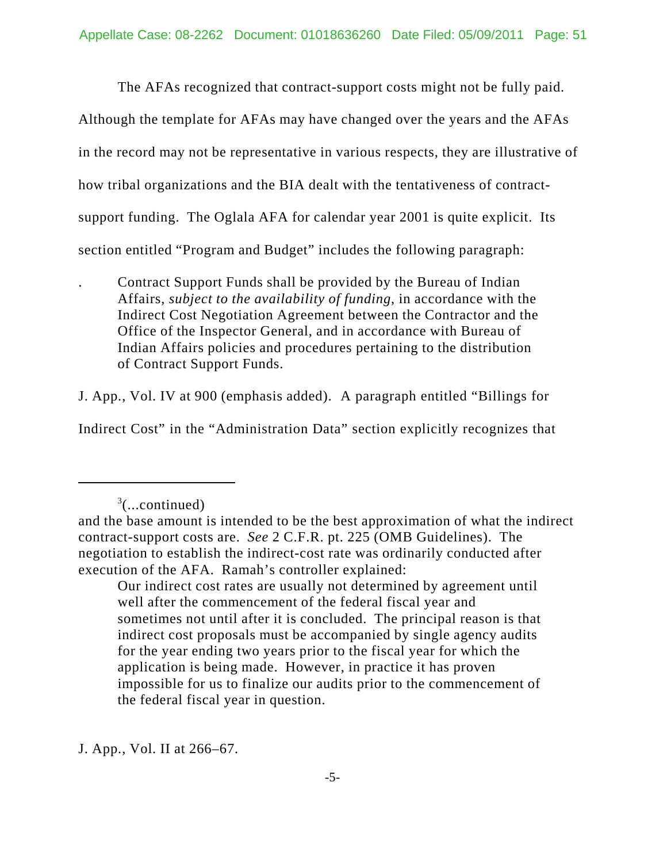The AFAs recognized that contract-support costs might not be fully paid.

Although the template for AFAs may have changed over the years and the AFAs in the record may not be representative in various respects, they are illustrative of how tribal organizations and the BIA dealt with the tentativeness of contractsupport funding. The Oglala AFA for calendar year 2001 is quite explicit. Its section entitled "Program and Budget" includes the following paragraph:

. Contract Support Funds shall be provided by the Bureau of Indian Affairs, *subject to the availability of funding*, in accordance with the Indirect Cost Negotiation Agreement between the Contractor and the Office of the Inspector General, and in accordance with Bureau of Indian Affairs policies and procedures pertaining to the distribution of Contract Support Funds.

J. App., Vol. IV at 900 (emphasis added). A paragraph entitled "Billings for Indirect Cost" in the "Administration Data" section explicitly recognizes that

J. App., Vol. II at 266–67.

 $3$ (...continued)

and the base amount is intended to be the best approximation of what the indirect contract-support costs are. *See* 2 C.F.R. pt. 225 (OMB Guidelines). The negotiation to establish the indirect-cost rate was ordinarily conducted after execution of the AFA. Ramah's controller explained:

Our indirect cost rates are usually not determined by agreement until well after the commencement of the federal fiscal year and sometimes not until after it is concluded. The principal reason is that indirect cost proposals must be accompanied by single agency audits for the year ending two years prior to the fiscal year for which the application is being made. However, in practice it has proven impossible for us to finalize our audits prior to the commencement of the federal fiscal year in question.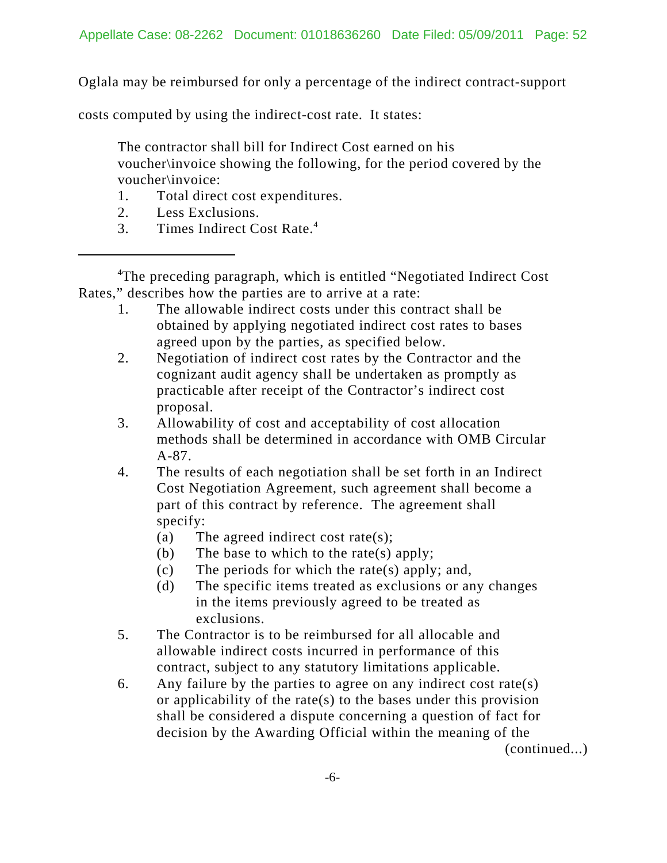Oglala may be reimbursed for only a percentage of the indirect contract-support

costs computed by using the indirect-cost rate. It states:

The contractor shall bill for Indirect Cost earned on his voucher\invoice showing the following, for the period covered by the voucher\invoice:

- 1. Total direct cost expenditures.
- 2. Less Exclusions.
- 3. Times Indirect Cost Rate.4

<sup>4</sup>The preceding paragraph, which is entitled "Negotiated Indirect Cost Rates," describes how the parties are to arrive at a rate:

- 1. The allowable indirect costs under this contract shall be obtained by applying negotiated indirect cost rates to bases agreed upon by the parties, as specified below.
- 2. Negotiation of indirect cost rates by the Contractor and the cognizant audit agency shall be undertaken as promptly as practicable after receipt of the Contractor's indirect cost proposal.
- 3. Allowability of cost and acceptability of cost allocation methods shall be determined in accordance with OMB Circular A-87.
- 4. The results of each negotiation shall be set forth in an Indirect Cost Negotiation Agreement, such agreement shall become a part of this contract by reference. The agreement shall specify:
	- (a) The agreed indirect cost rate(s);
	- (b) The base to which to the rate(s) apply;
	- (c) The periods for which the rate(s) apply; and,
	- (d) The specific items treated as exclusions or any changes in the items previously agreed to be treated as exclusions.
- 5. The Contractor is to be reimbursed for all allocable and allowable indirect costs incurred in performance of this contract, subject to any statutory limitations applicable.
- 6. Any failure by the parties to agree on any indirect cost rate(s) or applicability of the rate(s) to the bases under this provision shall be considered a dispute concerning a question of fact for decision by the Awarding Official within the meaning of the

(continued...)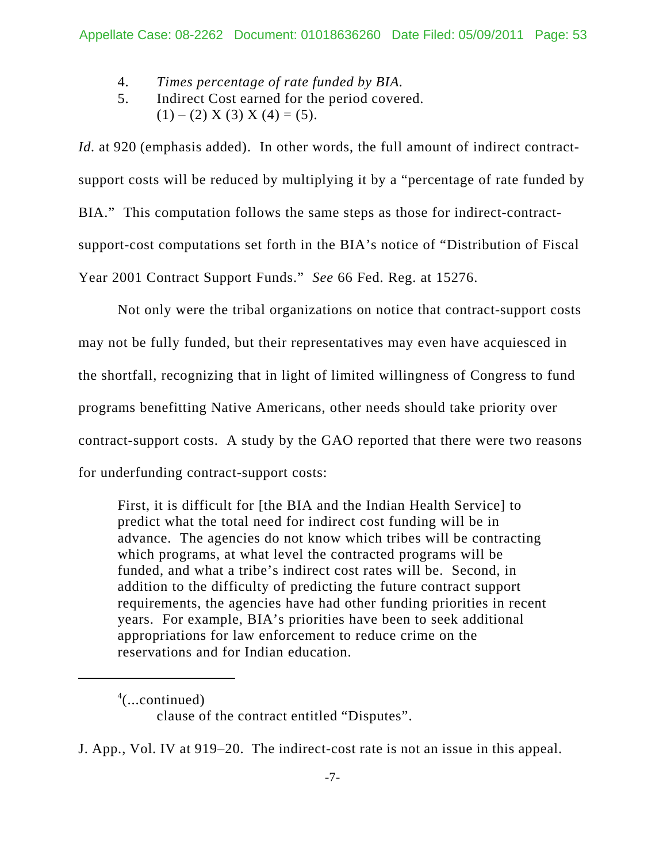- 4. *Times percentage of rate funded by BIA.*
- 5. Indirect Cost earned for the period covered.  $(1) - (2) X (3) X (4) = (5).$

*Id.* at 920 (emphasis added). In other words, the full amount of indirect contractsupport costs will be reduced by multiplying it by a "percentage of rate funded by BIA." This computation follows the same steps as those for indirect-contractsupport-cost computations set forth in the BIA's notice of "Distribution of Fiscal Year 2001 Contract Support Funds." *See* 66 Fed. Reg. at 15276.

Not only were the tribal organizations on notice that contract-support costs may not be fully funded, but their representatives may even have acquiesced in the shortfall, recognizing that in light of limited willingness of Congress to fund programs benefitting Native Americans, other needs should take priority over contract-support costs. A study by the GAO reported that there were two reasons for underfunding contract-support costs:

First, it is difficult for [the BIA and the Indian Health Service] to predict what the total need for indirect cost funding will be in advance. The agencies do not know which tribes will be contracting which programs, at what level the contracted programs will be funded, and what a tribe's indirect cost rates will be. Second, in addition to the difficulty of predicting the future contract support requirements, the agencies have had other funding priorities in recent years. For example, BIA's priorities have been to seek additional appropriations for law enforcement to reduce crime on the reservations and for Indian education.

<sup>4</sup> (...continued) clause of the contract entitled "Disputes".

J. App., Vol. IV at 919–20. The indirect-cost rate is not an issue in this appeal.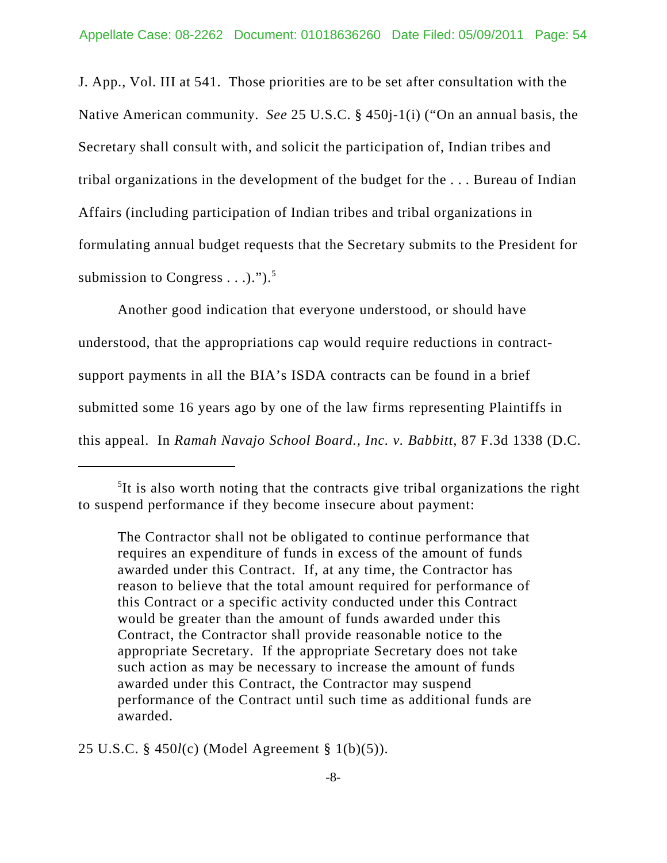J. App., Vol. III at 541. Those priorities are to be set after consultation with the Native American community. *See* 25 U.S.C. § 450j-1(i) ("On an annual basis, the Secretary shall consult with, and solicit the participation of, Indian tribes and tribal organizations in the development of the budget for the . . . Bureau of Indian Affairs (including participation of Indian tribes and tribal organizations in formulating annual budget requests that the Secretary submits to the President for submission to Congress  $\dots$ ...").<sup>5</sup>

Another good indication that everyone understood, or should have understood, that the appropriations cap would require reductions in contractsupport payments in all the BIA's ISDA contracts can be found in a brief submitted some 16 years ago by one of the law firms representing Plaintiffs in this appeal. In *Ramah Navajo School Board., Inc. v. Babbitt*, 87 F.3d 1338 (D.C.

25 U.S.C. § 450*l*(c) (Model Agreement § 1(b)(5)).

<sup>&</sup>lt;sup>5</sup>It is also worth noting that the contracts give tribal organizations the right to suspend performance if they become insecure about payment:

The Contractor shall not be obligated to continue performance that requires an expenditure of funds in excess of the amount of funds awarded under this Contract. If, at any time, the Contractor has reason to believe that the total amount required for performance of this Contract or a specific activity conducted under this Contract would be greater than the amount of funds awarded under this Contract, the Contractor shall provide reasonable notice to the appropriate Secretary. If the appropriate Secretary does not take such action as may be necessary to increase the amount of funds awarded under this Contract, the Contractor may suspend performance of the Contract until such time as additional funds are awarded.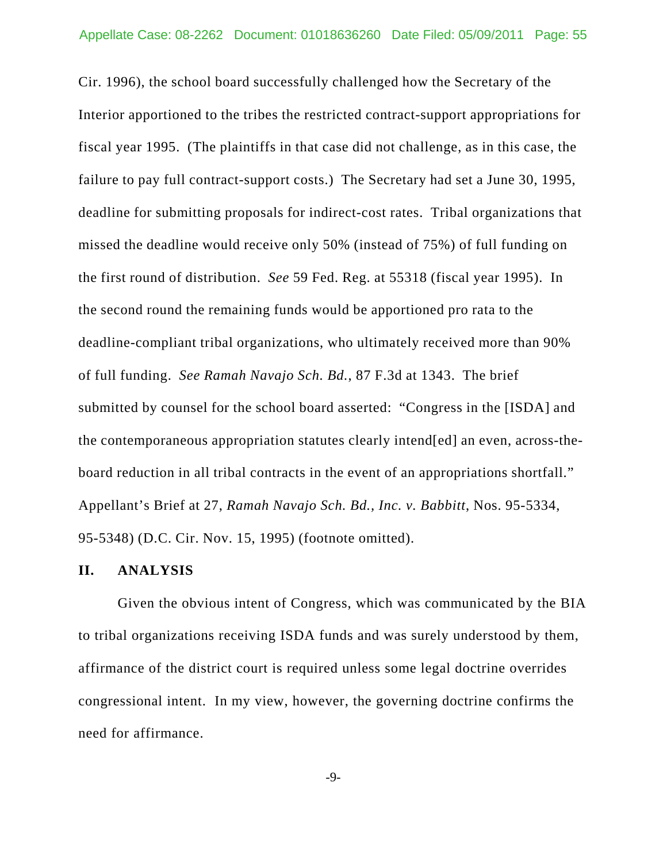Cir. 1996), the school board successfully challenged how the Secretary of the Interior apportioned to the tribes the restricted contract-support appropriations for fiscal year 1995. (The plaintiffs in that case did not challenge, as in this case, the failure to pay full contract-support costs.) The Secretary had set a June 30, 1995, deadline for submitting proposals for indirect-cost rates. Tribal organizations that missed the deadline would receive only 50% (instead of 75%) of full funding on the first round of distribution. *See* 59 Fed. Reg. at 55318 (fiscal year 1995). In the second round the remaining funds would be apportioned pro rata to the deadline-compliant tribal organizations, who ultimately received more than 90% of full funding. *See Ramah Navajo Sch. Bd.*, 87 F.3d at 1343. The brief submitted by counsel for the school board asserted: "Congress in the [ISDA] and the contemporaneous appropriation statutes clearly intend[ed] an even, across-theboard reduction in all tribal contracts in the event of an appropriations shortfall." Appellant's Brief at 27, *Ramah Navajo Sch. Bd., Inc. v. Babbitt*, Nos. 95-5334, 95-5348) (D.C. Cir. Nov. 15, 1995) (footnote omitted).

#### **II. ANALYSIS**

Given the obvious intent of Congress, which was communicated by the BIA to tribal organizations receiving ISDA funds and was surely understood by them, affirmance of the district court is required unless some legal doctrine overrides congressional intent. In my view, however, the governing doctrine confirms the need for affirmance.

-9-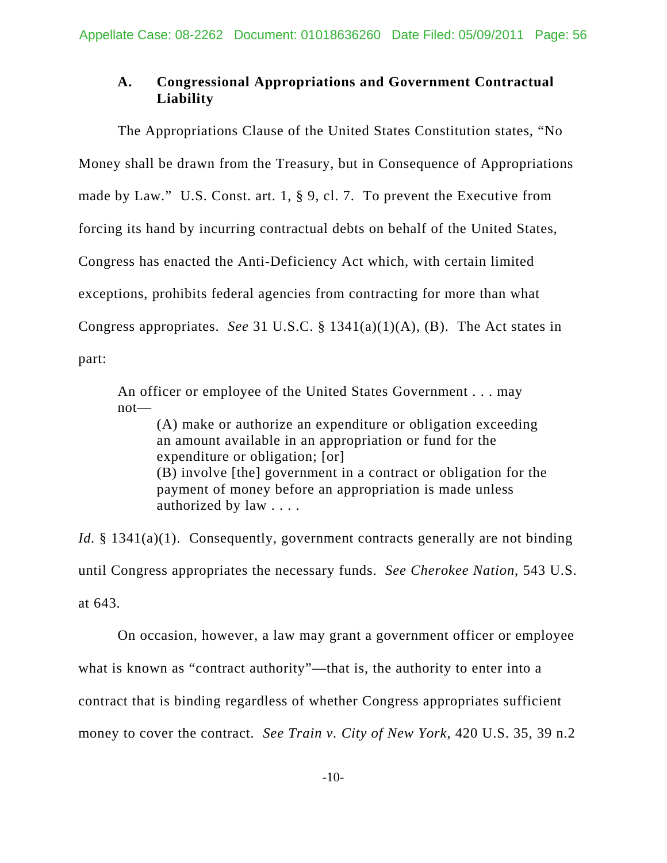# **A. Congressional Appropriations and Government Contractual Liability**

The Appropriations Clause of the United States Constitution states, "No Money shall be drawn from the Treasury, but in Consequence of Appropriations made by Law." U.S. Const. art. 1, § 9, cl. 7. To prevent the Executive from forcing its hand by incurring contractual debts on behalf of the United States, Congress has enacted the Anti-Deficiency Act which, with certain limited exceptions, prohibits federal agencies from contracting for more than what Congress appropriates. *See* 31 U.S.C. § 1341(a)(1)(A), (B). The Act states in part:

An officer or employee of the United States Government . . . may not—

(A) make or authorize an expenditure or obligation exceeding an amount available in an appropriation or fund for the expenditure or obligation; [or] (B) involve [the] government in a contract or obligation for the payment of money before an appropriation is made unless authorized by law . . . .

*Id.* § 1341(a)(1). Consequently, government contracts generally are not binding until Congress appropriates the necessary funds. *See Cherokee Nation*, 543 U.S. at 643.

On occasion, however, a law may grant a government officer or employee what is known as "contract authority"—that is, the authority to enter into a contract that is binding regardless of whether Congress appropriates sufficient money to cover the contract. *See Train v. City of New York*, 420 U.S. 35, 39 n.2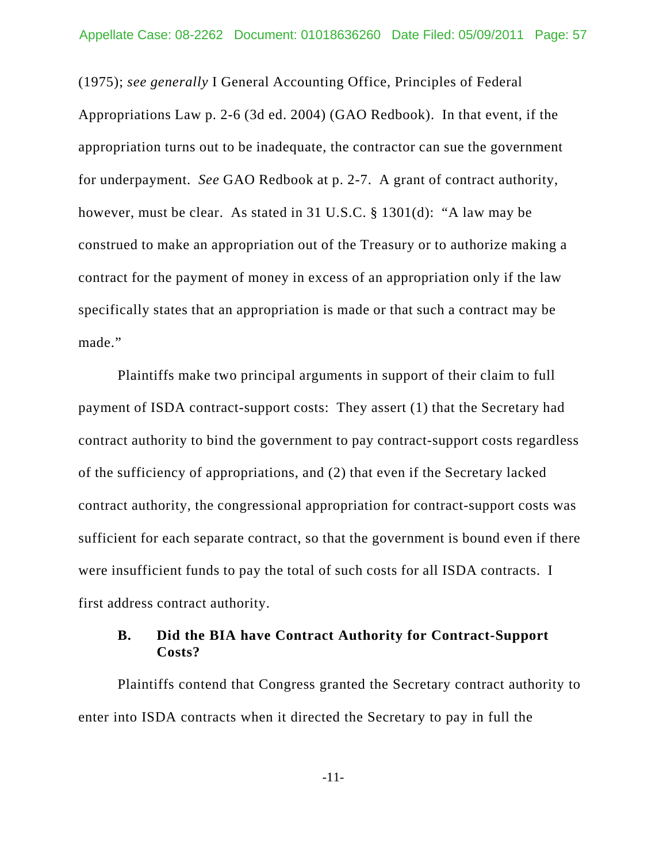(1975); *see generally* I General Accounting Office, Principles of Federal Appropriations Law p. 2-6 (3d ed. 2004) (GAO Redbook). In that event, if the appropriation turns out to be inadequate, the contractor can sue the government for underpayment. *See* GAO Redbook at p. 2-7. A grant of contract authority, however, must be clear. As stated in 31 U.S.C. § 1301(d): "A law may be construed to make an appropriation out of the Treasury or to authorize making a contract for the payment of money in excess of an appropriation only if the law specifically states that an appropriation is made or that such a contract may be made."

Plaintiffs make two principal arguments in support of their claim to full payment of ISDA contract-support costs: They assert (1) that the Secretary had contract authority to bind the government to pay contract-support costs regardless of the sufficiency of appropriations, and (2) that even if the Secretary lacked contract authority, the congressional appropriation for contract-support costs was sufficient for each separate contract, so that the government is bound even if there were insufficient funds to pay the total of such costs for all ISDA contracts. I first address contract authority.

## **B. Did the BIA have Contract Authority for Contract-Support Costs?**

Plaintiffs contend that Congress granted the Secretary contract authority to enter into ISDA contracts when it directed the Secretary to pay in full the

-11-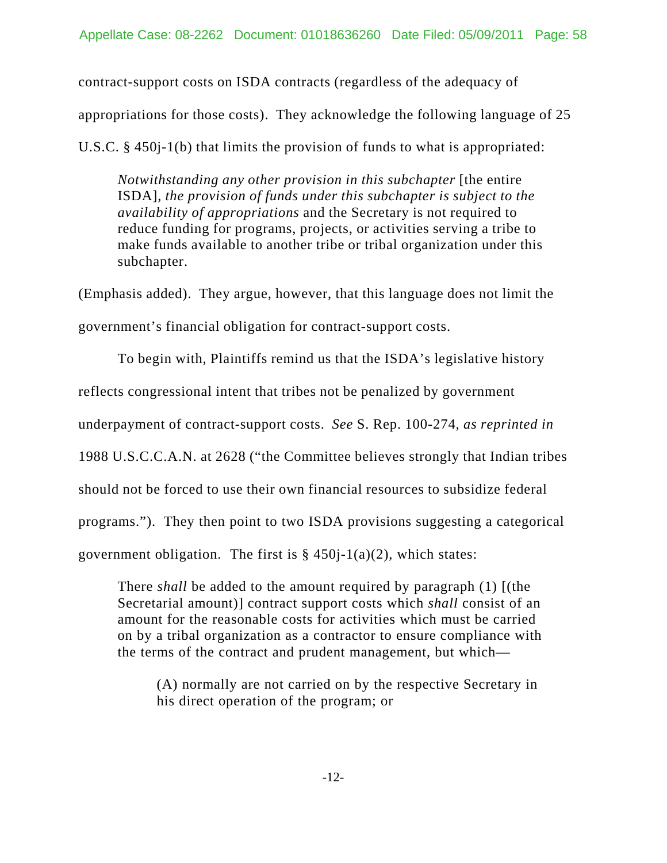contract-support costs on ISDA contracts (regardless of the adequacy of

appropriations for those costs). They acknowledge the following language of 25

U.S.C. § 450j-1(b) that limits the provision of funds to what is appropriated:

*Notwithstanding any other provision in this subchapter* [the entire ISDA]*, the provision of funds under this subchapter is subject to the availability of appropriations* and the Secretary is not required to reduce funding for programs, projects, or activities serving a tribe to make funds available to another tribe or tribal organization under this subchapter.

(Emphasis added). They argue, however, that this language does not limit the government's financial obligation for contract-support costs.

To begin with, Plaintiffs remind us that the ISDA's legislative history reflects congressional intent that tribes not be penalized by government underpayment of contract-support costs. *See* S. Rep. 100-274, *as reprinted in* 1988 U.S.C.C.A.N. at 2628 ("the Committee believes strongly that Indian tribes should not be forced to use their own financial resources to subsidize federal programs."). They then point to two ISDA provisions suggesting a categorical government obligation. The first is  $\S$  450j-1(a)(2), which states:

There *shall* be added to the amount required by paragraph (1) [(the Secretarial amount)] contract support costs which *shall* consist of an amount for the reasonable costs for activities which must be carried on by a tribal organization as a contractor to ensure compliance with the terms of the contract and prudent management, but which—

(A) normally are not carried on by the respective Secretary in his direct operation of the program; or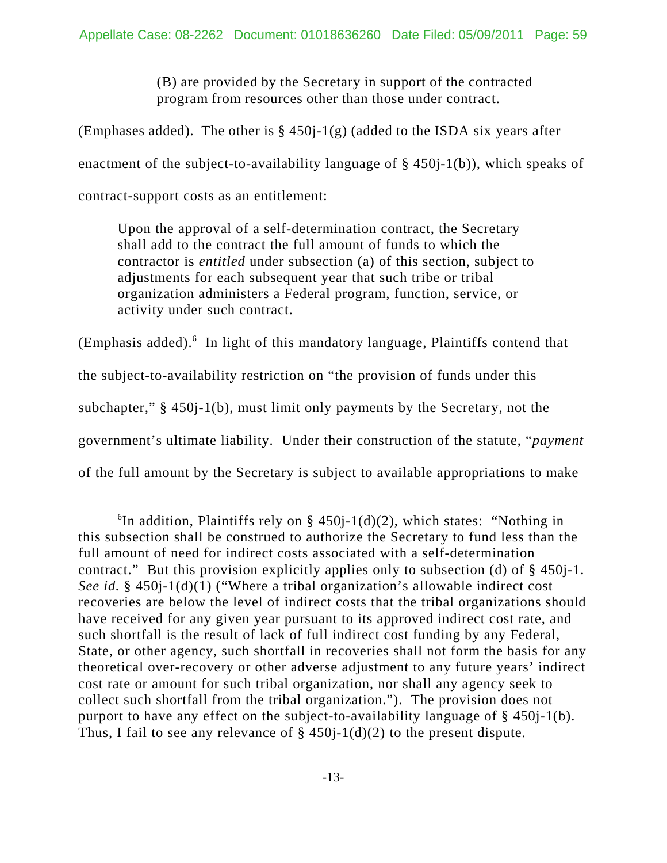(B) are provided by the Secretary in support of the contracted program from resources other than those under contract.

(Emphases added). The other is  $\S$  450 $j-1(g)$  (added to the ISDA six years after enactment of the subject-to-availability language of § 450j-1(b)), which speaks of contract-support costs as an entitlement:

Upon the approval of a self-determination contract, the Secretary shall add to the contract the full amount of funds to which the contractor is *entitled* under subsection (a) of this section, subject to adjustments for each subsequent year that such tribe or tribal organization administers a Federal program, function, service, or activity under such contract.

(Emphasis added).<sup>6</sup> In light of this mandatory language, Plaintiffs contend that the subject-to-availability restriction on "the provision of funds under this subchapter," § 450j-1(b), must limit only payments by the Secretary, not the government's ultimate liability. Under their construction of the statute, "*payment* of the full amount by the Secretary is subject to available appropriations to make

<sup>&</sup>lt;sup>6</sup>In addition, Plaintiffs rely on § 450j-1(d)(2), which states: "Nothing in this subsection shall be construed to authorize the Secretary to fund less than the full amount of need for indirect costs associated with a self-determination contract." But this provision explicitly applies only to subsection (d) of § 450j-1. *See id.* § 450j-1(d)(1) ("Where a tribal organization's allowable indirect cost recoveries are below the level of indirect costs that the tribal organizations should have received for any given year pursuant to its approved indirect cost rate, and such shortfall is the result of lack of full indirect cost funding by any Federal, State, or other agency, such shortfall in recoveries shall not form the basis for any theoretical over-recovery or other adverse adjustment to any future years' indirect cost rate or amount for such tribal organization, nor shall any agency seek to collect such shortfall from the tribal organization."). The provision does not purport to have any effect on the subject-to-availability language of § 450j-1(b). Thus, I fail to see any relevance of  $\S$  450 $j-1(d)(2)$  to the present dispute.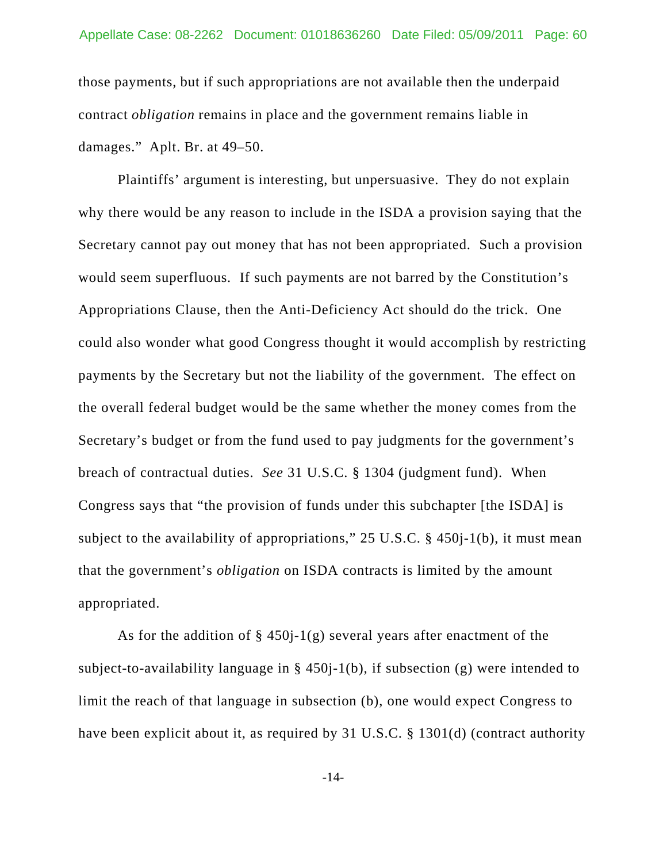those payments, but if such appropriations are not available then the underpaid contract *obligation* remains in place and the government remains liable in damages." Aplt. Br. at 49–50.

Plaintiffs' argument is interesting, but unpersuasive. They do not explain why there would be any reason to include in the ISDA a provision saying that the Secretary cannot pay out money that has not been appropriated. Such a provision would seem superfluous. If such payments are not barred by the Constitution's Appropriations Clause, then the Anti-Deficiency Act should do the trick. One could also wonder what good Congress thought it would accomplish by restricting payments by the Secretary but not the liability of the government. The effect on the overall federal budget would be the same whether the money comes from the Secretary's budget or from the fund used to pay judgments for the government's breach of contractual duties. *See* 31 U.S.C. § 1304 (judgment fund). When Congress says that "the provision of funds under this subchapter [the ISDA] is subject to the availability of appropriations," 25 U.S.C. § 450j-1(b), it must mean that the government's *obligation* on ISDA contracts is limited by the amount appropriated.

As for the addition of  $\S$  450*j*-1(g) several years after enactment of the subject-to-availability language in § 450j-1(b), if subsection (g) were intended to limit the reach of that language in subsection (b), one would expect Congress to have been explicit about it, as required by 31 U.S.C. § 1301(d) (contract authority

-14-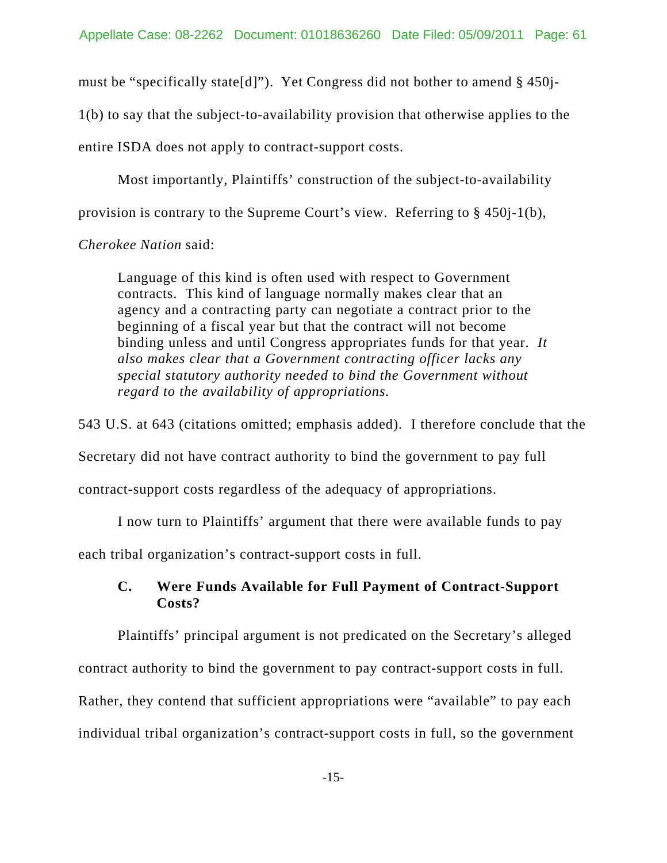must be "specifically state[d]"). Yet Congress did not bother to amend § 450j-

1(b) to say that the subject-to-availability provision that otherwise applies to the

entire ISDA does not apply to contract-support costs.

Most importantly, Plaintiffs' construction of the subject-to-availability

provision is contrary to the Supreme Court's view. Referring to § 450j-1(b),

*Cherokee Nation* said:

Language of this kind is often used with respect to Government contracts. This kind of language normally makes clear that an agency and a contracting party can negotiate a contract prior to the beginning of a fiscal year but that the contract will not become binding unless and until Congress appropriates funds for that year. *It also makes clear that a Government contracting officer lacks any special statutory authority needed to bind the Government without regard to the availability of appropriations.*

543 U.S. at 643 (citations omitted; emphasis added). I therefore conclude that the

Secretary did not have contract authority to bind the government to pay full

contract-support costs regardless of the adequacy of appropriations.

I now turn to Plaintiffs' argument that there were available funds to pay

each tribal organization's contract-support costs in full.

## **C. Were Funds Available for Full Payment of Contract-Support Costs?**

Plaintiffs' principal argument is not predicated on the Secretary's alleged

contract authority to bind the government to pay contract-support costs in full.

Rather, they contend that sufficient appropriations were "available" to pay each individual tribal organization's contract-support costs in full, so the government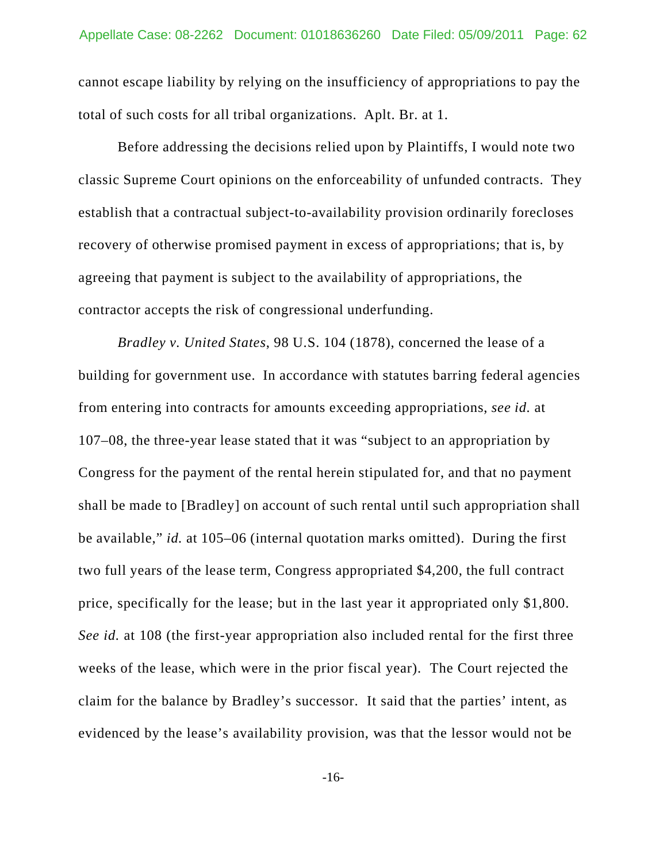cannot escape liability by relying on the insufficiency of appropriations to pay the total of such costs for all tribal organizations. Aplt. Br. at 1.

Before addressing the decisions relied upon by Plaintiffs, I would note two classic Supreme Court opinions on the enforceability of unfunded contracts. They establish that a contractual subject-to-availability provision ordinarily forecloses recovery of otherwise promised payment in excess of appropriations; that is, by agreeing that payment is subject to the availability of appropriations, the contractor accepts the risk of congressional underfunding.

*Bradley v. United States*, 98 U.S. 104 (1878), concerned the lease of a building for government use. In accordance with statutes barring federal agencies from entering into contracts for amounts exceeding appropriations, *see id.* at 107–08, the three-year lease stated that it was "subject to an appropriation by Congress for the payment of the rental herein stipulated for, and that no payment shall be made to [Bradley] on account of such rental until such appropriation shall be available," *id.* at 105–06 (internal quotation marks omitted). During the first two full years of the lease term, Congress appropriated \$4,200, the full contract price, specifically for the lease; but in the last year it appropriated only \$1,800. *See id.* at 108 (the first-year appropriation also included rental for the first three weeks of the lease, which were in the prior fiscal year). The Court rejected the claim for the balance by Bradley's successor. It said that the parties' intent, as evidenced by the lease's availability provision, was that the lessor would not be

-16-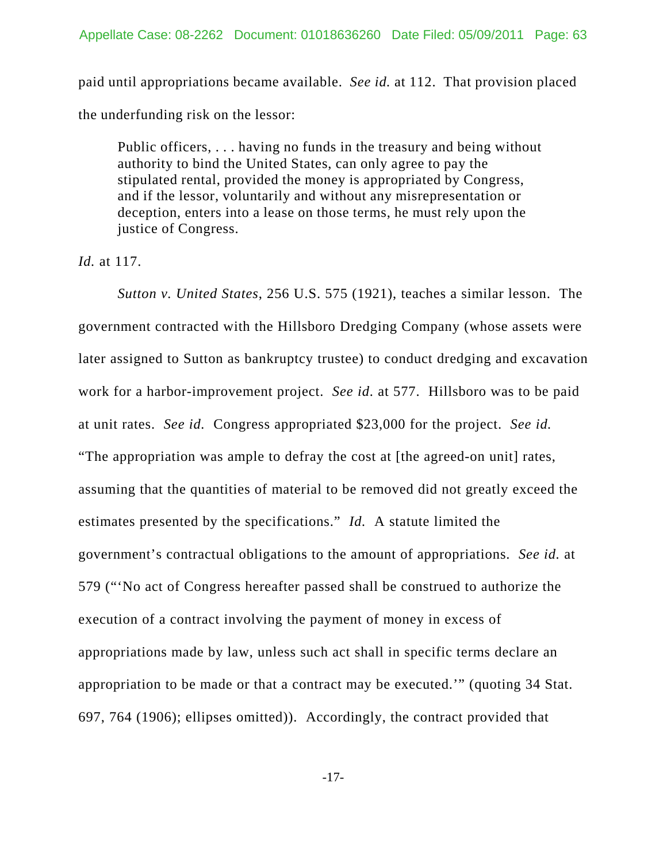paid until appropriations became available. *See id.* at 112. That provision placed the underfunding risk on the lessor:

Public officers, . . . having no funds in the treasury and being without authority to bind the United States, can only agree to pay the stipulated rental, provided the money is appropriated by Congress, and if the lessor, voluntarily and without any misrepresentation or deception, enters into a lease on those terms, he must rely upon the justice of Congress.

*Id.* at 117.

*Sutton v. United States*, 256 U.S. 575 (1921), teaches a similar lesson. The government contracted with the Hillsboro Dredging Company (whose assets were later assigned to Sutton as bankruptcy trustee) to conduct dredging and excavation work for a harbor-improvement project. *See id*. at 577. Hillsboro was to be paid at unit rates. *See id.* Congress appropriated \$23,000 for the project. *See id.* "The appropriation was ample to defray the cost at [the agreed-on unit] rates, assuming that the quantities of material to be removed did not greatly exceed the estimates presented by the specifications." *Id.* A statute limited the government's contractual obligations to the amount of appropriations. *See id.* at 579 ("'No act of Congress hereafter passed shall be construed to authorize the execution of a contract involving the payment of money in excess of appropriations made by law, unless such act shall in specific terms declare an appropriation to be made or that a contract may be executed.'" (quoting 34 Stat. 697, 764 (1906); ellipses omitted)). Accordingly, the contract provided that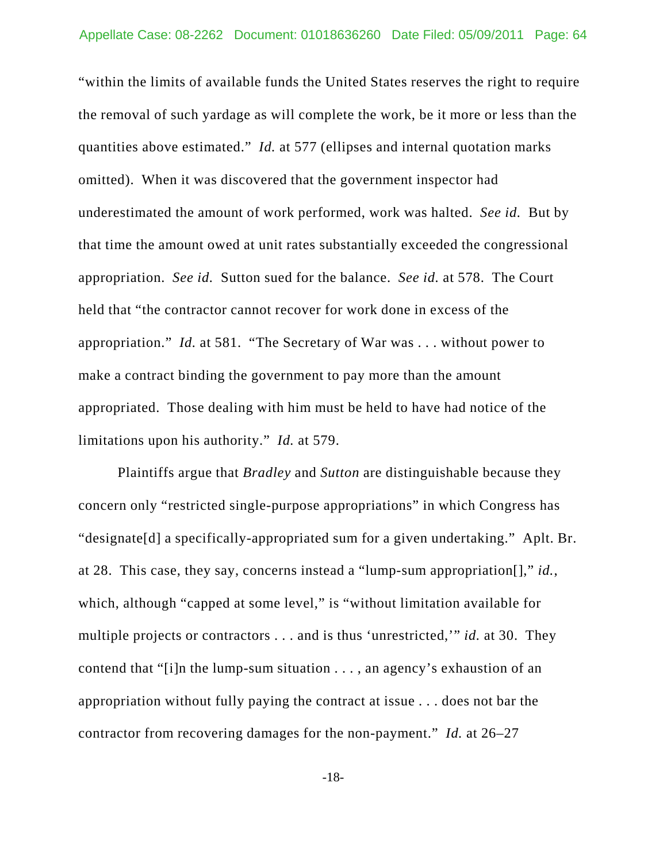"within the limits of available funds the United States reserves the right to require the removal of such yardage as will complete the work, be it more or less than the quantities above estimated." *Id.* at 577 (ellipses and internal quotation marks omitted). When it was discovered that the government inspector had underestimated the amount of work performed, work was halted. *See id.* But by that time the amount owed at unit rates substantially exceeded the congressional appropriation. *See id.* Sutton sued for the balance. *See id.* at 578. The Court held that "the contractor cannot recover for work done in excess of the appropriation." *Id.* at 581. "The Secretary of War was . . . without power to make a contract binding the government to pay more than the amount appropriated. Those dealing with him must be held to have had notice of the limitations upon his authority." *Id.* at 579.

Plaintiffs argue that *Bradley* and *Sutton* are distinguishable because they concern only "restricted single-purpose appropriations" in which Congress has "designate[d] a specifically-appropriated sum for a given undertaking." Aplt. Br. at 28. This case, they say, concerns instead a "lump-sum appropriation[]," *id.*, which, although "capped at some level," is "without limitation available for multiple projects or contractors . . . and is thus 'unrestricted,'" *id.* at 30. They contend that "[i]n the lump-sum situation . . . , an agency's exhaustion of an appropriation without fully paying the contract at issue . . . does not bar the contractor from recovering damages for the non-payment." *Id.* at 26–27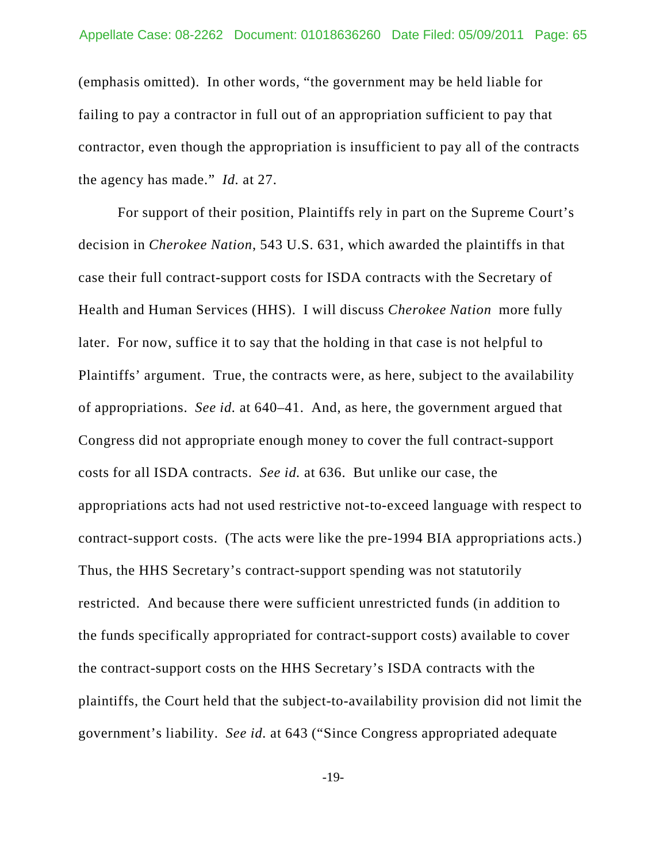(emphasis omitted). In other words, "the government may be held liable for failing to pay a contractor in full out of an appropriation sufficient to pay that contractor, even though the appropriation is insufficient to pay all of the contracts the agency has made." *Id.* at 27.

For support of their position, Plaintiffs rely in part on the Supreme Court's decision in *Cherokee Nation*, 543 U.S. 631, which awarded the plaintiffs in that case their full contract-support costs for ISDA contracts with the Secretary of Health and Human Services (HHS). I will discuss *Cherokee Nation* more fully later. For now, suffice it to say that the holding in that case is not helpful to Plaintiffs' argument. True, the contracts were, as here, subject to the availability of appropriations. *See id.* at 640–41. And, as here, the government argued that Congress did not appropriate enough money to cover the full contract-support costs for all ISDA contracts. *See id.* at 636. But unlike our case, the appropriations acts had not used restrictive not-to-exceed language with respect to contract-support costs. (The acts were like the pre-1994 BIA appropriations acts.) Thus, the HHS Secretary's contract-support spending was not statutorily restricted. And because there were sufficient unrestricted funds (in addition to the funds specifically appropriated for contract-support costs) available to cover the contract-support costs on the HHS Secretary's ISDA contracts with the plaintiffs, the Court held that the subject-to-availability provision did not limit the government's liability. *See id.* at 643 ("Since Congress appropriated adequate

-19-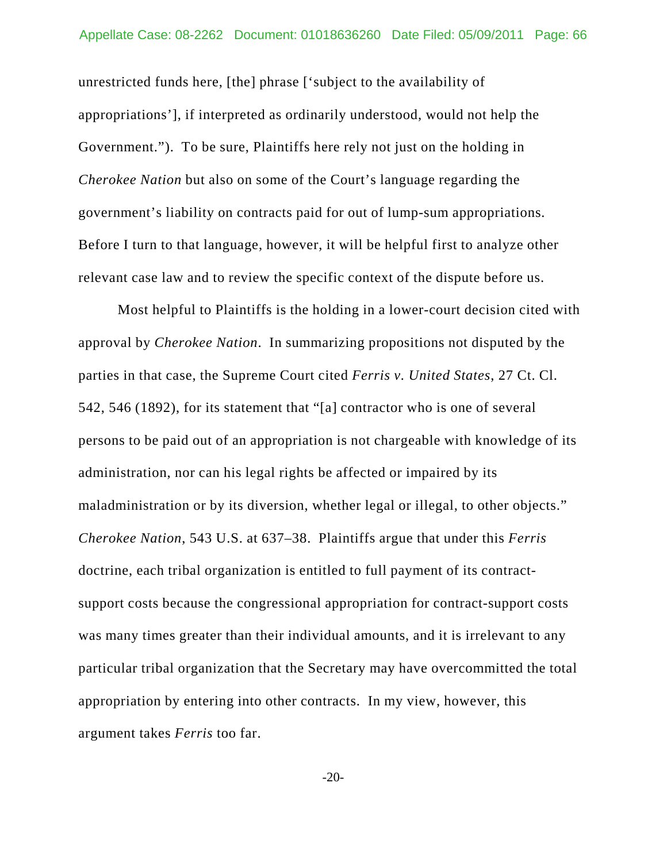unrestricted funds here, [the] phrase ['subject to the availability of appropriations'], if interpreted as ordinarily understood, would not help the Government."). To be sure, Plaintiffs here rely not just on the holding in *Cherokee Nation* but also on some of the Court's language regarding the government's liability on contracts paid for out of lump-sum appropriations. Before I turn to that language, however, it will be helpful first to analyze other relevant case law and to review the specific context of the dispute before us.

Most helpful to Plaintiffs is the holding in a lower-court decision cited with approval by *Cherokee Nation*. In summarizing propositions not disputed by the parties in that case, the Supreme Court cited *Ferris v. United States*, 27 Ct. Cl. 542, 546 (1892), for its statement that "[a] contractor who is one of several persons to be paid out of an appropriation is not chargeable with knowledge of its administration, nor can his legal rights be affected or impaired by its maladministration or by its diversion, whether legal or illegal, to other objects." *Cherokee Nation*, 543 U.S. at 637–38. Plaintiffs argue that under this *Ferris* doctrine, each tribal organization is entitled to full payment of its contractsupport costs because the congressional appropriation for contract-support costs was many times greater than their individual amounts, and it is irrelevant to any particular tribal organization that the Secretary may have overcommitted the total appropriation by entering into other contracts. In my view, however, this argument takes *Ferris* too far.

-20-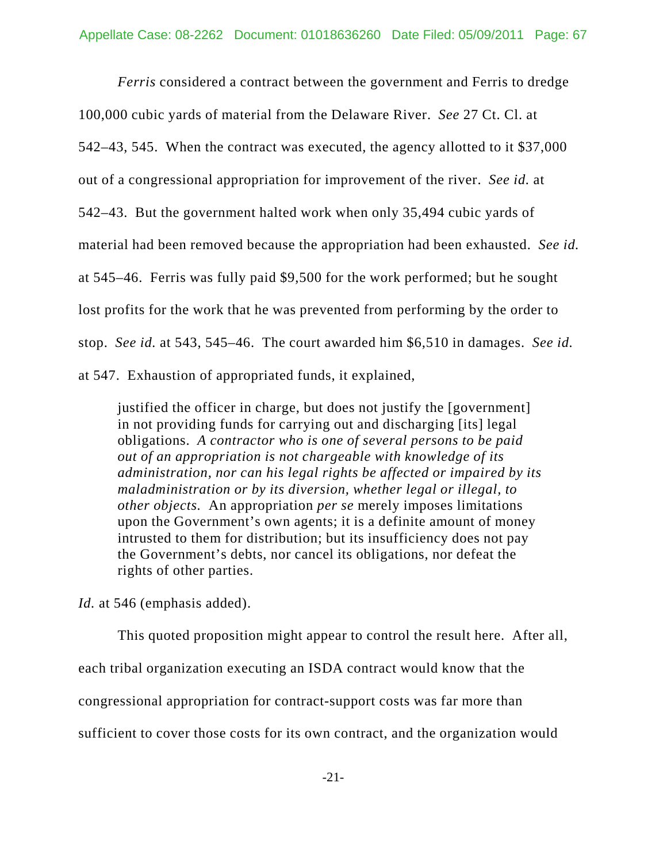*Ferris* considered a contract between the government and Ferris to dredge 100,000 cubic yards of material from the Delaware River. *See* 27 Ct. Cl. at 542–43, 545. When the contract was executed, the agency allotted to it \$37,000 out of a congressional appropriation for improvement of the river. *See id.* at 542–43. But the government halted work when only 35,494 cubic yards of material had been removed because the appropriation had been exhausted. *See id.* at 545–46. Ferris was fully paid \$9,500 for the work performed; but he sought lost profits for the work that he was prevented from performing by the order to stop. *See id.* at 543, 545–46. The court awarded him \$6,510 in damages. *See id.* at 547. Exhaustion of appropriated funds, it explained,

justified the officer in charge, but does not justify the [government] in not providing funds for carrying out and discharging [its] legal obligations. *A contractor who is one of several persons to be paid out of an appropriation is not chargeable with knowledge of its administration, nor can his legal rights be affected or impaired by its maladministration or by its diversion, whether legal or illegal, to other objects.* An appropriation *per se* merely imposes limitations upon the Government's own agents; it is a definite amount of money intrusted to them for distribution; but its insufficiency does not pay the Government's debts, nor cancel its obligations, nor defeat the rights of other parties.

*Id.* at 546 (emphasis added).

This quoted proposition might appear to control the result here. After all, each tribal organization executing an ISDA contract would know that the congressional appropriation for contract-support costs was far more than sufficient to cover those costs for its own contract, and the organization would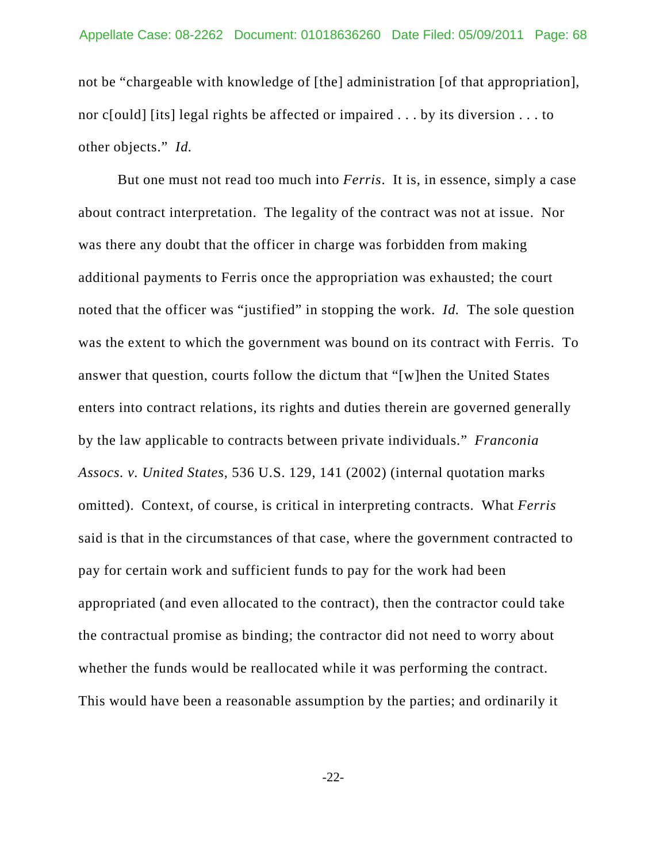not be "chargeable with knowledge of [the] administration [of that appropriation], nor c[ould] [its] legal rights be affected or impaired . . . by its diversion . . . to other objects." *Id.*

But one must not read too much into *Ferris*. It is, in essence, simply a case about contract interpretation. The legality of the contract was not at issue. Nor was there any doubt that the officer in charge was forbidden from making additional payments to Ferris once the appropriation was exhausted; the court noted that the officer was "justified" in stopping the work. *Id.* The sole question was the extent to which the government was bound on its contract with Ferris. To answer that question, courts follow the dictum that "[w]hen the United States enters into contract relations, its rights and duties therein are governed generally by the law applicable to contracts between private individuals." *Franconia Assocs. v. United States*, 536 U.S. 129, 141 (2002) (internal quotation marks omitted). Context, of course, is critical in interpreting contracts. What *Ferris* said is that in the circumstances of that case, where the government contracted to pay for certain work and sufficient funds to pay for the work had been appropriated (and even allocated to the contract), then the contractor could take the contractual promise as binding; the contractor did not need to worry about whether the funds would be reallocated while it was performing the contract. This would have been a reasonable assumption by the parties; and ordinarily it

-22-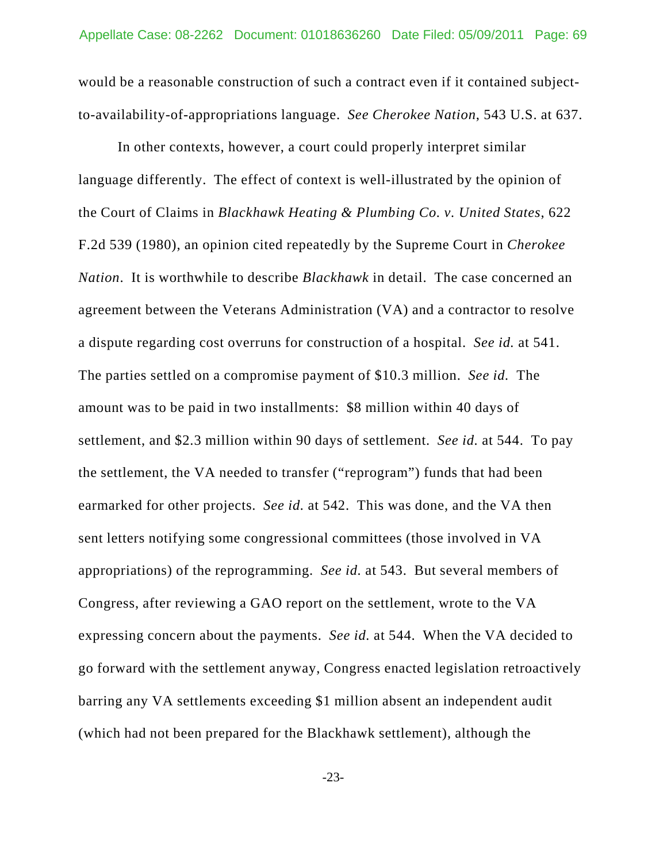would be a reasonable construction of such a contract even if it contained subjectto-availability-of-appropriations language. *See Cherokee Nation*, 543 U.S. at 637.

In other contexts, however, a court could properly interpret similar language differently. The effect of context is well-illustrated by the opinion of the Court of Claims in *Blackhawk Heating & Plumbing Co. v. United States*, 622 F.2d 539 (1980), an opinion cited repeatedly by the Supreme Court in *Cherokee Nation*. It is worthwhile to describe *Blackhawk* in detail. The case concerned an agreement between the Veterans Administration (VA) and a contractor to resolve a dispute regarding cost overruns for construction of a hospital. *See id.* at 541. The parties settled on a compromise payment of \$10.3 million. *See id.* The amount was to be paid in two installments: \$8 million within 40 days of settlement, and \$2.3 million within 90 days of settlement. *See id.* at 544. To pay the settlement, the VA needed to transfer ("reprogram") funds that had been earmarked for other projects. *See id.* at 542. This was done, and the VA then sent letters notifying some congressional committees (those involved in VA appropriations) of the reprogramming. *See id.* at 543. But several members of Congress, after reviewing a GAO report on the settlement, wrote to the VA expressing concern about the payments. *See id.* at 544. When the VA decided to go forward with the settlement anyway, Congress enacted legislation retroactively barring any VA settlements exceeding \$1 million absent an independent audit (which had not been prepared for the Blackhawk settlement), although the

-23-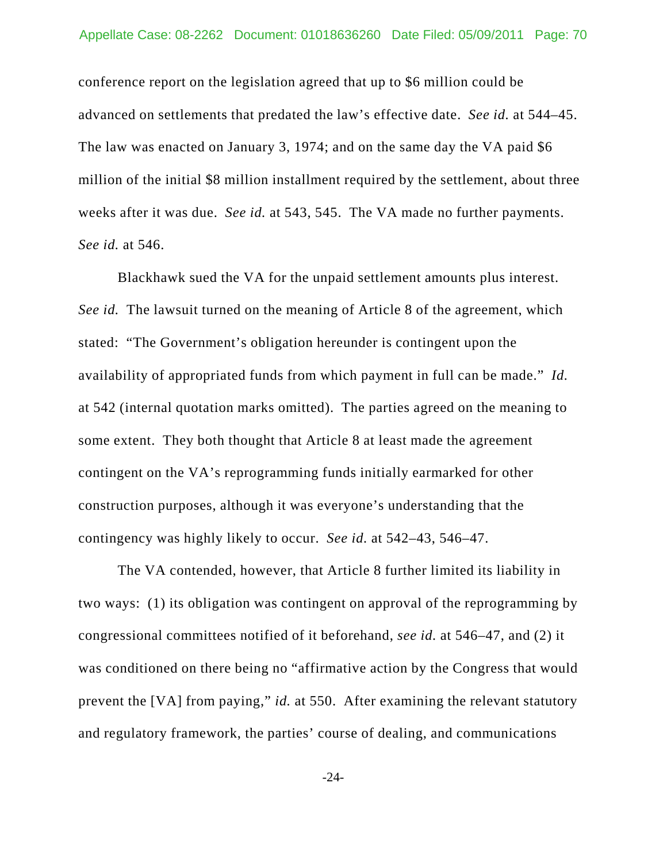conference report on the legislation agreed that up to \$6 million could be advanced on settlements that predated the law's effective date. *See id.* at 544–45. The law was enacted on January 3, 1974; and on the same day the VA paid \$6 million of the initial \$8 million installment required by the settlement, about three weeks after it was due. *See id.* at 543, 545. The VA made no further payments. *See id.* at 546.

Blackhawk sued the VA for the unpaid settlement amounts plus interest. *See id.* The lawsuit turned on the meaning of Article 8 of the agreement, which stated: "The Government's obligation hereunder is contingent upon the availability of appropriated funds from which payment in full can be made." *Id.* at 542 (internal quotation marks omitted). The parties agreed on the meaning to some extent. They both thought that Article 8 at least made the agreement contingent on the VA's reprogramming funds initially earmarked for other construction purposes, although it was everyone's understanding that the contingency was highly likely to occur. *See id.* at 542–43, 546–47.

The VA contended, however, that Article 8 further limited its liability in two ways: (1) its obligation was contingent on approval of the reprogramming by congressional committees notified of it beforehand, *see id.* at 546–47, and (2) it was conditioned on there being no "affirmative action by the Congress that would prevent the [VA] from paying," *id.* at 550. After examining the relevant statutory and regulatory framework, the parties' course of dealing, and communications

-24-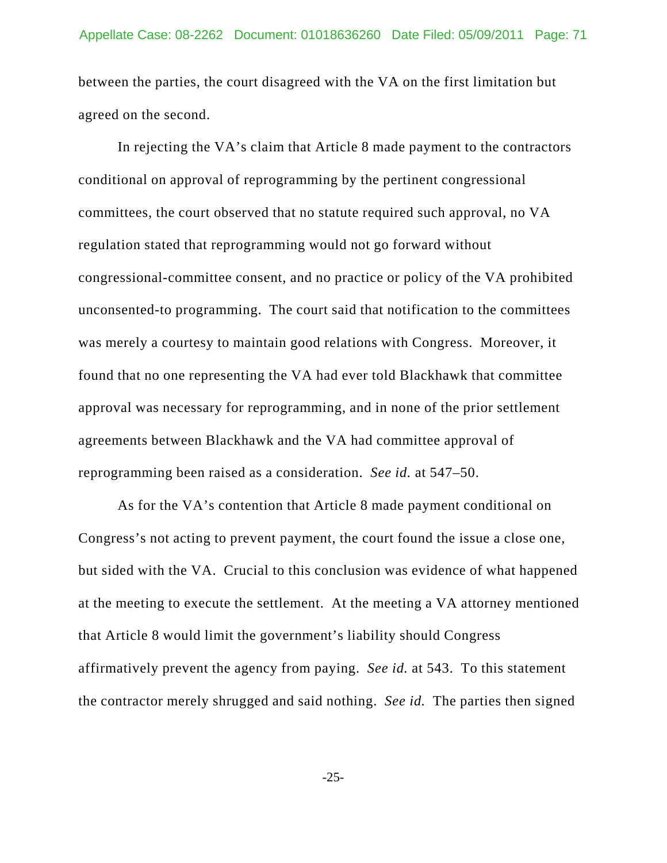between the parties, the court disagreed with the VA on the first limitation but agreed on the second.

In rejecting the VA's claim that Article 8 made payment to the contractors conditional on approval of reprogramming by the pertinent congressional committees, the court observed that no statute required such approval, no VA regulation stated that reprogramming would not go forward without congressional-committee consent, and no practice or policy of the VA prohibited unconsented-to programming. The court said that notification to the committees was merely a courtesy to maintain good relations with Congress. Moreover, it found that no one representing the VA had ever told Blackhawk that committee approval was necessary for reprogramming, and in none of the prior settlement agreements between Blackhawk and the VA had committee approval of reprogramming been raised as a consideration. *See id.* at 547–50.

As for the VA's contention that Article 8 made payment conditional on Congress's not acting to prevent payment, the court found the issue a close one, but sided with the VA. Crucial to this conclusion was evidence of what happened at the meeting to execute the settlement. At the meeting a VA attorney mentioned that Article 8 would limit the government's liability should Congress affirmatively prevent the agency from paying. *See id.* at 543. To this statement the contractor merely shrugged and said nothing. *See id.* The parties then signed

-25-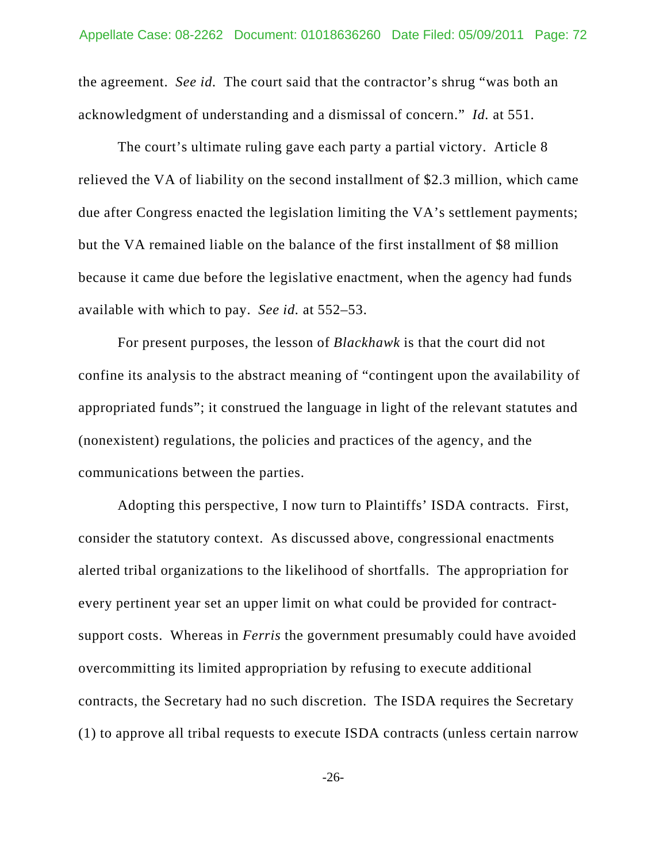the agreement. *See id.* The court said that the contractor's shrug "was both an acknowledgment of understanding and a dismissal of concern." *Id.* at 551.

The court's ultimate ruling gave each party a partial victory. Article 8 relieved the VA of liability on the second installment of \$2.3 million, which came due after Congress enacted the legislation limiting the VA's settlement payments; but the VA remained liable on the balance of the first installment of \$8 million because it came due before the legislative enactment, when the agency had funds available with which to pay. *See id.* at 552–53.

For present purposes, the lesson of *Blackhawk* is that the court did not confine its analysis to the abstract meaning of "contingent upon the availability of appropriated funds"; it construed the language in light of the relevant statutes and (nonexistent) regulations, the policies and practices of the agency, and the communications between the parties.

Adopting this perspective, I now turn to Plaintiffs' ISDA contracts. First, consider the statutory context. As discussed above, congressional enactments alerted tribal organizations to the likelihood of shortfalls. The appropriation for every pertinent year set an upper limit on what could be provided for contractsupport costs. Whereas in *Ferris* the government presumably could have avoided overcommitting its limited appropriation by refusing to execute additional contracts, the Secretary had no such discretion. The ISDA requires the Secretary (1) to approve all tribal requests to execute ISDA contracts (unless certain narrow

-26-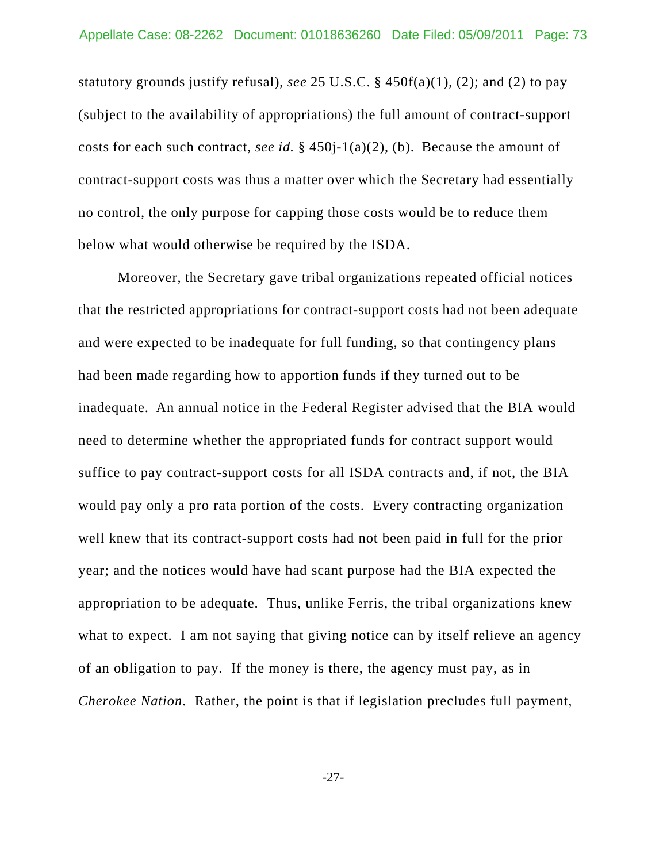statutory grounds justify refusal), *see* 25 U.S.C. § 450f(a)(1), (2); and (2) to pay (subject to the availability of appropriations) the full amount of contract-support costs for each such contract, *see id.* § 450j-1(a)(2), (b). Because the amount of contract-support costs was thus a matter over which the Secretary had essentially no control, the only purpose for capping those costs would be to reduce them below what would otherwise be required by the ISDA.

Moreover, the Secretary gave tribal organizations repeated official notices that the restricted appropriations for contract-support costs had not been adequate and were expected to be inadequate for full funding, so that contingency plans had been made regarding how to apportion funds if they turned out to be inadequate. An annual notice in the Federal Register advised that the BIA would need to determine whether the appropriated funds for contract support would suffice to pay contract-support costs for all ISDA contracts and, if not, the BIA would pay only a pro rata portion of the costs. Every contracting organization well knew that its contract-support costs had not been paid in full for the prior year; and the notices would have had scant purpose had the BIA expected the appropriation to be adequate. Thus, unlike Ferris, the tribal organizations knew what to expect. I am not saying that giving notice can by itself relieve an agency of an obligation to pay. If the money is there, the agency must pay, as in *Cherokee Nation*. Rather, the point is that if legislation precludes full payment,

-27-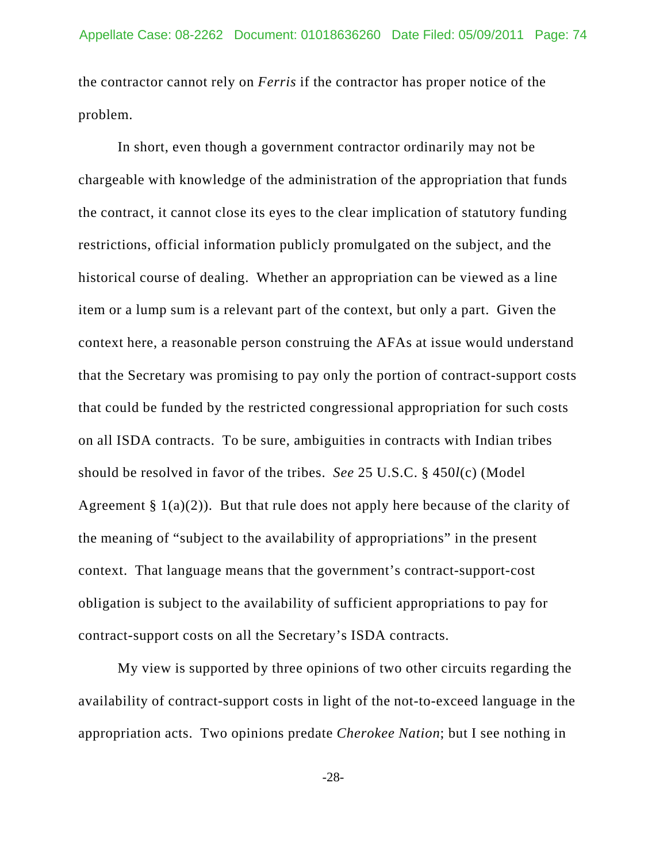the contractor cannot rely on *Ferris* if the contractor has proper notice of the problem.

In short, even though a government contractor ordinarily may not be chargeable with knowledge of the administration of the appropriation that funds the contract, it cannot close its eyes to the clear implication of statutory funding restrictions, official information publicly promulgated on the subject, and the historical course of dealing. Whether an appropriation can be viewed as a line item or a lump sum is a relevant part of the context, but only a part. Given the context here, a reasonable person construing the AFAs at issue would understand that the Secretary was promising to pay only the portion of contract-support costs that could be funded by the restricted congressional appropriation for such costs on all ISDA contracts. To be sure, ambiguities in contracts with Indian tribes should be resolved in favor of the tribes. *See* 25 U.S.C. § 450*l*(c) (Model Agreement  $\S 1(a)(2)$ . But that rule does not apply here because of the clarity of the meaning of "subject to the availability of appropriations" in the present context. That language means that the government's contract-support-cost obligation is subject to the availability of sufficient appropriations to pay for contract-support costs on all the Secretary's ISDA contracts.

My view is supported by three opinions of two other circuits regarding the availability of contract-support costs in light of the not-to-exceed language in the appropriation acts. Two opinions predate *Cherokee Nation*; but I see nothing in

-28-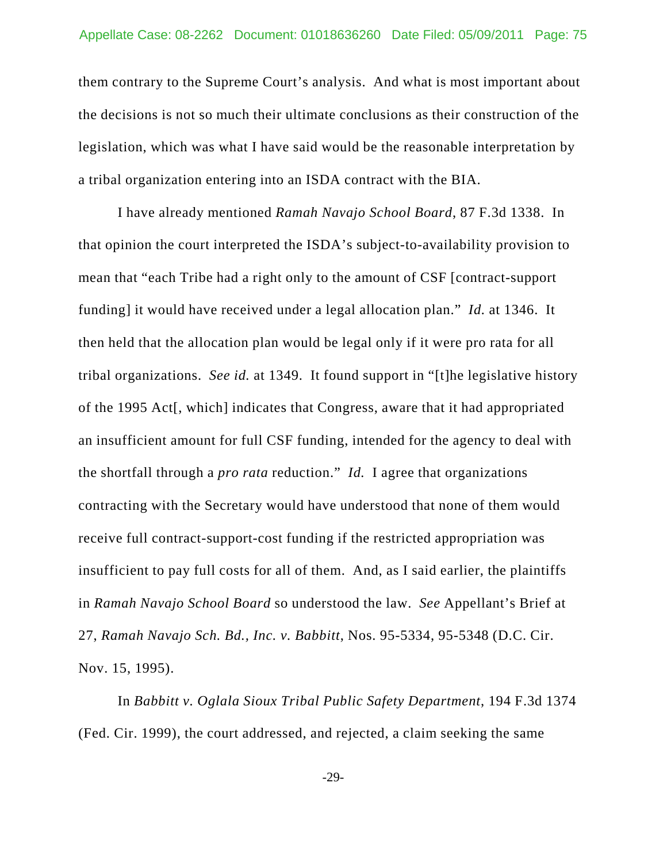them contrary to the Supreme Court's analysis. And what is most important about the decisions is not so much their ultimate conclusions as their construction of the legislation, which was what I have said would be the reasonable interpretation by a tribal organization entering into an ISDA contract with the BIA.

I have already mentioned *Ramah Navajo School Board*, 87 F.3d 1338. In that opinion the court interpreted the ISDA's subject-to-availability provision to mean that "each Tribe had a right only to the amount of CSF [contract-support funding] it would have received under a legal allocation plan." *Id.* at 1346. It then held that the allocation plan would be legal only if it were pro rata for all tribal organizations. *See id.* at 1349. It found support in "[t]he legislative history of the 1995 Act[, which] indicates that Congress, aware that it had appropriated an insufficient amount for full CSF funding, intended for the agency to deal with the shortfall through a *pro rata* reduction." *Id.* I agree that organizations contracting with the Secretary would have understood that none of them would receive full contract-support-cost funding if the restricted appropriation was insufficient to pay full costs for all of them. And, as I said earlier, the plaintiffs in *Ramah Navajo School Board* so understood the law. *See* Appellant's Brief at 27, *Ramah Navajo Sch. Bd., Inc. v. Babbitt*, Nos. 95-5334, 95-5348 (D.C. Cir. Nov. 15, 1995).

In *Babbitt v. Oglala Sioux Tribal Public Safety Department*, 194 F.3d 1374 (Fed. Cir. 1999), the court addressed, and rejected, a claim seeking the same

-29-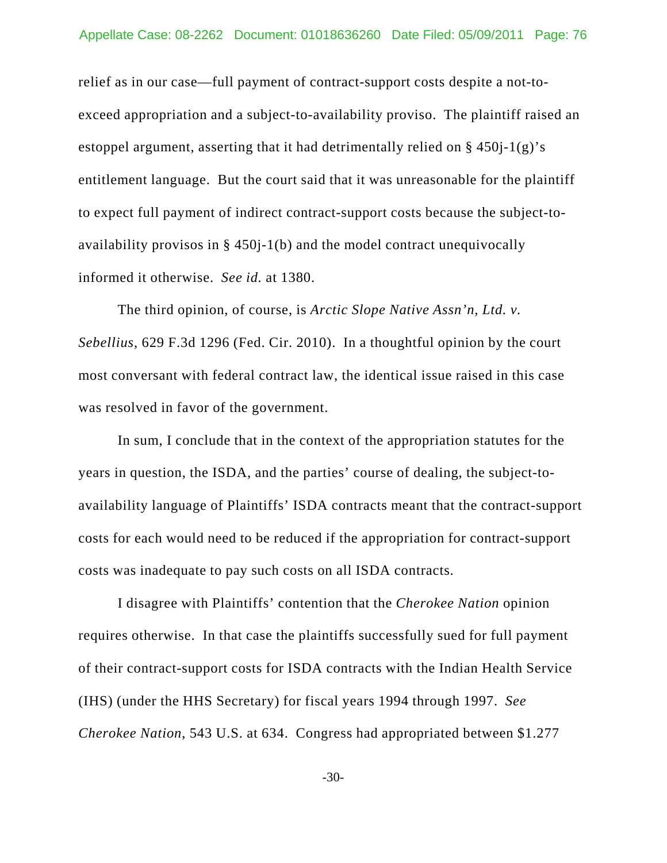relief as in our case—full payment of contract-support costs despite a not-toexceed appropriation and a subject-to-availability proviso. The plaintiff raised an estoppel argument, asserting that it had detrimentally relied on § 450j-1(g)'s entitlement language. But the court said that it was unreasonable for the plaintiff to expect full payment of indirect contract-support costs because the subject-toavailability provisos in § 450j-1(b) and the model contract unequivocally informed it otherwise. *See id.* at 1380.

The third opinion, of course, is *Arctic Slope Native Assn'n, Ltd. v. Sebellius*, 629 F.3d 1296 (Fed. Cir. 2010). In a thoughtful opinion by the court most conversant with federal contract law, the identical issue raised in this case was resolved in favor of the government.

In sum, I conclude that in the context of the appropriation statutes for the years in question, the ISDA, and the parties' course of dealing, the subject-toavailability language of Plaintiffs' ISDA contracts meant that the contract-support costs for each would need to be reduced if the appropriation for contract-support costs was inadequate to pay such costs on all ISDA contracts.

I disagree with Plaintiffs' contention that the *Cherokee Nation* opinion requires otherwise. In that case the plaintiffs successfully sued for full payment of their contract-support costs for ISDA contracts with the Indian Health Service (IHS) (under the HHS Secretary) for fiscal years 1994 through 1997. *See Cherokee Nation*, 543 U.S. at 634. Congress had appropriated between \$1.277

-30-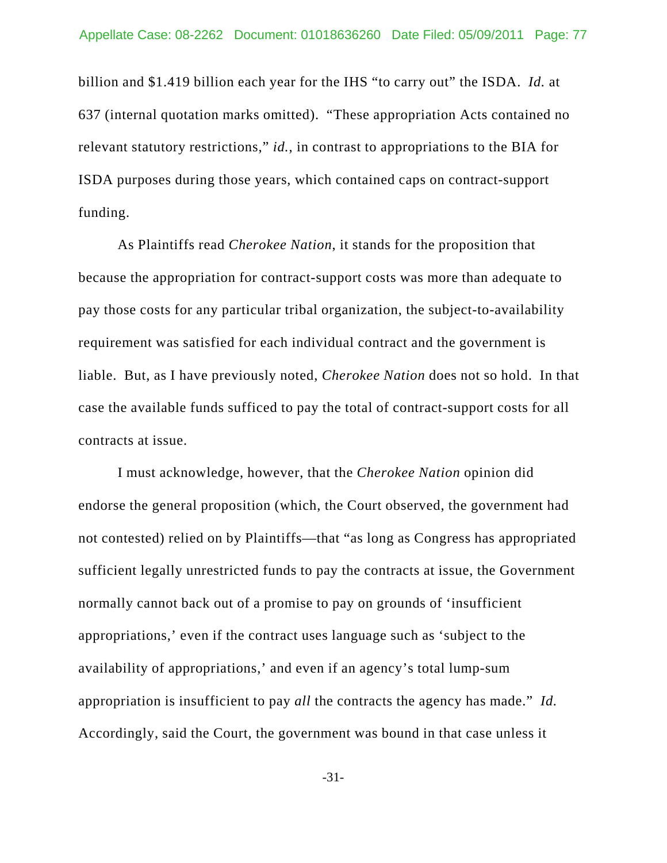billion and \$1.419 billion each year for the IHS "to carry out" the ISDA. *Id.* at 637 (internal quotation marks omitted). "These appropriation Acts contained no relevant statutory restrictions," *id.*, in contrast to appropriations to the BIA for ISDA purposes during those years, which contained caps on contract-support funding.

As Plaintiffs read *Cherokee Nation*, it stands for the proposition that because the appropriation for contract-support costs was more than adequate to pay those costs for any particular tribal organization, the subject-to-availability requirement was satisfied for each individual contract and the government is liable. But, as I have previously noted, *Cherokee Nation* does not so hold. In that case the available funds sufficed to pay the total of contract-support costs for all contracts at issue.

I must acknowledge, however, that the *Cherokee Nation* opinion did endorse the general proposition (which, the Court observed, the government had not contested) relied on by Plaintiffs—that "as long as Congress has appropriated sufficient legally unrestricted funds to pay the contracts at issue, the Government normally cannot back out of a promise to pay on grounds of 'insufficient appropriations,' even if the contract uses language such as 'subject to the availability of appropriations,' and even if an agency's total lump-sum appropriation is insufficient to pay *all* the contracts the agency has made." *Id.*  Accordingly, said the Court, the government was bound in that case unless it

-31-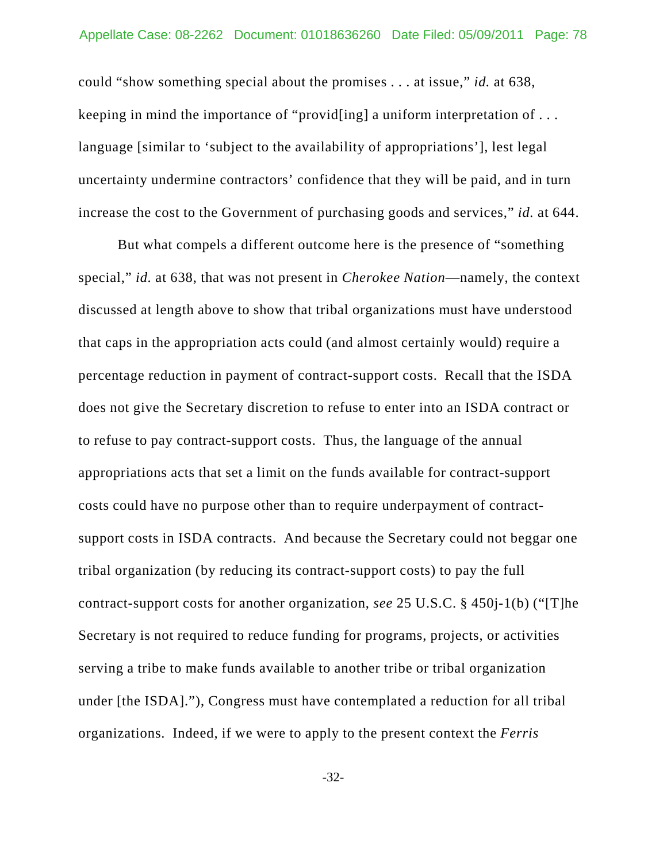could "show something special about the promises . . . at issue," *id.* at 638, keeping in mind the importance of "provid[ing] a uniform interpretation of . . . language [similar to 'subject to the availability of appropriations'], lest legal uncertainty undermine contractors' confidence that they will be paid, and in turn increase the cost to the Government of purchasing goods and services," *id.* at 644.

But what compels a different outcome here is the presence of "something special," *id.* at 638, that was not present in *Cherokee Nation*—namely, the context discussed at length above to show that tribal organizations must have understood that caps in the appropriation acts could (and almost certainly would) require a percentage reduction in payment of contract-support costs. Recall that the ISDA does not give the Secretary discretion to refuse to enter into an ISDA contract or to refuse to pay contract-support costs. Thus, the language of the annual appropriations acts that set a limit on the funds available for contract-support costs could have no purpose other than to require underpayment of contractsupport costs in ISDA contracts. And because the Secretary could not beggar one tribal organization (by reducing its contract-support costs) to pay the full contract-support costs for another organization, *see* 25 U.S.C. § 450j-1(b) ("[T]he Secretary is not required to reduce funding for programs, projects, or activities serving a tribe to make funds available to another tribe or tribal organization under [the ISDA]."), Congress must have contemplated a reduction for all tribal organizations. Indeed, if we were to apply to the present context the *Ferris*

-32-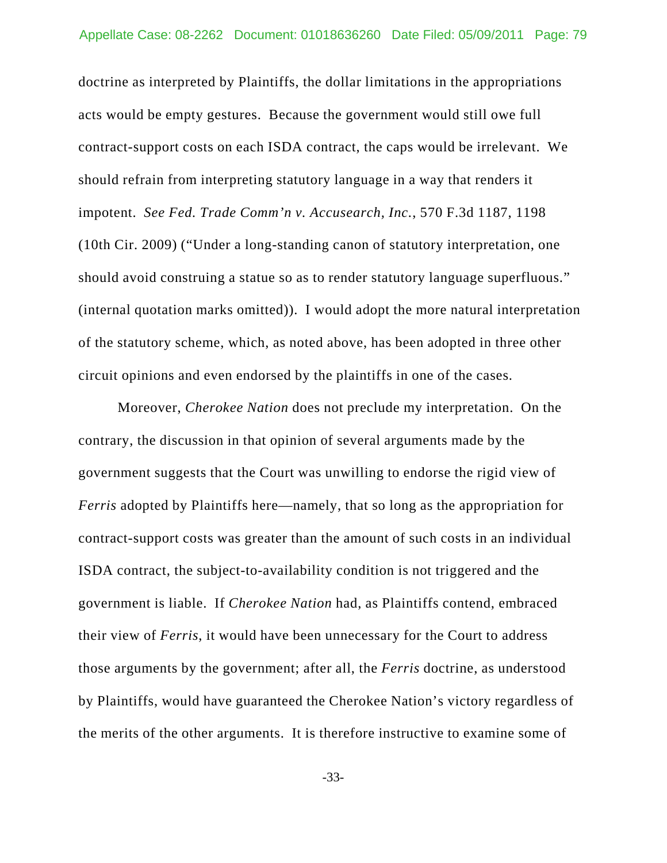doctrine as interpreted by Plaintiffs, the dollar limitations in the appropriations acts would be empty gestures. Because the government would still owe full contract-support costs on each ISDA contract, the caps would be irrelevant. We should refrain from interpreting statutory language in a way that renders it impotent. *See Fed. Trade Comm'n v. Accusearch, Inc.*, 570 F.3d 1187, 1198 (10th Cir. 2009) ("Under a long-standing canon of statutory interpretation, one should avoid construing a statue so as to render statutory language superfluous." (internal quotation marks omitted)). I would adopt the more natural interpretation of the statutory scheme, which, as noted above, has been adopted in three other circuit opinions and even endorsed by the plaintiffs in one of the cases.

Moreover, *Cherokee Nation* does not preclude my interpretation. On the contrary, the discussion in that opinion of several arguments made by the government suggests that the Court was unwilling to endorse the rigid view of *Ferris* adopted by Plaintiffs here—namely, that so long as the appropriation for contract-support costs was greater than the amount of such costs in an individual ISDA contract, the subject-to-availability condition is not triggered and the government is liable. If *Cherokee Nation* had, as Plaintiffs contend, embraced their view of *Ferris*, it would have been unnecessary for the Court to address those arguments by the government; after all, the *Ferris* doctrine, as understood by Plaintiffs, would have guaranteed the Cherokee Nation's victory regardless of the merits of the other arguments. It is therefore instructive to examine some of

-33-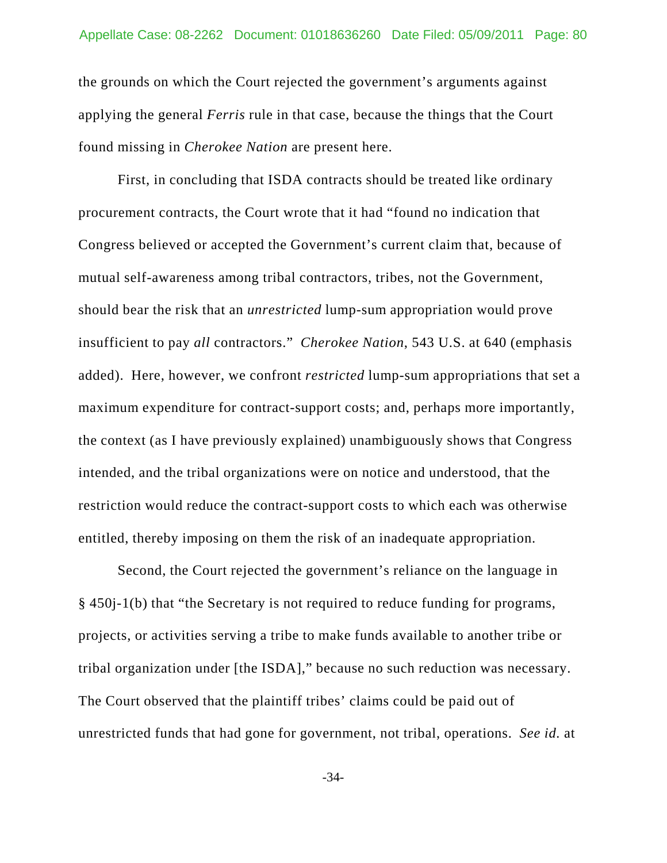the grounds on which the Court rejected the government's arguments against applying the general *Ferris* rule in that case, because the things that the Court found missing in *Cherokee Nation* are present here.

First, in concluding that ISDA contracts should be treated like ordinary procurement contracts, the Court wrote that it had "found no indication that Congress believed or accepted the Government's current claim that, because of mutual self-awareness among tribal contractors, tribes, not the Government, should bear the risk that an *unrestricted* lump-sum appropriation would prove insufficient to pay *all* contractors." *Cherokee Nation*, 543 U.S. at 640 (emphasis added). Here, however, we confront *restricted* lump-sum appropriations that set a maximum expenditure for contract-support costs; and, perhaps more importantly, the context (as I have previously explained) unambiguously shows that Congress intended, and the tribal organizations were on notice and understood, that the restriction would reduce the contract-support costs to which each was otherwise entitled, thereby imposing on them the risk of an inadequate appropriation.

Second, the Court rejected the government's reliance on the language in § 450j-1(b) that "the Secretary is not required to reduce funding for programs, projects, or activities serving a tribe to make funds available to another tribe or tribal organization under [the ISDA]," because no such reduction was necessary. The Court observed that the plaintiff tribes' claims could be paid out of unrestricted funds that had gone for government, not tribal, operations. *See id.* at

-34-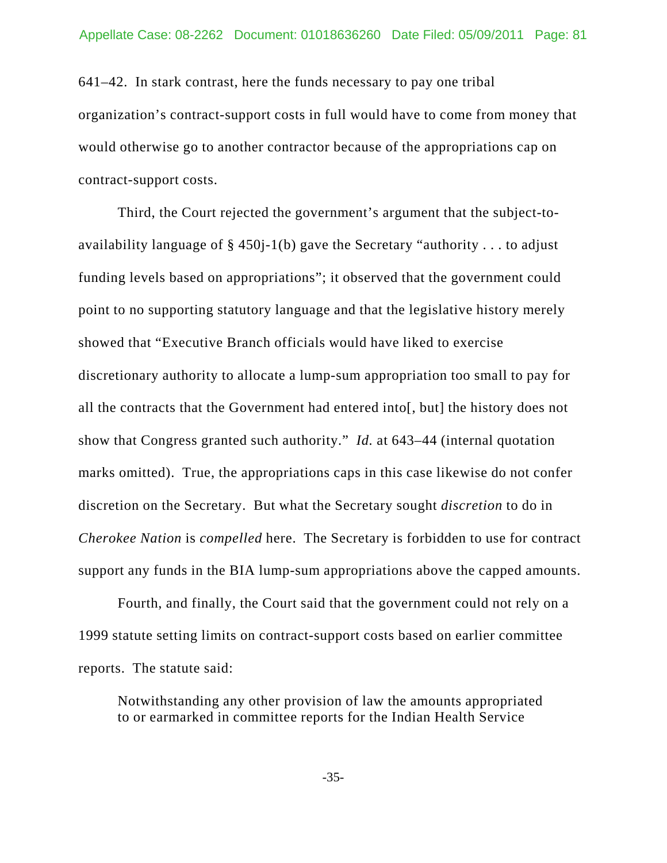641–42. In stark contrast, here the funds necessary to pay one tribal organization's contract-support costs in full would have to come from money that would otherwise go to another contractor because of the appropriations cap on contract-support costs.

Third, the Court rejected the government's argument that the subject-toavailability language of  $\S$  450 $i$ -1(b) gave the Secretary "authority ... to adjust funding levels based on appropriations"; it observed that the government could point to no supporting statutory language and that the legislative history merely showed that "Executive Branch officials would have liked to exercise discretionary authority to allocate a lump-sum appropriation too small to pay for all the contracts that the Government had entered into[, but] the history does not show that Congress granted such authority." *Id.* at 643–44 (internal quotation marks omitted). True, the appropriations caps in this case likewise do not confer discretion on the Secretary. But what the Secretary sought *discretion* to do in *Cherokee Nation* is *compelled* here. The Secretary is forbidden to use for contract support any funds in the BIA lump-sum appropriations above the capped amounts.

Fourth, and finally, the Court said that the government could not rely on a 1999 statute setting limits on contract-support costs based on earlier committee reports. The statute said:

Notwithstanding any other provision of law the amounts appropriated to or earmarked in committee reports for the Indian Health Service

-35-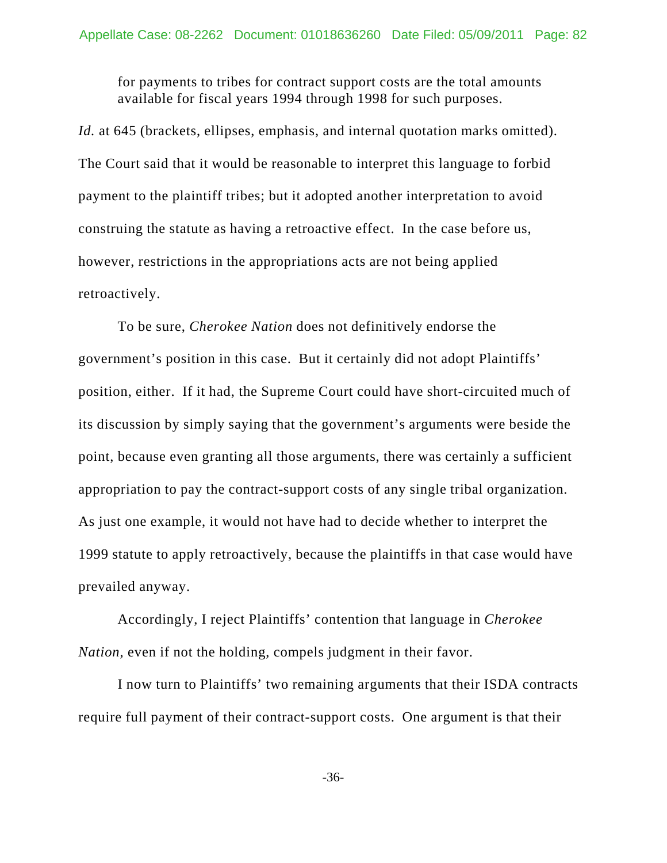for payments to tribes for contract support costs are the total amounts available for fiscal years 1994 through 1998 for such purposes.

Id. at 645 (brackets, ellipses, emphasis, and internal quotation marks omitted). The Court said that it would be reasonable to interpret this language to forbid payment to the plaintiff tribes; but it adopted another interpretation to avoid construing the statute as having a retroactive effect. In the case before us, however, restrictions in the appropriations acts are not being applied retroactively.

To be sure, *Cherokee Nation* does not definitively endorse the government's position in this case. But it certainly did not adopt Plaintiffs' position, either. If it had, the Supreme Court could have short-circuited much of its discussion by simply saying that the government's arguments were beside the point, because even granting all those arguments, there was certainly a sufficient appropriation to pay the contract-support costs of any single tribal organization. As just one example, it would not have had to decide whether to interpret the 1999 statute to apply retroactively, because the plaintiffs in that case would have prevailed anyway.

Accordingly, I reject Plaintiffs' contention that language in *Cherokee Nation*, even if not the holding, compels judgment in their favor.

I now turn to Plaintiffs' two remaining arguments that their ISDA contracts require full payment of their contract-support costs. One argument is that their

-36-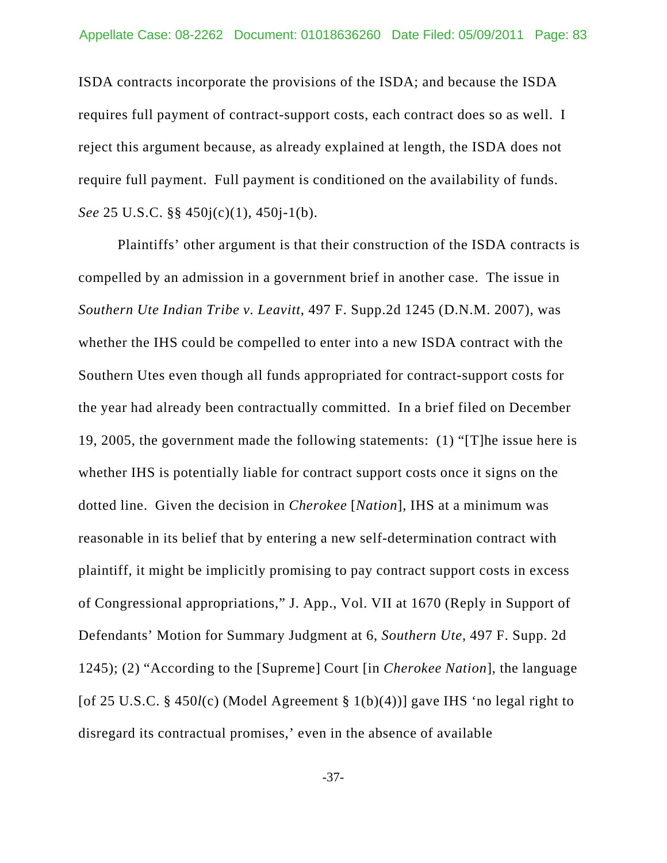ISDA contracts incorporate the provisions of the ISDA; and because the ISDA requires full payment of contract-support costs, each contract does so as well. I reject this argument because, as already explained at length, the ISDA does not require full payment. Full payment is conditioned on the availability of funds. *See* 25 U.S.C. §§ 450j(c)(1), 450j-1(b).

Plaintiffs' other argument is that their construction of the ISDA contracts is compelled by an admission in a government brief in another case. The issue in *Southern Ute Indian Tribe v. Leavitt*, 497 F. Supp.2d 1245 (D.N.M. 2007), was whether the IHS could be compelled to enter into a new ISDA contract with the Southern Utes even though all funds appropriated for contract-support costs for the year had already been contractually committed. In a brief filed on December 19, 2005, the government made the following statements: (1) "[T]he issue here is whether IHS is potentially liable for contract support costs once it signs on the dotted line. Given the decision in *Cherokee* [*Nation*], IHS at a minimum was reasonable in its belief that by entering a new self-determination contract with plaintiff, it might be implicitly promising to pay contract support costs in excess of Congressional appropriations," J. App., Vol. VII at 1670 (Reply in Support of Defendants' Motion for Summary Judgment at 6, *Southern Ute*, 497 F. Supp. 2d 1245); (2) "According to the [Supreme] Court [in *Cherokee Nation*], the language [of 25 U.S.C. § 450*l*(c) (Model Agreement § 1(b)(4))] gave IHS 'no legal right to disregard its contractual promises,' even in the absence of available

-37-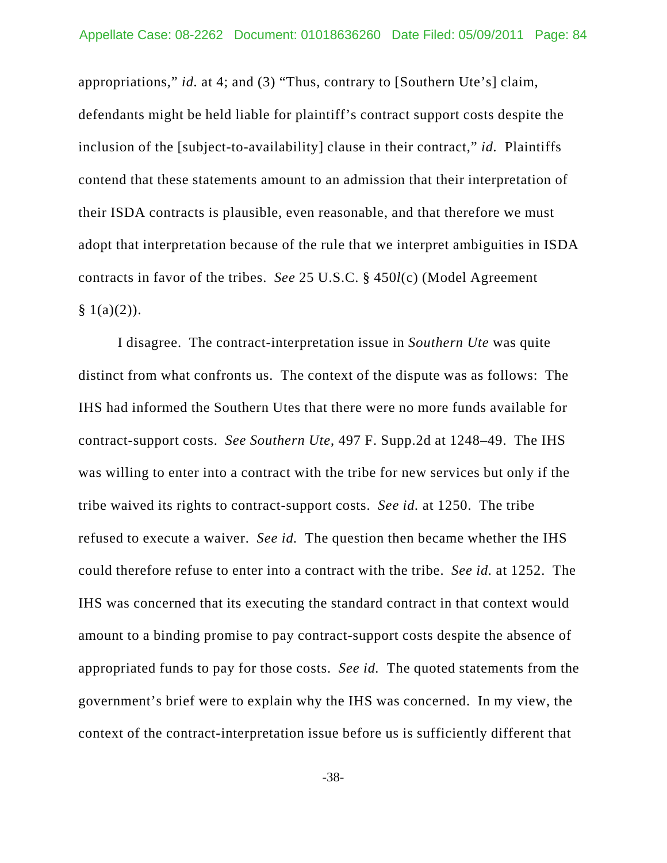appropriations," *id.* at 4; and (3) "Thus, contrary to [Southern Ute's] claim, defendants might be held liable for plaintiff's contract support costs despite the inclusion of the [subject-to-availability] clause in their contract," *id.* Plaintiffs contend that these statements amount to an admission that their interpretation of their ISDA contracts is plausible, even reasonable, and that therefore we must adopt that interpretation because of the rule that we interpret ambiguities in ISDA contracts in favor of the tribes. *See* 25 U.S.C. § 450*l*(c) (Model Agreement  $§ 1(a)(2)).$ 

I disagree. The contract-interpretation issue in *Southern Ute* was quite distinct from what confronts us. The context of the dispute was as follows: The IHS had informed the Southern Utes that there were no more funds available for contract-support costs. *See Southern Ute*, 497 F. Supp.2d at 1248–49. The IHS was willing to enter into a contract with the tribe for new services but only if the tribe waived its rights to contract-support costs. *See id.* at 1250. The tribe refused to execute a waiver. *See id.* The question then became whether the IHS could therefore refuse to enter into a contract with the tribe. *See id.* at 1252. The IHS was concerned that its executing the standard contract in that context would amount to a binding promise to pay contract-support costs despite the absence of appropriated funds to pay for those costs. *See id.* The quoted statements from the government's brief were to explain why the IHS was concerned. In my view, the context of the contract-interpretation issue before us is sufficiently different that

-38-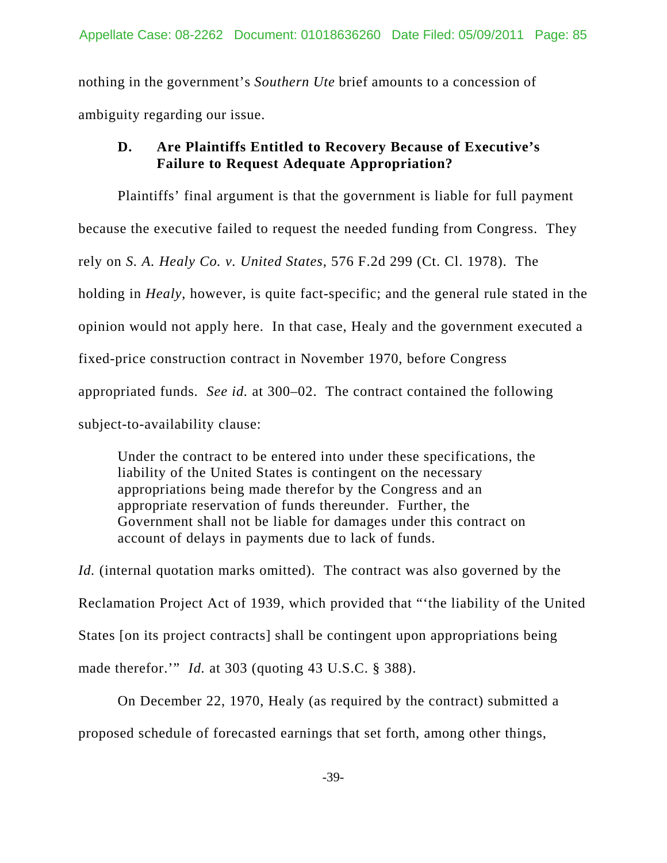nothing in the government's *Southern Ute* brief amounts to a concession of ambiguity regarding our issue.

## **D. Are Plaintiffs Entitled to Recovery Because of Executive's Failure to Request Adequate Appropriation?**

Plaintiffs' final argument is that the government is liable for full payment because the executive failed to request the needed funding from Congress. They rely on *S. A. Healy Co. v. United States*, 576 F.2d 299 (Ct. Cl. 1978). The holding in *Healy*, however, is quite fact-specific; and the general rule stated in the opinion would not apply here. In that case, Healy and the government executed a fixed-price construction contract in November 1970, before Congress appropriated funds. *See id.* at 300–02. The contract contained the following subject-to-availability clause:

Under the contract to be entered into under these specifications, the liability of the United States is contingent on the necessary appropriations being made therefor by the Congress and an appropriate reservation of funds thereunder. Further, the Government shall not be liable for damages under this contract on account of delays in payments due to lack of funds.

*Id.* (internal quotation marks omitted). The contract was also governed by the Reclamation Project Act of 1939, which provided that "'the liability of the United States [on its project contracts] shall be contingent upon appropriations being made therefor.'" *Id.* at 303 (quoting 43 U.S.C. § 388).

On December 22, 1970, Healy (as required by the contract) submitted a proposed schedule of forecasted earnings that set forth, among other things,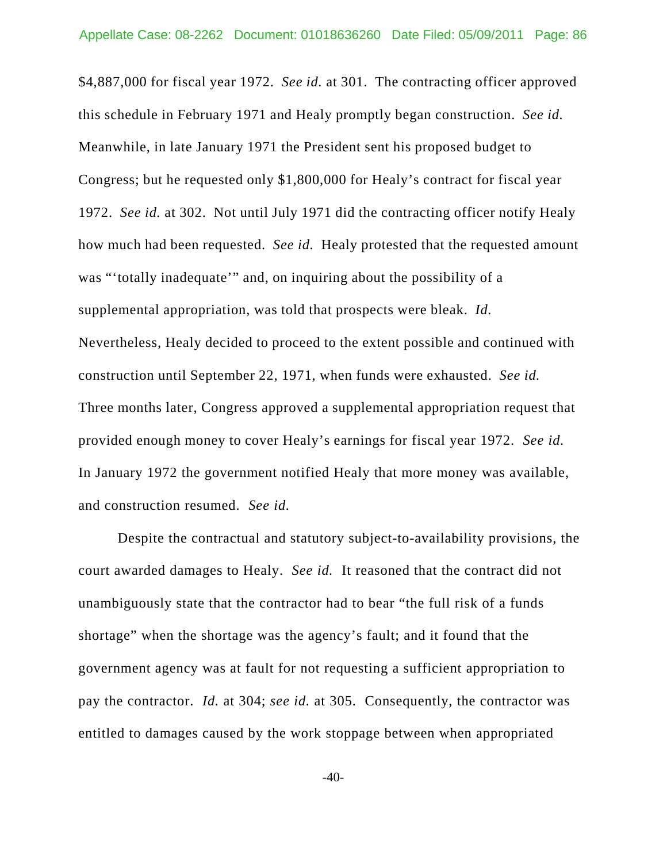\$4,887,000 for fiscal year 1972. *See id.* at 301. The contracting officer approved this schedule in February 1971 and Healy promptly began construction. *See id.*  Meanwhile, in late January 1971 the President sent his proposed budget to Congress; but he requested only \$1,800,000 for Healy's contract for fiscal year 1972. *See id.* at 302. Not until July 1971 did the contracting officer notify Healy how much had been requested. *See id.* Healy protested that the requested amount was "'totally inadequate'" and, on inquiring about the possibility of a supplemental appropriation, was told that prospects were bleak. *Id.* Nevertheless, Healy decided to proceed to the extent possible and continued with construction until September 22, 1971, when funds were exhausted. *See id.* Three months later, Congress approved a supplemental appropriation request that provided enough money to cover Healy's earnings for fiscal year 1972. *See id.* In January 1972 the government notified Healy that more money was available, and construction resumed. *See id.*

Despite the contractual and statutory subject-to-availability provisions, the court awarded damages to Healy. *See id.* It reasoned that the contract did not unambiguously state that the contractor had to bear "the full risk of a funds shortage" when the shortage was the agency's fault; and it found that the government agency was at fault for not requesting a sufficient appropriation to pay the contractor. *Id.* at 304; *see id.* at 305. Consequently, the contractor was entitled to damages caused by the work stoppage between when appropriated

-40-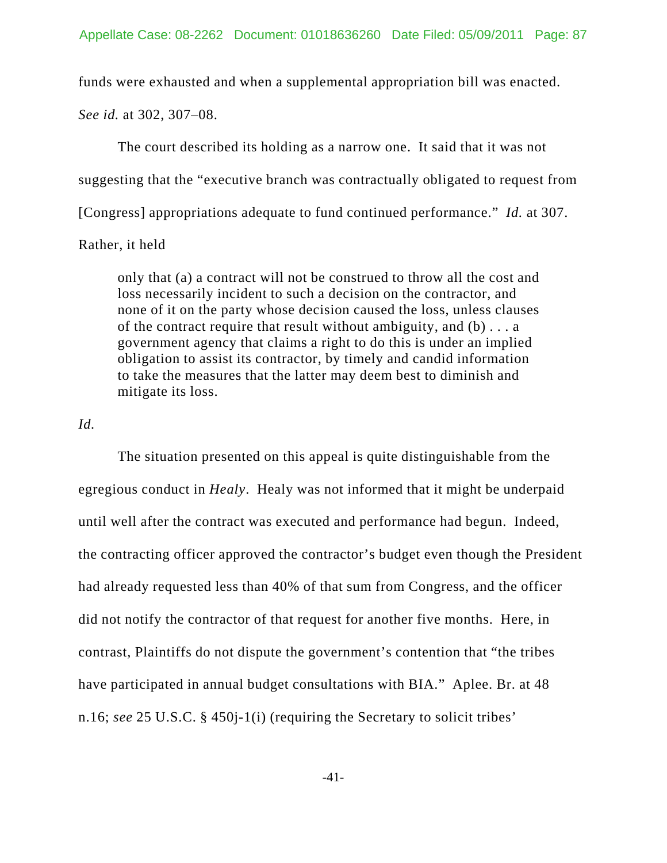funds were exhausted and when a supplemental appropriation bill was enacted.

*See id.* at 302, 307–08.

The court described its holding as a narrow one. It said that it was not suggesting that the "executive branch was contractually obligated to request from [Congress] appropriations adequate to fund continued performance." *Id.* at 307.

## Rather, it held

only that (a) a contract will not be construed to throw all the cost and loss necessarily incident to such a decision on the contractor, and none of it on the party whose decision caused the loss, unless clauses of the contract require that result without ambiguity, and (b) . . . a government agency that claims a right to do this is under an implied obligation to assist its contractor, by timely and candid information to take the measures that the latter may deem best to diminish and mitigate its loss.

## *Id.*

The situation presented on this appeal is quite distinguishable from the egregious conduct in *Healy*. Healy was not informed that it might be underpaid until well after the contract was executed and performance had begun. Indeed, the contracting officer approved the contractor's budget even though the President had already requested less than 40% of that sum from Congress, and the officer did not notify the contractor of that request for another five months. Here, in contrast, Plaintiffs do not dispute the government's contention that "the tribes have participated in annual budget consultations with BIA." Aplee. Br. at 48 n.16; *see* 25 U.S.C. § 450j-1(i) (requiring the Secretary to solicit tribes'